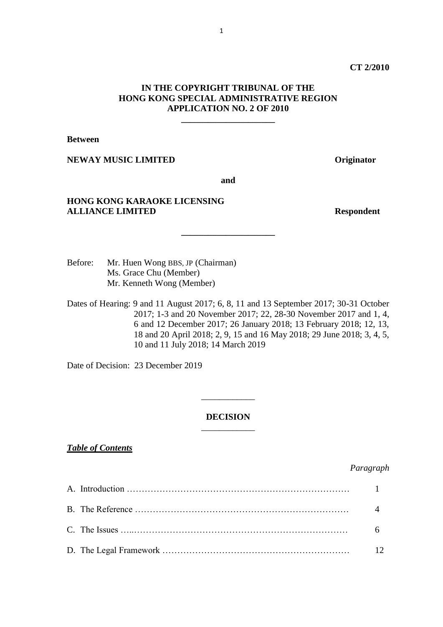#### **CT 2/2010**

# **IN THE COPYRIGHT TRIBUNAL OF THE HONG KONG SPECIAL ADMINISTRATIVE REGION APPLICATION NO. 2 OF 2010**

**\_\_\_\_\_\_\_\_\_\_\_\_\_\_\_\_\_\_\_\_\_**

**Between**

**NEWAY MUSIC LIMITED Originator**

**and**

**\_\_\_\_\_\_\_\_\_\_\_\_\_\_\_\_\_\_\_\_\_**

# **HONG KONG KARAOKE LICENSING ALLIANCE LIMITED Respondent**

Before: Mr. Huen Wong BBS, JP (Chairman) Ms. Grace Chu (Member) Mr. Kenneth Wong (Member)

Dates of Hearing: 9 and 11 August 2017; 6, 8, 11 and 13 September 2017; 30-31 October 2017; 1-3 and 20 November 2017; 22, 28-30 November 2017 and 1, 4, 6 and 12 December 2017; 26 January 2018; 13 February 2018; 12, 13, 18 and 20 April 2018; 2, 9, 15 and 16 May 2018; 29 June 2018; 3, 4, 5, 10 and 11 July 2018; 14 March 2019

Date of Decision: 23 December 2019

## **DECISION** \_\_\_\_\_\_\_\_\_\_\_\_

\_\_\_\_\_\_\_\_\_\_\_\_

## *Table of Contents*

*Paragraph*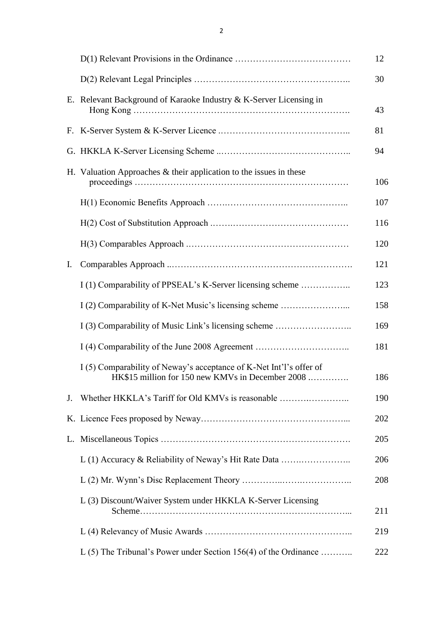|    |                                                                                                                         | 12  |
|----|-------------------------------------------------------------------------------------------------------------------------|-----|
|    |                                                                                                                         | 30  |
|    | E. Relevant Background of Karaoke Industry & K-Server Licensing in                                                      | 43  |
|    |                                                                                                                         | 81  |
|    |                                                                                                                         | 94  |
|    | H. Valuation Approaches $&$ their application to the issues in these                                                    | 106 |
|    |                                                                                                                         | 107 |
|    |                                                                                                                         | 116 |
|    |                                                                                                                         | 120 |
| I. |                                                                                                                         | 121 |
|    | I (1) Comparability of PPSEAL's K-Server licensing scheme                                                               | 123 |
|    | I (2) Comparability of K-Net Music's licensing scheme                                                                   | 158 |
|    | I (3) Comparability of Music Link's licensing scheme                                                                    | 169 |
|    |                                                                                                                         | 181 |
|    | I (5) Comparability of Neway's acceptance of K-Net Int'l's offer of<br>HK\$15 million for 150 new KMVs in December 2008 | 186 |
| J. | Whether HKKLA's Tariff for Old KMVs is reasonable                                                                       | 190 |
|    |                                                                                                                         | 202 |
|    |                                                                                                                         | 205 |
|    | L(1) Accuracy & Reliability of Neway's Hit Rate Data                                                                    | 206 |
|    |                                                                                                                         | 208 |
|    | L(3) Discount/Waiver System under HKKLA K-Server Licensing                                                              | 211 |
|    |                                                                                                                         | 219 |
|    | L $(5)$ The Tribunal's Power under Section 156(4) of the Ordinance                                                      | 222 |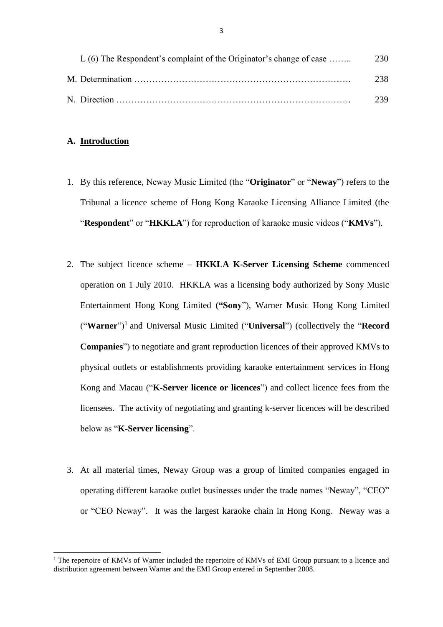| L $(6)$ The Respondent's complaint of the Originator's change of case | 230 |
|-----------------------------------------------------------------------|-----|
|                                                                       | 238 |
|                                                                       | 239 |

## **A. Introduction**

**.** 

- 1. By this reference, Neway Music Limited (the "**Originator**" or "**Neway**") refers to the Tribunal a licence scheme of Hong Kong Karaoke Licensing Alliance Limited (the "**Respondent**" or "**HKKLA**") for reproduction of karaoke music videos ("**KMVs**").
- 2. The subject licence scheme **HKKLA K-Server Licensing Scheme** commenced operation on 1 July 2010. HKKLA was a licensing body authorized by Sony Music Entertainment Hong Kong Limited **("Sony**"), Warner Music Hong Kong Limited ("**Warner**")<sup>1</sup> and Universal Music Limited ("**Universal**") (collectively the "**Record Companies**") to negotiate and grant reproduction licences of their approved KMVs to physical outlets or establishments providing karaoke entertainment services in Hong Kong and Macau ("**K-Server licence or licences**") and collect licence fees from the licensees. The activity of negotiating and granting k-server licences will be described below as "**K-Server licensing**".
- 3. At all material times, Neway Group was a group of limited companies engaged in operating different karaoke outlet businesses under the trade names "Neway", "CEO" or "CEO Neway". It was the largest karaoke chain in Hong Kong. Neway was a

<sup>&</sup>lt;sup>1</sup> The repertoire of KMVs of Warner included the repertoire of KMVs of EMI Group pursuant to a licence and distribution agreement between Warner and the EMI Group entered in September 2008.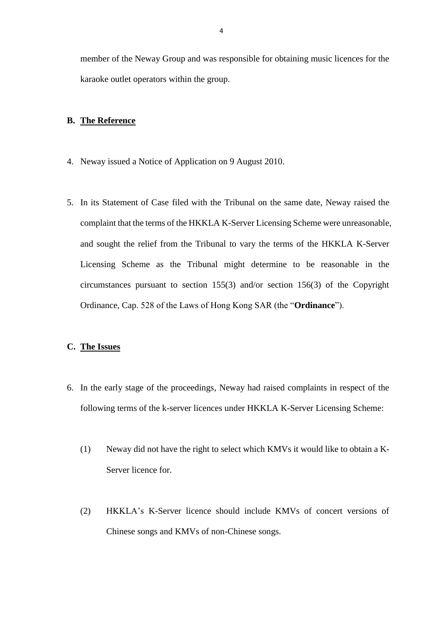member of the Neway Group and was responsible for obtaining music licences for the karaoke outlet operators within the group.

## **B. The Reference**

- 4. Neway issued a Notice of Application on 9 August 2010.
- 5. In its Statement of Case filed with the Tribunal on the same date, Neway raised the complaint that the terms of the HKKLA K-Server Licensing Scheme were unreasonable, and sought the relief from the Tribunal to vary the terms of the HKKLA K-Server Licensing Scheme as the Tribunal might determine to be reasonable in the circumstances pursuant to section 155(3) and/or section 156(3) of the Copyright Ordinance, Cap. 528 of the Laws of Hong Kong SAR (the "**Ordinance**").

#### **C. The Issues**

- 6. In the early stage of the proceedings, Neway had raised complaints in respect of the following terms of the k-server licences under HKKLA K-Server Licensing Scheme:
	- (1) Neway did not have the right to select which KMVs it would like to obtain a K-Server licence for.
	- (2) HKKLA's K-Server licence should include KMVs of concert versions of Chinese songs and KMVs of non-Chinese songs.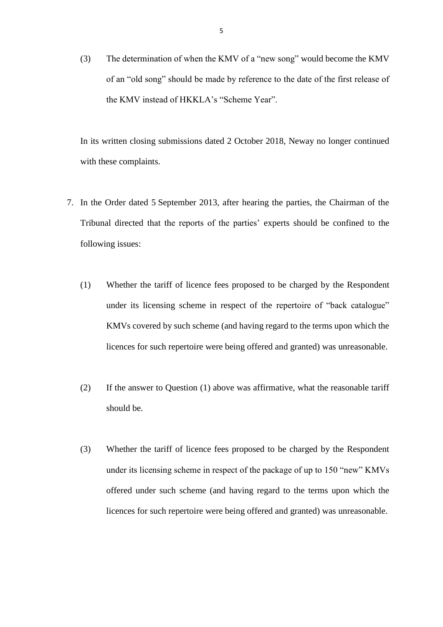(3) The determination of when the KMV of a "new song" would become the KMV of an "old song" should be made by reference to the date of the first release of the KMV instead of HKKLA's "Scheme Year".

In its written closing submissions dated 2 October 2018, Neway no longer continued with these complaints.

- 7. In the Order dated 5 September 2013, after hearing the parties, the Chairman of the Tribunal directed that the reports of the parties' experts should be confined to the following issues:
	- (1) Whether the tariff of licence fees proposed to be charged by the Respondent under its licensing scheme in respect of the repertoire of "back catalogue" KMVs covered by such scheme (and having regard to the terms upon which the licences for such repertoire were being offered and granted) was unreasonable.
	- (2) If the answer to Question (1) above was affirmative, what the reasonable tariff should be.
	- (3) Whether the tariff of licence fees proposed to be charged by the Respondent under its licensing scheme in respect of the package of up to 150 "new" KMVs offered under such scheme (and having regard to the terms upon which the licences for such repertoire were being offered and granted) was unreasonable.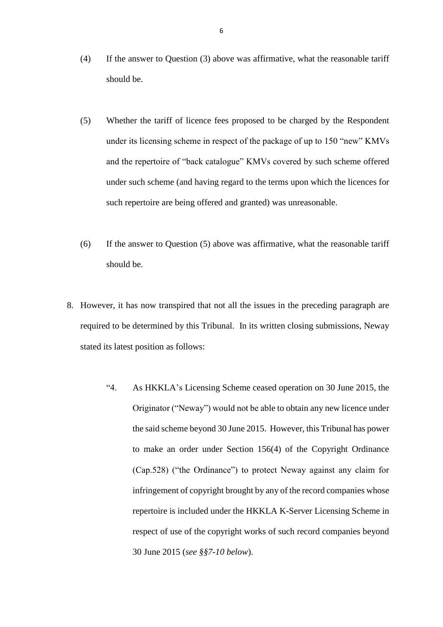- (4) If the answer to Question (3) above was affirmative, what the reasonable tariff should be.
- (5) Whether the tariff of licence fees proposed to be charged by the Respondent under its licensing scheme in respect of the package of up to 150 "new" KMVs and the repertoire of "back catalogue" KMVs covered by such scheme offered under such scheme (and having regard to the terms upon which the licences for such repertoire are being offered and granted) was unreasonable.
- (6) If the answer to Question (5) above was affirmative, what the reasonable tariff should be.
- 8. However, it has now transpired that not all the issues in the preceding paragraph are required to be determined by this Tribunal. In its written closing submissions, Neway stated its latest position as follows:
	- "4. As HKKLA's Licensing Scheme ceased operation on 30 June 2015, the Originator ("Neway") would not be able to obtain any new licence under the said scheme beyond 30 June 2015. However, this Tribunal has power to make an order under Section 156(4) of the Copyright Ordinance (Cap.528) ("the Ordinance") to protect Neway against any claim for infringement of copyright brought by any of the record companies whose repertoire is included under the HKKLA K-Server Licensing Scheme in respect of use of the copyright works of such record companies beyond 30 June 2015 (*see §§7-10 below*).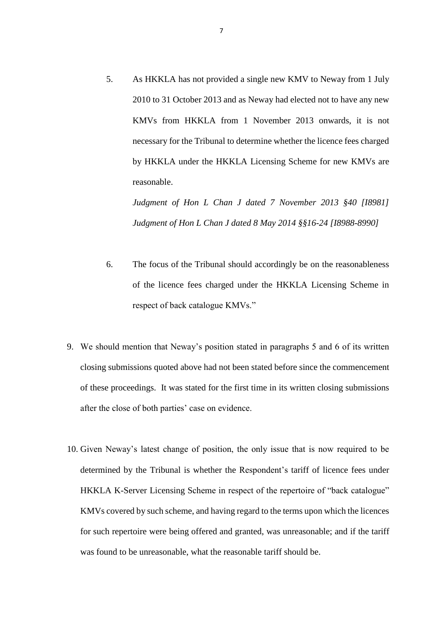5. As HKKLA has not provided a single new KMV to Neway from 1 July 2010 to 31 October 2013 and as Neway had elected not to have any new KMVs from HKKLA from 1 November 2013 onwards, it is not necessary for the Tribunal to determine whether the licence fees charged by HKKLA under the HKKLA Licensing Scheme for new KMVs are reasonable.

*Judgment of Hon L Chan J dated 7 November 2013 §40 [I8981] Judgment of Hon L Chan J dated 8 May 2014 §§16-24 [I8988-8990]*

- 6. The focus of the Tribunal should accordingly be on the reasonableness of the licence fees charged under the HKKLA Licensing Scheme in respect of back catalogue KMVs."
- 9. We should mention that Neway's position stated in paragraphs 5 and 6 of its written closing submissions quoted above had not been stated before since the commencement of these proceedings. It was stated for the first time in its written closing submissions after the close of both parties' case on evidence.
- 10. Given Neway's latest change of position, the only issue that is now required to be determined by the Tribunal is whether the Respondent's tariff of licence fees under HKKLA K-Server Licensing Scheme in respect of the repertoire of "back catalogue" KMVs covered by such scheme, and having regard to the terms upon which the licences for such repertoire were being offered and granted, was unreasonable; and if the tariff was found to be unreasonable, what the reasonable tariff should be.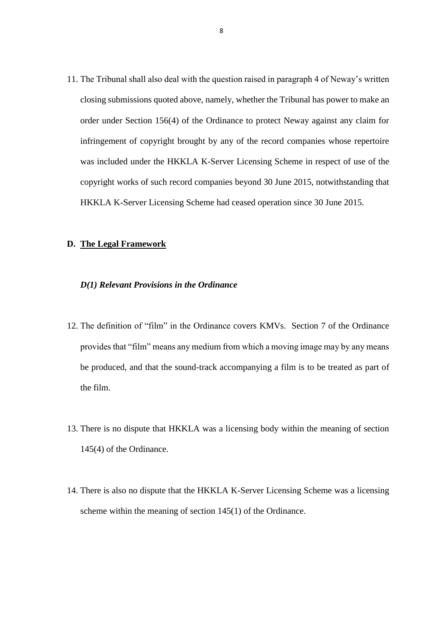11. The Tribunal shall also deal with the question raised in paragraph 4 of Neway's written closing submissions quoted above, namely, whether the Tribunal has power to make an order under Section 156(4) of the Ordinance to protect Neway against any claim for infringement of copyright brought by any of the record companies whose repertoire was included under the HKKLA K-Server Licensing Scheme in respect of use of the copyright works of such record companies beyond 30 June 2015, notwithstanding that HKKLA K-Server Licensing Scheme had ceased operation since 30 June 2015.

# **D. The Legal Framework**

#### *D(1) Relevant Provisions in the Ordinance*

- 12. The definition of "film" in the Ordinance covers KMVs. Section 7 of the Ordinance provides that "film" means any medium from which a moving image may by any means be produced, and that the sound-track accompanying a film is to be treated as part of the film.
- 13. There is no dispute that HKKLA was a licensing body within the meaning of section 145(4) of the Ordinance.
- 14. There is also no dispute that the HKKLA K-Server Licensing Scheme was a licensing scheme within the meaning of section 145(1) of the Ordinance.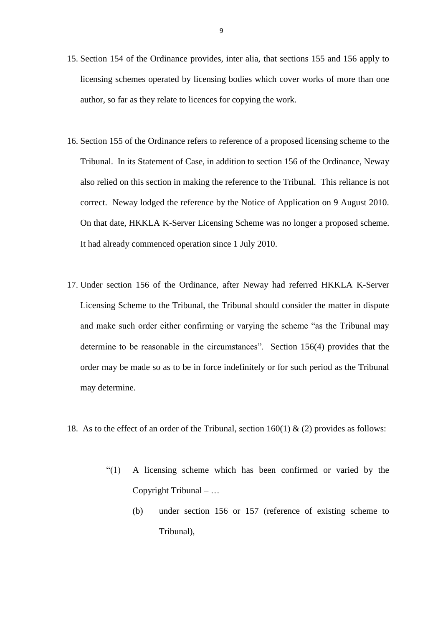- 15. Section 154 of the Ordinance provides, inter alia, that sections 155 and 156 apply to licensing schemes operated by licensing bodies which cover works of more than one author, so far as they relate to licences for copying the work.
- 16. Section 155 of the Ordinance refers to reference of a proposed licensing scheme to the Tribunal. In its Statement of Case, in addition to section 156 of the Ordinance, Neway also relied on this section in making the reference to the Tribunal. This reliance is not correct. Neway lodged the reference by the Notice of Application on 9 August 2010. On that date, HKKLA K-Server Licensing Scheme was no longer a proposed scheme. It had already commenced operation since 1 July 2010.
- 17. Under section 156 of the Ordinance, after Neway had referred HKKLA K-Server Licensing Scheme to the Tribunal, the Tribunal should consider the matter in dispute and make such order either confirming or varying the scheme "as the Tribunal may determine to be reasonable in the circumstances". Section 156(4) provides that the order may be made so as to be in force indefinitely or for such period as the Tribunal may determine.
- 18. As to the effect of an order of the Tribunal, section  $160(1) \& (2)$  provides as follows:
	- "(1) A licensing scheme which has been confirmed or varied by the Copyright Tribunal – …
		- (b) under section 156 or 157 (reference of existing scheme to Tribunal),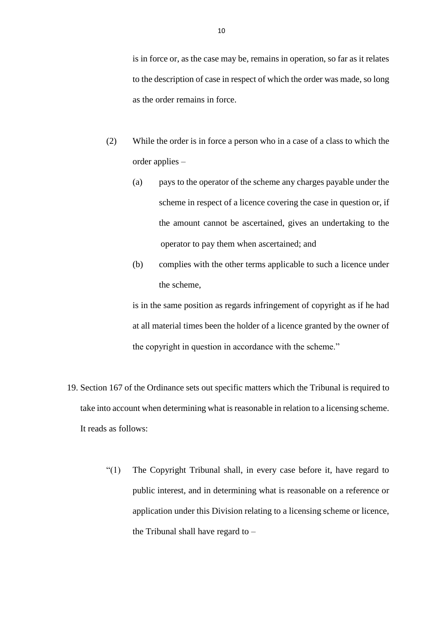is in force or, as the case may be, remains in operation, so far as it relates to the description of case in respect of which the order was made, so long as the order remains in force.

- (2) While the order is in force a person who in a case of a class to which the order applies –
	- (a) pays to the operator of the scheme any charges payable under the scheme in respect of a licence covering the case in question or, if the amount cannot be ascertained, gives an undertaking to the operator to pay them when ascertained; and
	- (b) complies with the other terms applicable to such a licence under the scheme,

is in the same position as regards infringement of copyright as if he had at all material times been the holder of a licence granted by the owner of the copyright in question in accordance with the scheme."

- 19. Section 167 of the Ordinance sets out specific matters which the Tribunal is required to take into account when determining what is reasonable in relation to a licensing scheme. It reads as follows:
	- "(1) The Copyright Tribunal shall, in every case before it, have regard to public interest, and in determining what is reasonable on a reference or application under this Division relating to a licensing scheme or licence, the Tribunal shall have regard to –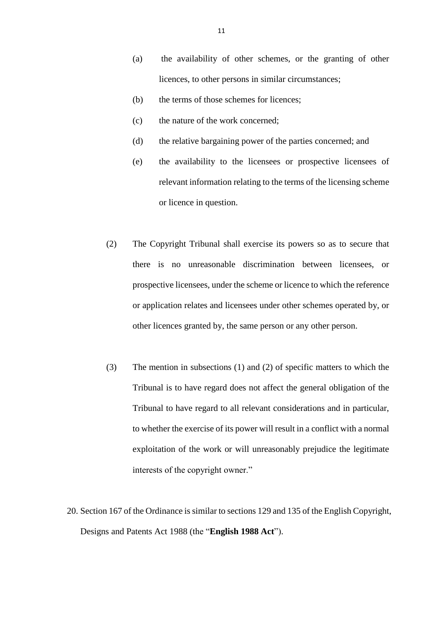- (a) the availability of other schemes, or the granting of other licences, to other persons in similar circumstances;
- (b) the terms of those schemes for licences;
- (c) the nature of the work concerned;
- (d) the relative bargaining power of the parties concerned; and
- (e) the availability to the licensees or prospective licensees of relevant information relating to the terms of the licensing scheme or licence in question.
- (2) The Copyright Tribunal shall exercise its powers so as to secure that there is no unreasonable discrimination between licensees, or prospective licensees, under the scheme or licence to which the reference or application relates and licensees under other schemes operated by, or other licences granted by, the same person or any other person.
- (3) The mention in subsections (1) and (2) of specific matters to which the Tribunal is to have regard does not affect the general obligation of the Tribunal to have regard to all relevant considerations and in particular, to whether the exercise of its power will result in a conflict with a normal exploitation of the work or will unreasonably prejudice the legitimate interests of the copyright owner."
- 20. Section 167 of the Ordinance is similar to sections 129 and 135 of the English Copyright, Designs and Patents Act 1988 (the "**English 1988 Act**").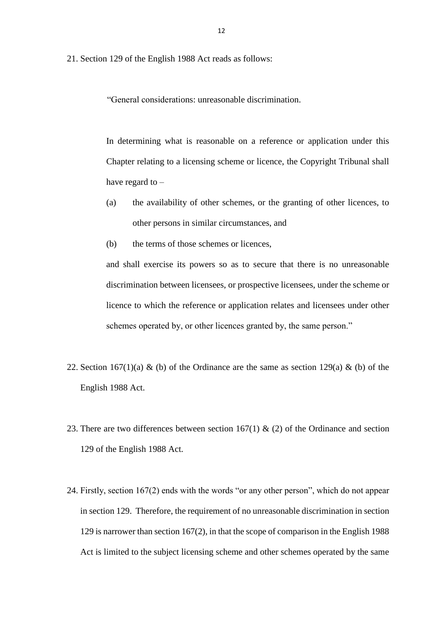21. Section 129 of the English 1988 Act reads as follows:

"General considerations: unreasonable discrimination.

In determining what is reasonable on a reference or application under this Chapter relating to a licensing scheme or licence, the Copyright Tribunal shall have regard to –

- (a) the availability of other schemes, or the granting of other licences, to other persons in similar circumstances, and
- (b) the terms of those schemes or licences,

and shall exercise its powers so as to secure that there is no unreasonable discrimination between licensees, or prospective licensees, under the scheme or licence to which the reference or application relates and licensees under other schemes operated by, or other licences granted by, the same person."

- 22. Section 167(1)(a) & (b) of the Ordinance are the same as section 129(a) & (b) of the English 1988 Act.
- 23. There are two differences between section 167(1)  $\&$  (2) of the Ordinance and section 129 of the English 1988 Act.
- 24. Firstly, section 167(2) ends with the words "or any other person", which do not appear in section 129. Therefore, the requirement of no unreasonable discrimination in section 129 is narrower than section 167(2), in that the scope of comparison in the English 1988 Act is limited to the subject licensing scheme and other schemes operated by the same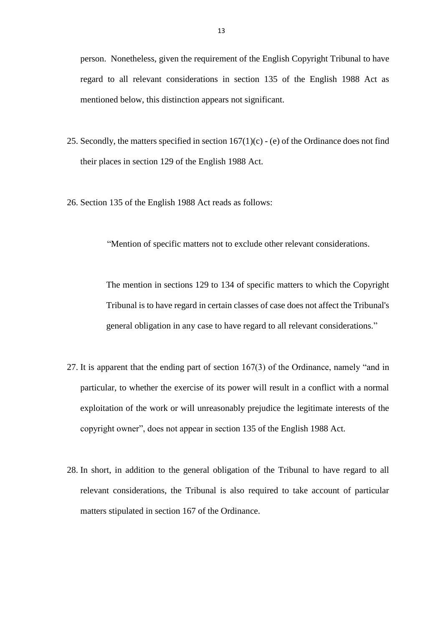person. Nonetheless, given the requirement of the English Copyright Tribunal to have regard to all relevant considerations in section 135 of the English 1988 Act as mentioned below, this distinction appears not significant.

- 25. Secondly, the matters specified in section  $167(1)(c)$  (e) of the Ordinance does not find their places in section 129 of the English 1988 Act.
- 26. Section 135 of the English 1988 Act reads as follows:

"Mention of specific matters not to exclude other relevant considerations.

The mention in sections 129 to 134 of specific matters to which the Copyright Tribunal is to have regard in certain classes of case does not affect the Tribunal's general obligation in any case to have regard to all relevant considerations."

- 27. It is apparent that the ending part of section 167(3) of the Ordinance, namely "and in particular, to whether the exercise of its power will result in a conflict with a normal exploitation of the work or will unreasonably prejudice the legitimate interests of the copyright owner", does not appear in section 135 of the English 1988 Act.
- 28. In short, in addition to the general obligation of the Tribunal to have regard to all relevant considerations, the Tribunal is also required to take account of particular matters stipulated in section 167 of the Ordinance.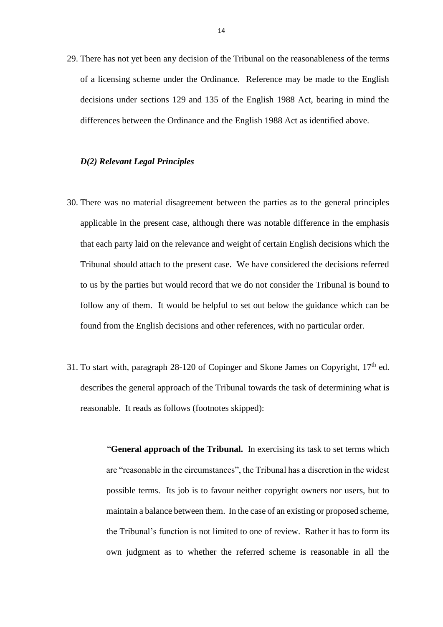29. There has not yet been any decision of the Tribunal on the reasonableness of the terms of a licensing scheme under the Ordinance. Reference may be made to the English decisions under sections 129 and 135 of the English 1988 Act, bearing in mind the differences between the Ordinance and the English 1988 Act as identified above.

#### *D(2) Relevant Legal Principles*

- 30. There was no material disagreement between the parties as to the general principles applicable in the present case, although there was notable difference in the emphasis that each party laid on the relevance and weight of certain English decisions which the Tribunal should attach to the present case. We have considered the decisions referred to us by the parties but would record that we do not consider the Tribunal is bound to follow any of them. It would be helpful to set out below the guidance which can be found from the English decisions and other references, with no particular order.
- 31. To start with, paragraph 28-120 of Copinger and Skone James on Copyright,  $17<sup>th</sup>$  ed. describes the general approach of the Tribunal towards the task of determining what is reasonable. It reads as follows (footnotes skipped):

"**General approach of the Tribunal.** In exercising its task to set terms which are "reasonable in the circumstances", the Tribunal has a discretion in the widest possible terms. Its job is to favour neither copyright owners nor users, but to maintain a balance between them. In the case of an existing or proposed scheme, the Tribunal's function is not limited to one of review. Rather it has to form its own judgment as to whether the referred scheme is reasonable in all the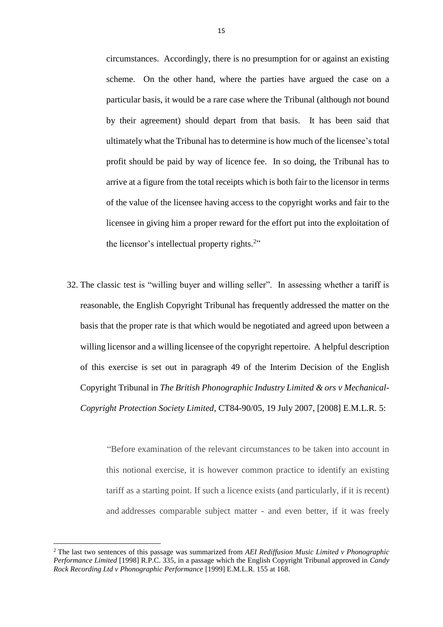circumstances. Accordingly, there is no presumption for or against an existing scheme. On the other hand, where the parties have argued the case on a particular basis, it would be a rare case where the Tribunal (although not bound by their agreement) should depart from that basis. It has been said that ultimately what the Tribunal has to determine is how much of the licensee's total profit should be paid by way of licence fee. In so doing, the Tribunal has to arrive at a figure from the total receipts which is both fair to the licensor in terms of the value of the licensee having access to the copyright works and fair to the licensee in giving him a proper reward for the effort put into the exploitation of the licensor's intellectual property rights.<sup>2</sup>"

32. The classic test is "willing buyer and willing seller". In assessing whether a tariff is reasonable, the English Copyright Tribunal has frequently addressed the matter on the basis that the proper rate is that which would be negotiated and agreed upon between a willing licensor and a willing licensee of the copyright repertoire. A helpful description of this exercise is set out in paragraph 49 of the Interim Decision of the English Copyright Tribunal in *The British Phonographic Industry Limited & ors v Mechanical-Copyright Protection Society Limited*, CT84-90/05, 19 July 2007, [2008] E.M.L.R. 5:

> "Before examination of the relevant circumstances to be taken into account in this notional exercise, it is however common practice to identify an existing tariff as a starting point. If such a licence exists (and particularly, if it is recent) and addresses comparable subject matter - and even better, if it was freely

1

<sup>2</sup> The last two sentences of this passage was summarized from *AEI Rediffusion Music Limited v Phonographic Performance Limited* [1998] R.P.C. 335, in a passage which the English Copyright Tribunal approved in *Candy Rock Recording Ltd v Phonographic Performance* [1999] E.M.L.R. 155 at 168.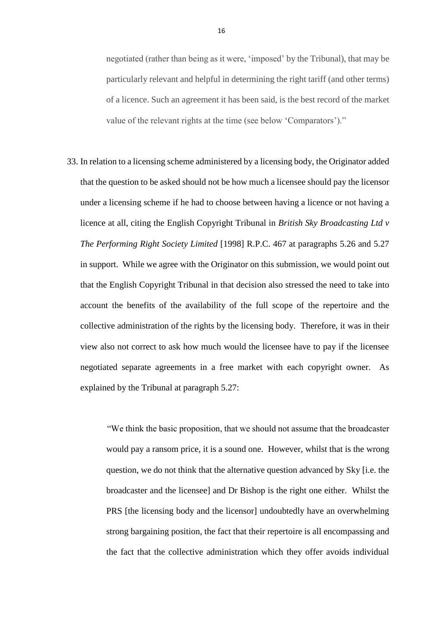negotiated (rather than being as it were, 'imposed' by the Tribunal), that may be particularly relevant and helpful in determining the right tariff (and other terms) of a licence. Such an agreement it has been said, is the best record of the market value of the relevant rights at the time (see below 'Comparators')."

33. In relation to a licensing scheme administered by a licensing body, the Originator added that the question to be asked should not be how much a licensee should pay the licensor under a licensing scheme if he had to choose between having a licence or not having a licence at all, citing the English Copyright Tribunal in *British Sky Broadcasting Ltd v The Performing Right Society Limited* [1998] R.P.C. 467 at paragraphs 5.26 and 5.27 in support. While we agree with the Originator on this submission, we would point out that the English Copyright Tribunal in that decision also stressed the need to take into account the benefits of the availability of the full scope of the repertoire and the collective administration of the rights by the licensing body. Therefore, it was in their view also not correct to ask how much would the licensee have to pay if the licensee negotiated separate agreements in a free market with each copyright owner. As explained by the Tribunal at paragraph 5.27:

> "We think the basic proposition, that we should not assume that the broadcaster would pay a ransom price, it is a sound one. However, whilst that is the wrong question, we do not think that the alternative question advanced by Sky [i.e. the broadcaster and the licensee] and Dr Bishop is the right one either. Whilst the PRS [the licensing body and the licensor] undoubtedly have an overwhelming strong bargaining position, the fact that their repertoire is all encompassing and the fact that the collective administration which they offer avoids individual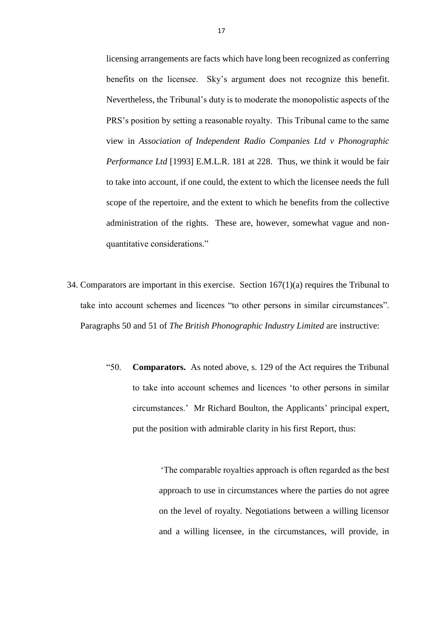licensing arrangements are facts which have long been recognized as conferring benefits on the licensee. Sky's argument does not recognize this benefit. Nevertheless, the Tribunal's duty is to moderate the monopolistic aspects of the PRS's position by setting a reasonable royalty. This Tribunal came to the same view in *Association of Independent Radio Companies Ltd v Phonographic Performance Ltd* [1993] E.M.L.R. 181 at 228. Thus, we think it would be fair to take into account, if one could, the extent to which the licensee needs the full scope of the repertoire, and the extent to which he benefits from the collective administration of the rights. These are, however, somewhat vague and nonquantitative considerations."

- 34. Comparators are important in this exercise. Section 167(1)(a) requires the Tribunal to take into account schemes and licences "to other persons in similar circumstances". Paragraphs 50 and 51 of *The British Phonographic Industry Limited* are instructive:
	- "50. **Comparators.** As noted above, s. 129 of the Act requires the Tribunal to take into account schemes and licences 'to other persons in similar circumstances.' Mr Richard Boulton, the Applicants' principal expert, put the position with admirable clarity in his first Report, thus:

'The comparable royalties approach is often regarded as the best approach to use in circumstances where the parties do not agree on the level of royalty. Negotiations between a willing licensor and a willing licensee, in the circumstances, will provide, in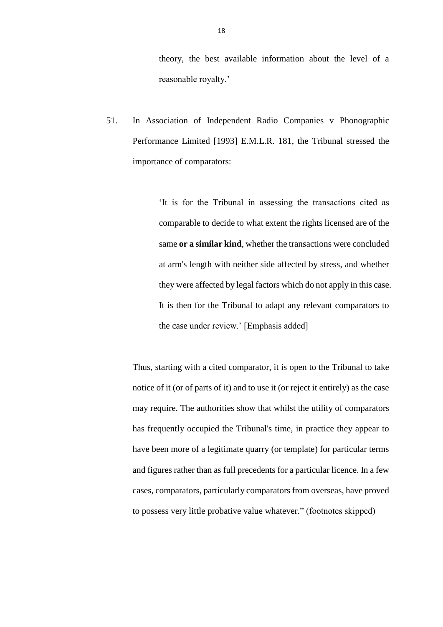theory, the best available information about the level of a reasonable royalty.'

51. In Association of Independent Radio Companies v Phonographic Performance Limited [1993] E.M.L.R. 181, the Tribunal stressed the importance of comparators:

> 'It is for the Tribunal in assessing the transactions cited as comparable to decide to what extent the rights licensed are of the same **or a similar kind**, whether the transactions were concluded at arm's length with neither side affected by stress, and whether they were affected by legal factors which do not apply in this case. It is then for the Tribunal to adapt any relevant comparators to the case under review.' [Emphasis added]

Thus, starting with a cited comparator, it is open to the Tribunal to take notice of it (or of parts of it) and to use it (or reject it entirely) as the case may require. The authorities show that whilst the utility of comparators has frequently occupied the Tribunal's time, in practice they appear to have been more of a legitimate quarry (or template) for particular terms and figures rather than as full precedents for a particular licence. In a few cases, comparators, particularly comparators from overseas, have proved to possess very little probative value whatever." (footnotes skipped)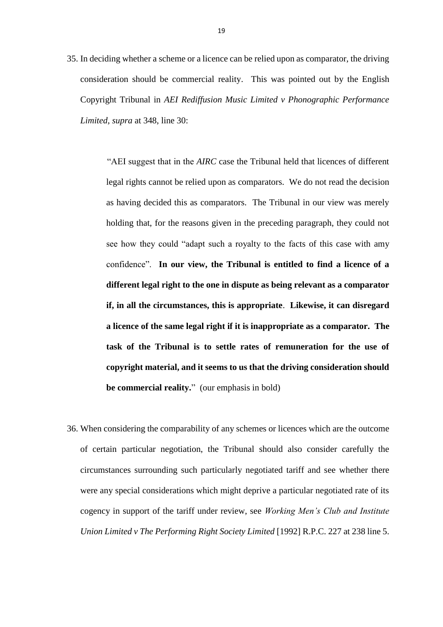35. In deciding whether a scheme or a licence can be relied upon as comparator, the driving consideration should be commercial reality. This was pointed out by the English Copyright Tribunal in *AEI Rediffusion Music Limited v Phonographic Performance Limited*, *supra* at 348, line 30:

> "AEI suggest that in the *AIRC* case the Tribunal held that licences of different legal rights cannot be relied upon as comparators. We do not read the decision as having decided this as comparators. The Tribunal in our view was merely holding that, for the reasons given in the preceding paragraph, they could not see how they could "adapt such a royalty to the facts of this case with amy confidence". **In our view, the Tribunal is entitled to find a licence of a different legal right to the one in dispute as being relevant as a comparator if, in all the circumstances, this is appropriate**. **Likewise, it can disregard a licence of the same legal right if it is inappropriate as a comparator. The task of the Tribunal is to settle rates of remuneration for the use of copyright material, and it seems to us that the driving consideration should be commercial reality.**"(our emphasis in bold)

36. When considering the comparability of any schemes or licences which are the outcome of certain particular negotiation, the Tribunal should also consider carefully the circumstances surrounding such particularly negotiated tariff and see whether there were any special considerations which might deprive a particular negotiated rate of its cogency in support of the tariff under review, see *Working Men's Club and Institute Union Limited v The Performing Right Society Limited* [1992] R.P.C. 227 at 238 line 5.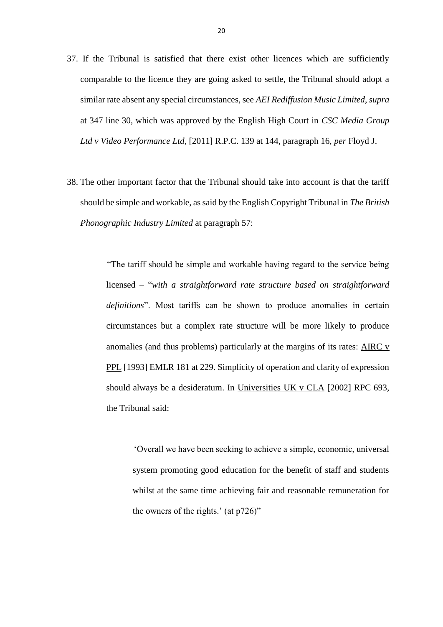- 37. If the Tribunal is satisfied that there exist other licences which are sufficiently comparable to the licence they are going asked to settle, the Tribunal should adopt a similar rate absent any special circumstances, see *AEI Rediffusion Music Limited*, *supra* at 347 line 30, which was approved by the English High Court in *CSC Media Group Ltd v Video Performance Ltd*, [2011] R.P.C. 139 at 144, paragraph 16, *per* Floyd J.
- 38. The other important factor that the Tribunal should take into account is that the tariff should be simple and workable, as said by the English Copyright Tribunal in *The British Phonographic Industry Limited* at paragraph 57:

"The tariff should be simple and workable having regard to the service being licensed – "*with a straightforward rate structure based on straightforward definitions*". Most tariffs can be shown to produce anomalies in certain circumstances but a complex rate structure will be more likely to produce anomalies (and thus problems) particularly at the margins of its rates: AIRC v PPL [1993] EMLR 181 at 229. Simplicity of operation and clarity of expression should always be a desideratum. In Universities UK v CLA [2002] RPC 693, the Tribunal said:

'Overall we have been seeking to achieve a simple, economic, universal system promoting good education for the benefit of staff and students whilst at the same time achieving fair and reasonable remuneration for the owners of the rights.' (at p726)"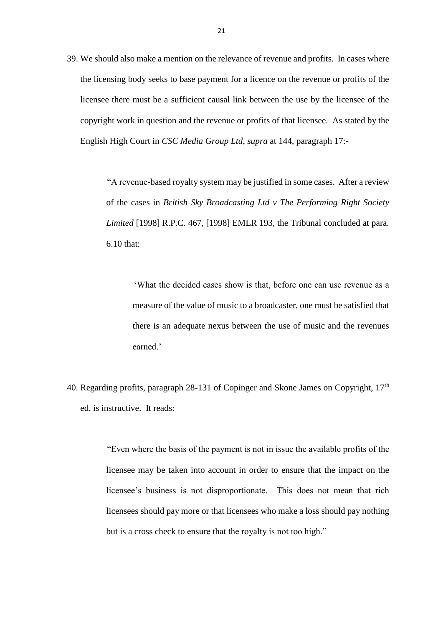39. We should also make a mention on the relevance of revenue and profits. In cases where the licensing body seeks to base payment for a licence on the revenue or profits of the licensee there must be a sufficient causal link between the use by the licensee of the copyright work in question and the revenue or profits of that licensee. As stated by the English High Court in *CSC Media Group Ltd*, *supra* at 144, paragraph 17:-

> "A revenue-based royalty system may be justified in some cases. After a review of the cases in *British Sky Broadcasting Ltd v The Performing Right Society Limited* [1998] R.P.C. 467, [1998] EMLR 193, the Tribunal concluded at para. 6.10 that:

'What the decided cases show is that, before one can use revenue as a measure of the value of music to a broadcaster, one must be satisfied that there is an adequate nexus between the use of music and the revenues earned.'

40. Regarding profits, paragraph 28-131 of Copinger and Skone James on Copyright,  $17<sup>th</sup>$ ed. is instructive. It reads:

> "Even where the basis of the payment is not in issue the available profits of the licensee may be taken into account in order to ensure that the impact on the licensee's business is not disproportionate. This does not mean that rich licensees should pay more or that licensees who make a loss should pay nothing but is a cross check to ensure that the royalty is not too high."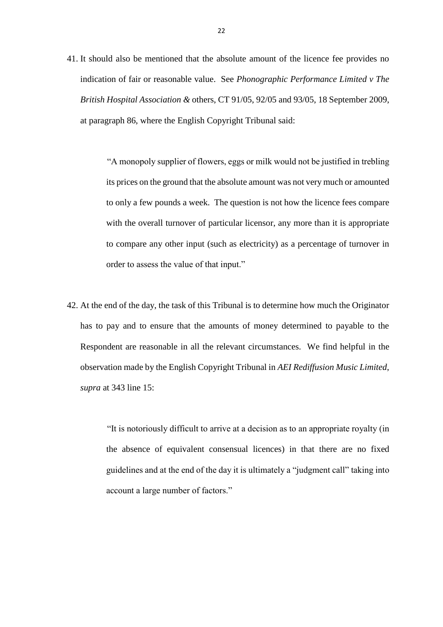41. It should also be mentioned that the absolute amount of the licence fee provides no indication of fair or reasonable value. See *Phonographic Performance Limited v The British Hospital Association &* others, CT 91/05, 92/05 and 93/05, 18 September 2009, at paragraph 86, where the English Copyright Tribunal said:

> "A monopoly supplier of flowers, eggs or milk would not be justified in trebling its prices on the ground that the absolute amount was not very much or amounted to only a few pounds a week. The question is not how the licence fees compare with the overall turnover of particular licensor, any more than it is appropriate to compare any other input (such as electricity) as a percentage of turnover in order to assess the value of that input."

42. At the end of the day, the task of this Tribunal is to determine how much the Originator has to pay and to ensure that the amounts of money determined to payable to the Respondent are reasonable in all the relevant circumstances. We find helpful in the observation made by the English Copyright Tribunal in *AEI Rediffusion Music Limited*, *supra* at 343 line 15:

> "It is notoriously difficult to arrive at a decision as to an appropriate royalty (in the absence of equivalent consensual licences) in that there are no fixed guidelines and at the end of the day it is ultimately a "judgment call" taking into account a large number of factors."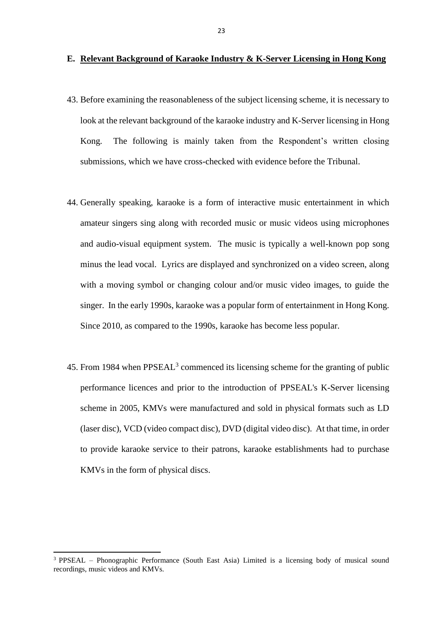#### **E. Relevant Background of Karaoke Industry & K-Server Licensing in Hong Kong**

- 43. Before examining the reasonableness of the subject licensing scheme, it is necessary to look at the relevant background of the karaoke industry and K-Server licensing in Hong Kong. The following is mainly taken from the Respondent's written closing submissions, which we have cross-checked with evidence before the Tribunal.
- 44. Generally speaking, karaoke is a form of interactive music entertainment in which amateur singers sing along with recorded music or music videos using microphones and audio-visual equipment system. The music is typically a well-known pop song minus the lead vocal. Lyrics are displayed and synchronized on a video screen, along with a moving symbol or changing colour and/or music video images, to guide the singer. In the early 1990s, karaoke was a popular form of entertainment in Hong Kong. Since 2010, as compared to the 1990s, karaoke has become less popular.
- 45. From 1984 when PPSEAL<sup>3</sup> commenced its licensing scheme for the granting of public performance licences and prior to the introduction of PPSEAL's K-Server licensing scheme in 2005, KMVs were manufactured and sold in physical formats such as LD (laser disc), VCD (video compact disc), DVD (digital video disc). At that time, in order to provide karaoke service to their patrons, karaoke establishments had to purchase KMVs in the form of physical discs.

**.** 

<sup>3</sup> PPSEAL – Phonographic Performance (South East Asia) Limited is a licensing body of musical sound recordings, music videos and KMVs.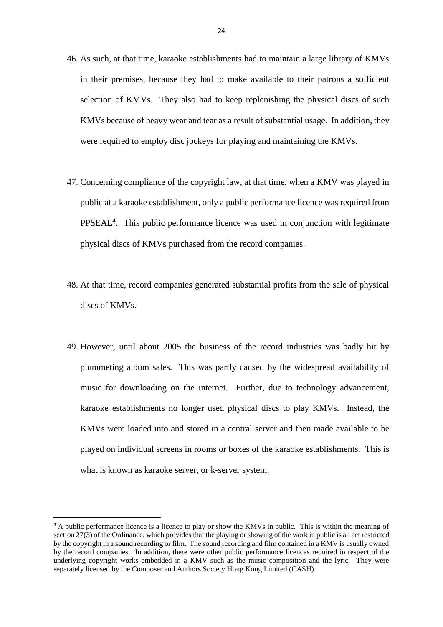- 46. As such, at that time, karaoke establishments had to maintain a large library of KMVs in their premises, because they had to make available to their patrons a sufficient selection of KMVs. They also had to keep replenishing the physical discs of such KMVs because of heavy wear and tear as a result of substantial usage. In addition, they were required to employ disc jockeys for playing and maintaining the KMVs.
- 47. Concerning compliance of the copyright law, at that time, when a KMV was played in public at a karaoke establishment, only a public performance licence was required from PPSEAL<sup>4</sup>. This public performance licence was used in conjunction with legitimate physical discs of KMVs purchased from the record companies.
- 48. At that time, record companies generated substantial profits from the sale of physical discs of KMVs.
- 49. However, until about 2005 the business of the record industries was badly hit by plummeting album sales. This was partly caused by the widespread availability of music for downloading on the internet. Further, due to technology advancement, karaoke establishments no longer used physical discs to play KMVs. Instead, the KMVs were loaded into and stored in a central server and then made available to be played on individual screens in rooms or boxes of the karaoke establishments. This is what is known as karaoke server, or k-server system.

1

<sup>&</sup>lt;sup>4</sup> A public performance licence is a licence to play or show the KMVs in public. This is within the meaning of section 27(3) of the Ordinance, which provides that the playing or showing of the work in public is an act restricted by the copyright in a sound recording or film. The sound recording and film contained in a KMV is usually owned by the record companies. In addition, there were other public performance licences required in respect of the underlying copyright works embedded in a KMV such as the music composition and the lyric. They were separately licensed by the Composer and Authors Society Hong Kong Limited (CASH).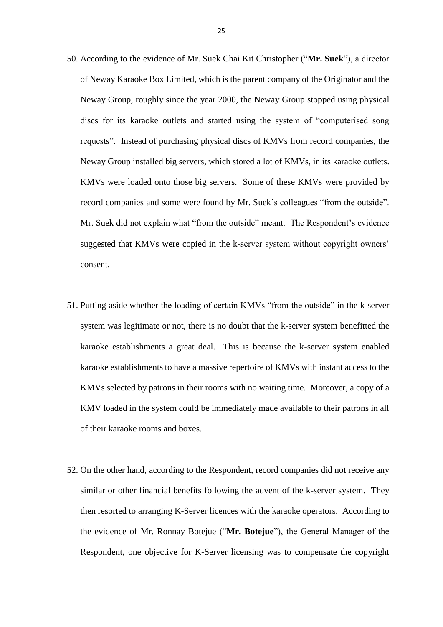- 50. According to the evidence of Mr. Suek Chai Kit Christopher ("**Mr. Suek**"), a director of Neway Karaoke Box Limited, which is the parent company of the Originator and the Neway Group, roughly since the year 2000, the Neway Group stopped using physical discs for its karaoke outlets and started using the system of "computerised song requests". Instead of purchasing physical discs of KMVs from record companies, the Neway Group installed big servers, which stored a lot of KMVs, in its karaoke outlets. KMVs were loaded onto those big servers. Some of these KMVs were provided by record companies and some were found by Mr. Suek's colleagues "from the outside". Mr. Suek did not explain what "from the outside" meant. The Respondent's evidence suggested that KMVs were copied in the k-server system without copyright owners' consent.
- 51. Putting aside whether the loading of certain KMVs "from the outside" in the k-server system was legitimate or not, there is no doubt that the k-server system benefitted the karaoke establishments a great deal. This is because the k-server system enabled karaoke establishments to have a massive repertoire of KMVs with instant access to the KMVs selected by patrons in their rooms with no waiting time. Moreover, a copy of a KMV loaded in the system could be immediately made available to their patrons in all of their karaoke rooms and boxes.
- 52. On the other hand, according to the Respondent, record companies did not receive any similar or other financial benefits following the advent of the k-server system. They then resorted to arranging K-Server licences with the karaoke operators. According to the evidence of Mr. Ronnay Botejue ("**Mr. Botejue**"), the General Manager of the Respondent, one objective for K-Server licensing was to compensate the copyright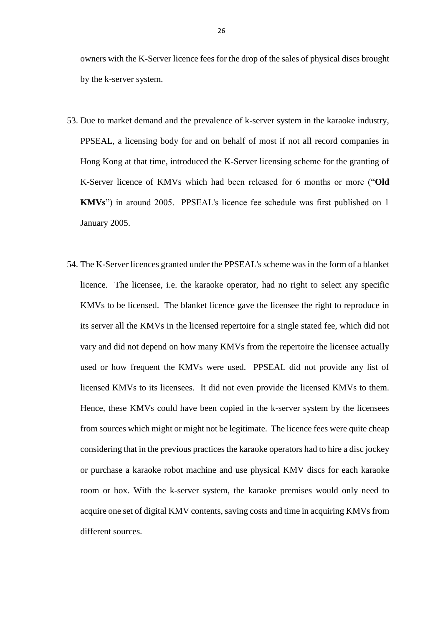owners with the K-Server licence fees for the drop of the sales of physical discs brought by the k-server system.

- 53. Due to market demand and the prevalence of k-server system in the karaoke industry, PPSEAL, a licensing body for and on behalf of most if not all record companies in Hong Kong at that time, introduced the K-Server licensing scheme for the granting of K-Server licence of KMVs which had been released for 6 months or more ("**Old KMVs**") in around 2005. PPSEAL's licence fee schedule was first published on 1 January 2005.
- 54. The K-Server licences granted under the PPSEAL's scheme was in the form of a blanket licence. The licensee, i.e. the karaoke operator, had no right to select any specific KMVs to be licensed. The blanket licence gave the licensee the right to reproduce in its server all the KMVs in the licensed repertoire for a single stated fee, which did not vary and did not depend on how many KMVs from the repertoire the licensee actually used or how frequent the KMVs were used. PPSEAL did not provide any list of licensed KMVs to its licensees. It did not even provide the licensed KMVs to them. Hence, these KMVs could have been copied in the k-server system by the licensees from sources which might or might not be legitimate. The licence fees were quite cheap considering that in the previous practices the karaoke operators had to hire a disc jockey or purchase a karaoke robot machine and use physical KMV discs for each karaoke room or box. With the k-server system, the karaoke premises would only need to acquire one set of digital KMV contents, saving costs and time in acquiring KMVs from different sources.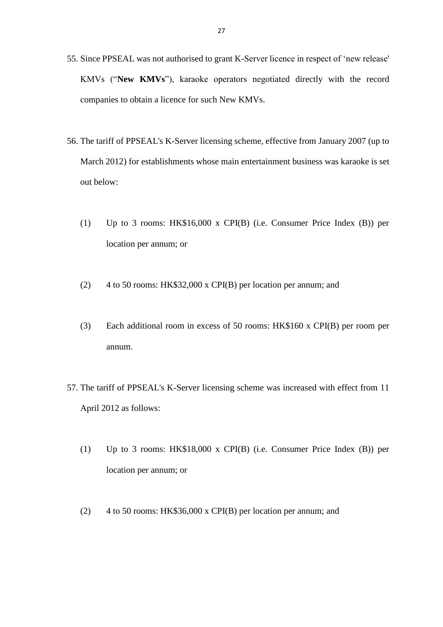- 55. Since PPSEAL was not authorised to grant K-Server licence in respect of 'new release' KMVs ("**New KMVs**"), karaoke operators negotiated directly with the record companies to obtain a licence for such New KMVs.
- 56. The tariff of PPSEAL's K-Server licensing scheme, effective from January 2007 (up to March 2012) for establishments whose main entertainment business was karaoke is set out below:
	- (1) Up to 3 rooms: HK\$16,000 x CPI(B) (i.e. Consumer Price Index (B)) per location per annum; or
	- (2) 4 to 50 rooms: HK\$32,000 x CPI(B) per location per annum; and
	- (3) Each additional room in excess of 50 rooms: HK\$160 x CPI(B) per room per annum.
- 57. The tariff of PPSEAL's K-Server licensing scheme was increased with effect from 11 April 2012 as follows:
	- (1) Up to 3 rooms: HK\$18,000 x CPI(B) (i.e. Consumer Price Index (B)) per location per annum; or
	- (2) 4 to 50 rooms: HK\$36,000 x CPI(B) per location per annum; and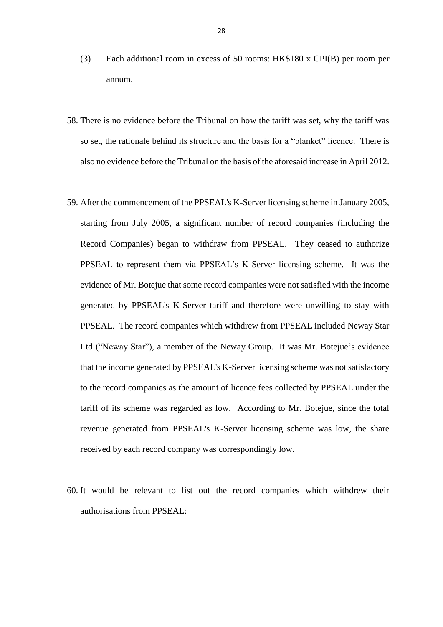- (3) Each additional room in excess of 50 rooms: HK\$180 x CPI(B) per room per annum.
- 58. There is no evidence before the Tribunal on how the tariff was set, why the tariff was so set, the rationale behind its structure and the basis for a "blanket" licence. There is also no evidence before the Tribunal on the basis of the aforesaid increase in April 2012.
- 59. After the commencement of the PPSEAL's K-Server licensing scheme in January 2005, starting from July 2005, a significant number of record companies (including the Record Companies) began to withdraw from PPSEAL. They ceased to authorize PPSEAL to represent them via PPSEAL's K-Server licensing scheme. It was the evidence of Mr. Botejue that some record companies were not satisfied with the income generated by PPSEAL's K-Server tariff and therefore were unwilling to stay with PPSEAL. The record companies which withdrew from PPSEAL included Neway Star Ltd ("Neway Star"), a member of the Neway Group. It was Mr. Botejue's evidence that the income generated by PPSEAL's K-Server licensing scheme was not satisfactory to the record companies as the amount of licence fees collected by PPSEAL under the tariff of its scheme was regarded as low. According to Mr. Botejue, since the total revenue generated from PPSEAL's K-Server licensing scheme was low, the share received by each record company was correspondingly low.
- 60. It would be relevant to list out the record companies which withdrew their authorisations from PPSEAL: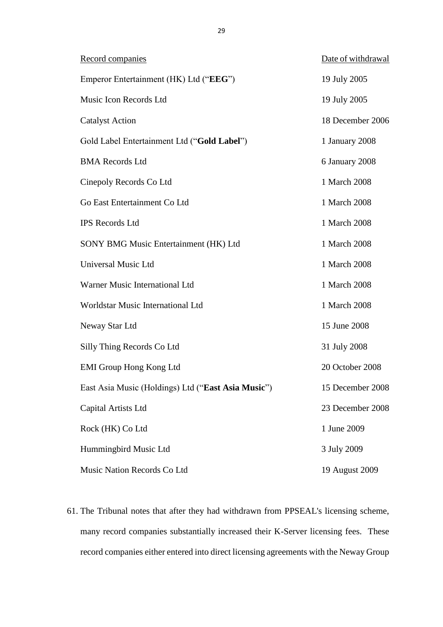| Record companies                                   | Date of withdrawal |
|----------------------------------------------------|--------------------|
| Emperor Entertainment (HK) Ltd ("EEG")             | 19 July 2005       |
| Music Icon Records Ltd                             | 19 July 2005       |
| <b>Catalyst Action</b>                             | 18 December 2006   |
| Gold Label Entertainment Ltd ("Gold Label")        | 1 January 2008     |
| <b>BMA Records Ltd</b>                             | 6 January 2008     |
| Cinepoly Records Co Ltd                            | 1 March 2008       |
| Go East Entertainment Co Ltd                       | 1 March 2008       |
| <b>IPS Records Ltd</b>                             | 1 March 2008       |
| SONY BMG Music Entertainment (HK) Ltd              | 1 March 2008       |
| Universal Music Ltd                                | 1 March 2008       |
| Warner Music International Ltd                     | 1 March 2008       |
| Worldstar Music International Ltd                  | 1 March 2008       |
| Neway Star Ltd                                     | 15 June 2008       |
| Silly Thing Records Co Ltd                         | 31 July 2008       |
| <b>EMI Group Hong Kong Ltd</b>                     | 20 October 2008    |
| East Asia Music (Holdings) Ltd ("East Asia Music") | 15 December 2008   |
| Capital Artists Ltd                                | 23 December 2008   |
| Rock (HK) Co Ltd                                   | 1 June 2009        |
| Hummingbird Music Ltd                              | 3 July 2009        |
| Music Nation Records Co Ltd                        | 19 August 2009     |

61. The Tribunal notes that after they had withdrawn from PPSEAL's licensing scheme, many record companies substantially increased their K-Server licensing fees. These record companies either entered into direct licensing agreements with the Neway Group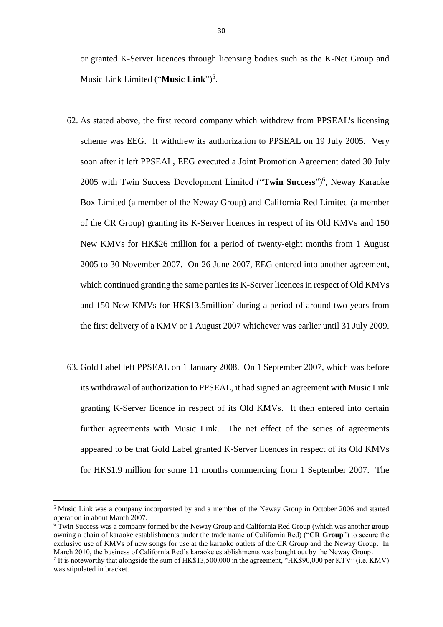or granted K-Server licences through licensing bodies such as the K-Net Group and Music Link Limited ("Music Link")<sup>5</sup>.

- 62. As stated above, the first record company which withdrew from PPSEAL's licensing scheme was EEG. It withdrew its authorization to PPSEAL on 19 July 2005. Very soon after it left PPSEAL, EEG executed a Joint Promotion Agreement dated 30 July 2005 with Twin Success Development Limited ("Twin Success")<sup>6</sup>, Neway Karaoke Box Limited (a member of the Neway Group) and California Red Limited (a member of the CR Group) granting its K-Server licences in respect of its Old KMVs and 150 New KMVs for HK\$26 million for a period of twenty-eight months from 1 August 2005 to 30 November 2007. On 26 June 2007, EEG entered into another agreement, which continued granting the same parties its K-Server licences in respect of Old KMVs and 150 New KMVs for HK\$13.5million<sup>7</sup> during a period of around two years from the first delivery of a KMV or 1 August 2007 whichever was earlier until 31 July 2009.
- 63. Gold Label left PPSEAL on 1 January 2008. On 1 September 2007, which was before its withdrawal of authorization to PPSEAL, it had signed an agreement with Music Link granting K-Server licence in respect of its Old KMVs. It then entered into certain further agreements with Music Link. The net effect of the series of agreements appeared to be that Gold Label granted K-Server licences in respect of its Old KMVs for HK\$1.9 million for some 11 months commencing from 1 September 2007. The

**.** 

<sup>5</sup> Music Link was a company incorporated by and a member of the Neway Group in October 2006 and started operation in about March 2007.

 $6$  Twin Success was a company formed by the Neway Group and California Red Group (which was another group owning a chain of karaoke establishments under the trade name of California Red) ("**CR Group**") to secure the exclusive use of KMVs of new songs for use at the karaoke outlets of the CR Group and the Neway Group. In March 2010, the business of California Red's karaoke establishments was bought out by the Neway Group.

<sup>7</sup> It is noteworthy that alongside the sum of HK\$13,500,000 in the agreement, "HK\$90,000 per KTV" (i.e. KMV) was stipulated in bracket.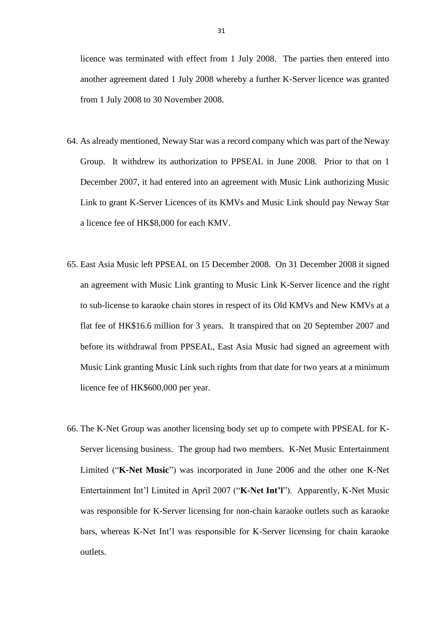licence was terminated with effect from 1 July 2008. The parties then entered into another agreement dated 1 July 2008 whereby a further K-Server licence was granted from 1 July 2008 to 30 November 2008.

- 64. As already mentioned, Neway Star was a record company which was part of the Neway Group. It withdrew its authorization to PPSEAL in June 2008. Prior to that on 1 December 2007, it had entered into an agreement with Music Link authorizing Music Link to grant K-Server Licences of its KMVs and Music Link should pay Neway Star a licence fee of HK\$8,000 for each KMV.
- 65. East Asia Music left PPSEAL on 15 December 2008. On 31 December 2008 it signed an agreement with Music Link granting to Music Link K-Server licence and the right to sub-license to karaoke chain stores in respect of its Old KMVs and New KMVs at a flat fee of HK\$16.6 million for 3 years. It transpired that on 20 September 2007 and before its withdrawal from PPSEAL, East Asia Music had signed an agreement with Music Link granting Music Link such rights from that date for two years at a minimum licence fee of HK\$600,000 per year.
- 66. The K-Net Group was another licensing body set up to compete with PPSEAL for K-Server licensing business. The group had two members. K-Net Music Entertainment Limited ("**K-Net Music**") was incorporated in June 2006 and the other one K-Net Entertainment Int'l Limited in April 2007 ("**K-Net Int'l**"). Apparently, K-Net Music was responsible for K-Server licensing for non-chain karaoke outlets such as karaoke bars, whereas K-Net Int'l was responsible for K-Server licensing for chain karaoke outlets.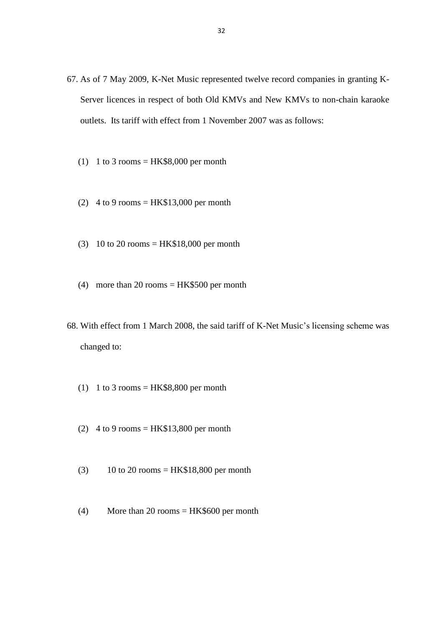- 67. As of 7 May 2009, K-Net Music represented twelve record companies in granting K-Server licences in respect of both Old KMVs and New KMVs to non-chain karaoke outlets. Its tariff with effect from 1 November 2007 was as follows:
	- (1) 1 to 3 rooms =  $HK$8,000$  per month
	- (2)  $4$  to 9 rooms = HK\$13,000 per month
	- (3) 10 to 20 rooms =  $HK$18,000$  per month
	- (4) more than 20 rooms  $=$  HK\$500 per month
- 68. With effect from 1 March 2008, the said tariff of K-Net Music's licensing scheme was changed to:
	- (1) 1 to 3 rooms =  $HK$8,800$  per month
	- (2)  $4$  to 9 rooms = HK\$13,800 per month
	- $(3)$  10 to 20 rooms = HK\$18,800 per month
	- (4) More than 20 rooms  $=$  HK\$600 per month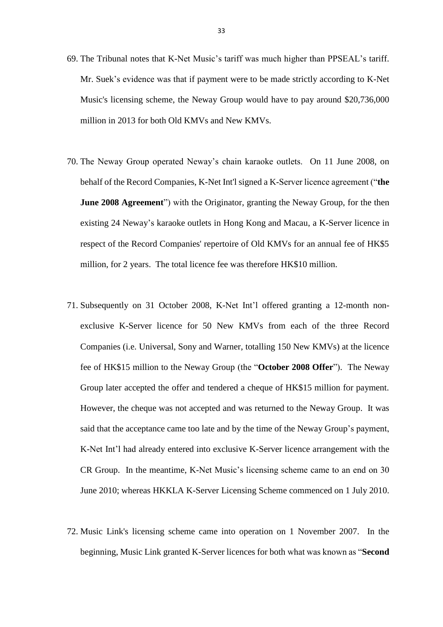- 69. The Tribunal notes that K-Net Music's tariff was much higher than PPSEAL's tariff. Mr. Suek's evidence was that if payment were to be made strictly according to K-Net Music's licensing scheme, the Neway Group would have to pay around \$20,736,000 million in 2013 for both Old KMVs and New KMVs.
- 70. The Neway Group operated Neway's chain karaoke outlets. On 11 June 2008, on behalf of the Record Companies, K-Net Int'l signed a K-Server licence agreement ("**the June 2008 Agreement**") with the Originator, granting the Neway Group, for the then existing 24 Neway's karaoke outlets in Hong Kong and Macau, a K-Server licence in respect of the Record Companies' repertoire of Old KMVs for an annual fee of HK\$5 million, for 2 years. The total licence fee was therefore HK\$10 million.
- 71. Subsequently on 31 October 2008, K-Net Int'l offered granting a 12-month nonexclusive K-Server licence for 50 New KMVs from each of the three Record Companies (i.e. Universal, Sony and Warner, totalling 150 New KMVs) at the licence fee of HK\$15 million to the Neway Group (the "**October 2008 Offer**"). The Neway Group later accepted the offer and tendered a cheque of HK\$15 million for payment. However, the cheque was not accepted and was returned to the Neway Group. It was said that the acceptance came too late and by the time of the Neway Group's payment, K-Net Int'l had already entered into exclusive K-Server licence arrangement with the CR Group. In the meantime, K-Net Music's licensing scheme came to an end on 30 June 2010; whereas HKKLA K-Server Licensing Scheme commenced on 1 July 2010.
- 72. Music Link's licensing scheme came into operation on 1 November 2007. In the beginning, Music Link granted K-Server licences for both what was known as "**Second**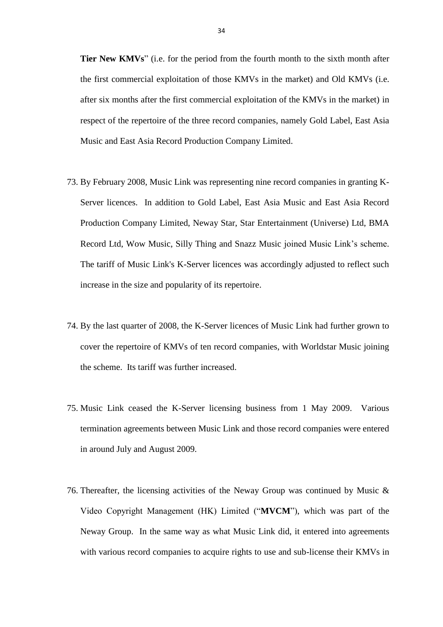**Tier New KMVs**" (i.e. for the period from the fourth month to the sixth month after the first commercial exploitation of those KMVs in the market) and Old KMVs (i.e. after six months after the first commercial exploitation of the KMVs in the market) in respect of the repertoire of the three record companies, namely Gold Label, East Asia Music and East Asia Record Production Company Limited.

- 73. By February 2008, Music Link was representing nine record companies in granting K-Server licences. In addition to Gold Label, East Asia Music and East Asia Record Production Company Limited, Neway Star, Star Entertainment (Universe) Ltd, BMA Record Ltd, Wow Music, Silly Thing and Snazz Music joined Music Link's scheme. The tariff of Music Link's K-Server licences was accordingly adjusted to reflect such increase in the size and popularity of its repertoire.
- 74. By the last quarter of 2008, the K-Server licences of Music Link had further grown to cover the repertoire of KMVs of ten record companies, with Worldstar Music joining the scheme. Its tariff was further increased.
- 75. Music Link ceased the K-Server licensing business from 1 May 2009. Various termination agreements between Music Link and those record companies were entered in around July and August 2009.
- 76. Thereafter, the licensing activities of the Neway Group was continued by Music & Video Copyright Management (HK) Limited ("**MVCM**"), which was part of the Neway Group. In the same way as what Music Link did, it entered into agreements with various record companies to acquire rights to use and sub-license their KMVs in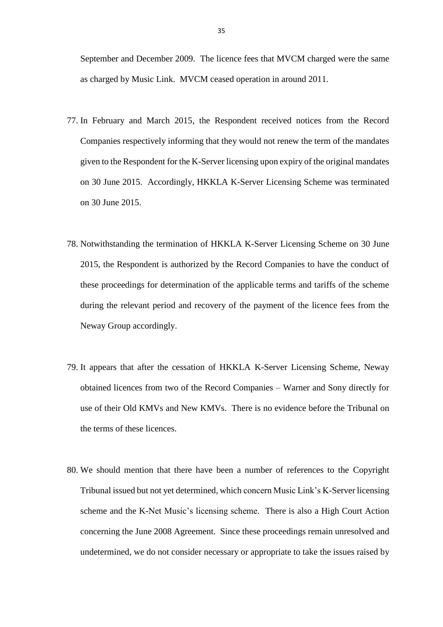September and December 2009. The licence fees that MVCM charged were the same as charged by Music Link. MVCM ceased operation in around 2011.

- 77. In February and March 2015, the Respondent received notices from the Record Companies respectively informing that they would not renew the term of the mandates given to the Respondent for the K-Server licensing upon expiry of the original mandates on 30 June 2015. Accordingly, HKKLA K-Server Licensing Scheme was terminated on 30 June 2015.
- 78. Notwithstanding the termination of HKKLA K-Server Licensing Scheme on 30 June 2015, the Respondent is authorized by the Record Companies to have the conduct of these proceedings for determination of the applicable terms and tariffs of the scheme during the relevant period and recovery of the payment of the licence fees from the Neway Group accordingly.
- 79. It appears that after the cessation of HKKLA K-Server Licensing Scheme, Neway obtained licences from two of the Record Companies – Warner and Sony directly for use of their Old KMVs and New KMVs. There is no evidence before the Tribunal on the terms of these licences.
- 80. We should mention that there have been a number of references to the Copyright Tribunal issued but not yet determined, which concern Music Link's K-Server licensing scheme and the K-Net Music's licensing scheme. There is also a High Court Action concerning the June 2008 Agreement. Since these proceedings remain unresolved and undetermined, we do not consider necessary or appropriate to take the issues raised by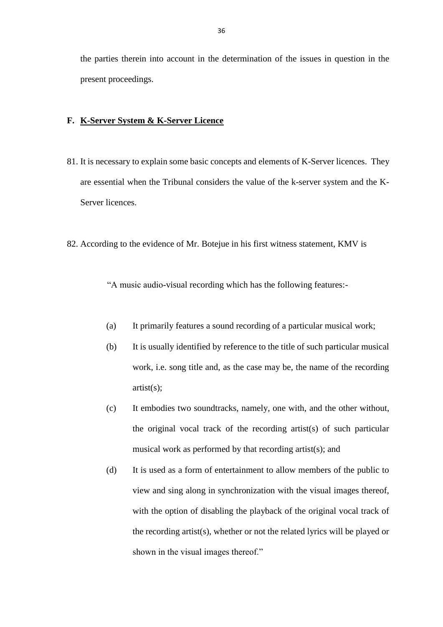the parties therein into account in the determination of the issues in question in the present proceedings.

## **F. K-Server System & K-Server Licence**

- 81. It is necessary to explain some basic concepts and elements of K-Server licences. They are essential when the Tribunal considers the value of the k-server system and the K-Server licences.
- 82. According to the evidence of Mr. Botejue in his first witness statement, KMV is

"A music audio-visual recording which has the following features:-

- (a) It primarily features a sound recording of a particular musical work;
- (b) It is usually identified by reference to the title of such particular musical work, i.e. song title and, as the case may be, the name of the recording artist(s);
- (c) It embodies two soundtracks, namely, one with, and the other without, the original vocal track of the recording artist(s) of such particular musical work as performed by that recording artist(s); and
- (d) It is used as a form of entertainment to allow members of the public to view and sing along in synchronization with the visual images thereof, with the option of disabling the playback of the original vocal track of the recording artist(s), whether or not the related lyrics will be played or shown in the visual images thereof."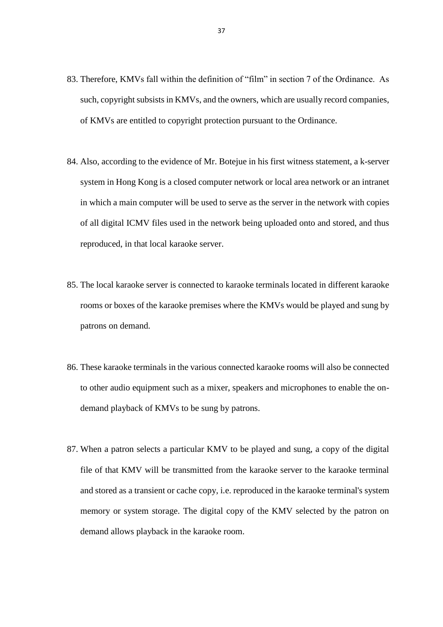- 83. Therefore, KMVs fall within the definition of "film" in section 7 of the Ordinance. As such, copyright subsists in KMVs, and the owners, which are usually record companies, of KMVs are entitled to copyright protection pursuant to the Ordinance.
- 84. Also, according to the evidence of Mr. Botejue in his first witness statement, a k-server system in Hong Kong is a closed computer network or local area network or an intranet in which a main computer will be used to serve as the server in the network with copies of all digital ICMV files used in the network being uploaded onto and stored, and thus reproduced, in that local karaoke server.
- 85. The local karaoke server is connected to karaoke terminals located in different karaoke rooms or boxes of the karaoke premises where the KMVs would be played and sung by patrons on demand.
- 86. These karaoke terminals in the various connected karaoke rooms will also be connected to other audio equipment such as a mixer, speakers and microphones to enable the ondemand playback of KMVs to be sung by patrons.
- 87. When a patron selects a particular KMV to be played and sung, a copy of the digital file of that KMV will be transmitted from the karaoke server to the karaoke terminal and stored as a transient or cache copy, i.e. reproduced in the karaoke terminal's system memory or system storage. The digital copy of the KMV selected by the patron on demand allows playback in the karaoke room.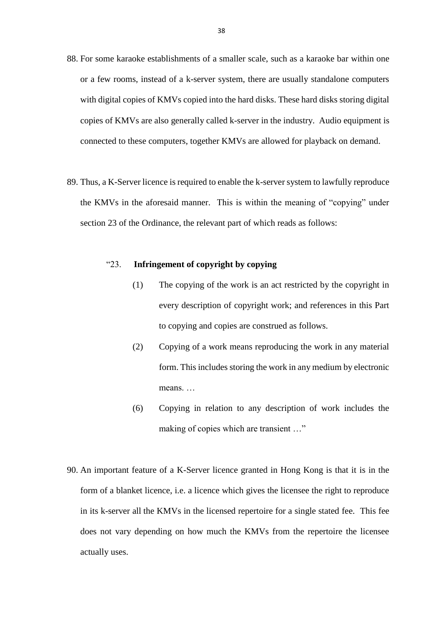- 88. For some karaoke establishments of a smaller scale, such as a karaoke bar within one or a few rooms, instead of a k-server system, there are usually standalone computers with digital copies of KMVs copied into the hard disks. These hard disks storing digital copies of KMVs are also generally called k-server in the industry. Audio equipment is connected to these computers, together KMVs are allowed for playback on demand.
- 89. Thus, a K-Server licence is required to enable the k-server system to lawfully reproduce the KMVs in the aforesaid manner. This is within the meaning of "copying" under section 23 of the Ordinance, the relevant part of which reads as follows:

### "23. **Infringement of copyright by copying**

- (1) The copying of the work is an act restricted by the copyright in every description of copyright work; and references in this Part to copying and copies are construed as follows.
- (2) Copying of a work means reproducing the work in any material form. This includes storing the work in any medium by electronic means. …
- (6) Copying in relation to any description of work includes the making of copies which are transient …"
- 90. An important feature of a K-Server licence granted in Hong Kong is that it is in the form of a blanket licence, i.e. a licence which gives the licensee the right to reproduce in its k-server all the KMVs in the licensed repertoire for a single stated fee. This fee does not vary depending on how much the KMVs from the repertoire the licensee actually uses.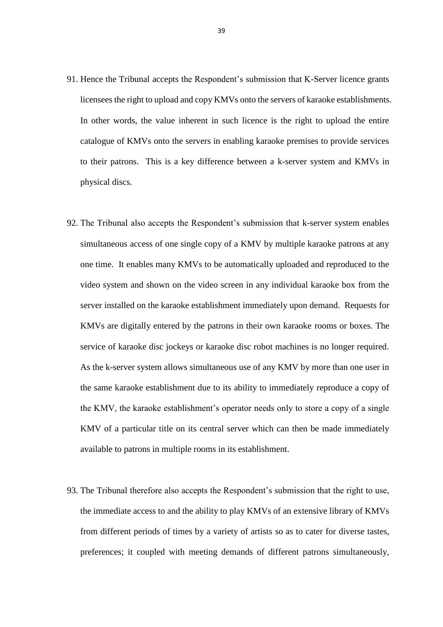- 91. Hence the Tribunal accepts the Respondent's submission that K-Server licence grants licensees the right to upload and copy KMVs onto the servers of karaoke establishments. In other words, the value inherent in such licence is the right to upload the entire catalogue of KMVs onto the servers in enabling karaoke premises to provide services to their patrons. This is a key difference between a k-server system and KMVs in physical discs.
- 92. The Tribunal also accepts the Respondent's submission that k-server system enables simultaneous access of one single copy of a KMV by multiple karaoke patrons at any one time. It enables many KMVs to be automatically uploaded and reproduced to the video system and shown on the video screen in any individual karaoke box from the server installed on the karaoke establishment immediately upon demand. Requests for KMVs are digitally entered by the patrons in their own karaoke rooms or boxes. The service of karaoke disc jockeys or karaoke disc robot machines is no longer required. As the k-server system allows simultaneous use of any KMV by more than one user in the same karaoke establishment due to its ability to immediately reproduce a copy of the KMV, the karaoke establishment's operator needs only to store a copy of a single KMV of a particular title on its central server which can then be made immediately available to patrons in multiple rooms in its establishment.
- 93. The Tribunal therefore also accepts the Respondent's submission that the right to use, the immediate access to and the ability to play KMVs of an extensive library of KMVs from different periods of times by a variety of artists so as to cater for diverse tastes, preferences; it coupled with meeting demands of different patrons simultaneously,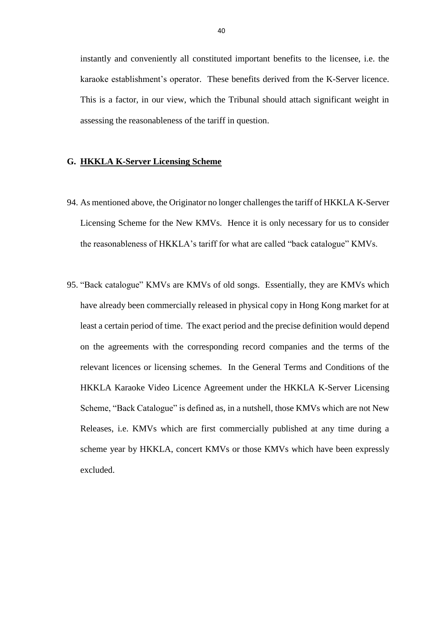instantly and conveniently all constituted important benefits to the licensee, i.e. the karaoke establishment's operator. These benefits derived from the K-Server licence. This is a factor, in our view, which the Tribunal should attach significant weight in assessing the reasonableness of the tariff in question.

# **G. HKKLA K-Server Licensing Scheme**

- 94. As mentioned above, the Originator no longer challenges the tariff of HKKLA K-Server Licensing Scheme for the New KMVs. Hence it is only necessary for us to consider the reasonableness of HKKLA's tariff for what are called "back catalogue" KMVs.
- 95. "Back catalogue" KMVs are KMVs of old songs. Essentially, they are KMVs which have already been commercially released in physical copy in Hong Kong market for at least a certain period of time. The exact period and the precise definition would depend on the agreements with the corresponding record companies and the terms of the relevant licences or licensing schemes. In the General Terms and Conditions of the HKKLA Karaoke Video Licence Agreement under the HKKLA K-Server Licensing Scheme, "Back Catalogue" is defined as, in a nutshell, those KMVs which are not New Releases, i.e. KMVs which are first commercially published at any time during a scheme year by HKKLA, concert KMVs or those KMVs which have been expressly excluded.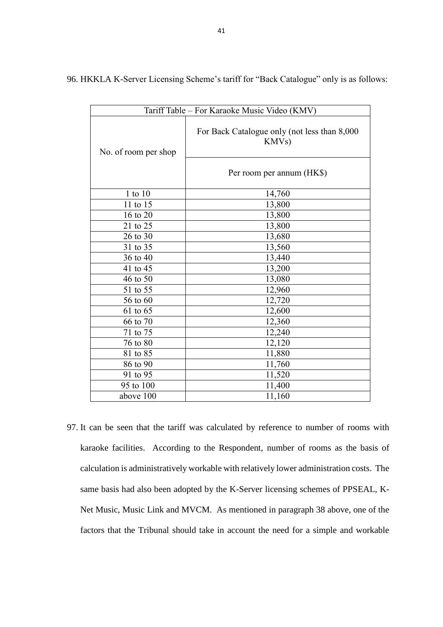| Tariff Table – For Karaoke Music Video (KMV) |                                                                    |
|----------------------------------------------|--------------------------------------------------------------------|
| No. of room per shop                         | For Back Catalogue only (not less than 8,000<br>KMV <sub>s</sub> ) |
|                                              | Per room per annum (HK\$)                                          |
| 1 to 10                                      | 14,760                                                             |
| 11 to 15                                     | 13,800                                                             |
| 16 to 20                                     | 13,800                                                             |
| 21 to 25                                     | 13,800                                                             |
| 26 to 30                                     | 13,680                                                             |
| 31 to 35                                     | 13,560                                                             |
| 36 to 40                                     | 13,440                                                             |
| 41 to 45                                     | 13,200                                                             |
| 46 to 50                                     | 13,080                                                             |
| 51 to 55                                     | 12,960                                                             |
| 56 to 60                                     | 12,720                                                             |
| 61 to 65                                     | 12,600                                                             |
| 66 to 70                                     | 12,360                                                             |
| 71 to 75                                     | 12,240                                                             |
| 76 to 80                                     | 12,120                                                             |
| 81 to 85                                     | 11,880                                                             |
| 86 to 90                                     | 11,760                                                             |
| 91 to 95                                     | 11,520                                                             |
| 95 to 100                                    | 11,400                                                             |
| above 100                                    | 11,160                                                             |

96. HKKLA K-Server Licensing Scheme's tariff for "Back Catalogue" only is as follows:

97. It can be seen that the tariff was calculated by reference to number of rooms with karaoke facilities. According to the Respondent, number of rooms as the basis of calculation is administratively workable with relatively lower administration costs. The same basis had also been adopted by the K-Server licensing schemes of PPSEAL, K-Net Music, Music Link and MVCM. As mentioned in paragraph 38 above, one of the factors that the Tribunal should take in account the need for a simple and workable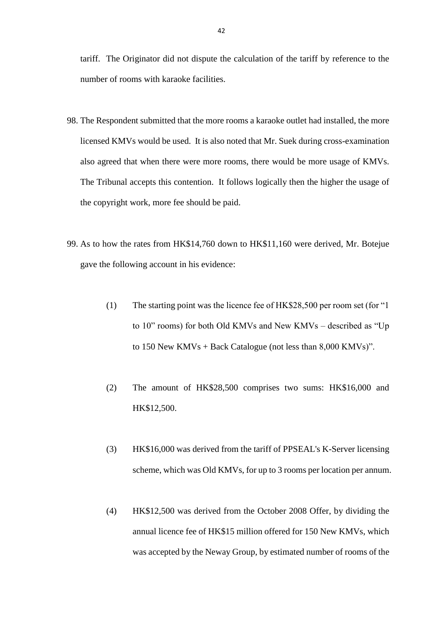tariff. The Originator did not dispute the calculation of the tariff by reference to the number of rooms with karaoke facilities.

- 98. The Respondent submitted that the more rooms a karaoke outlet had installed, the more licensed KMVs would be used. It is also noted that Mr. Suek during cross-examination also agreed that when there were more rooms, there would be more usage of KMVs. The Tribunal accepts this contention. It follows logically then the higher the usage of the copyright work, more fee should be paid.
- 99. As to how the rates from HK\$14,760 down to HK\$11,160 were derived, Mr. Botejue gave the following account in his evidence:
	- (1) The starting point was the licence fee of HK\$28,500 per room set (for "1 to 10" rooms) for both Old KMVs and New KMVs – described as "Up to 150 New KMVs + Back Catalogue (not less than 8,000 KMVs)".
	- (2) The amount of HK\$28,500 comprises two sums: HK\$16,000 and HK\$12,500.
	- (3) HK\$16,000 was derived from the tariff of PPSEAL's K-Server licensing scheme, which was Old KMVs, for up to 3 rooms per location per annum.
	- (4) HK\$12,500 was derived from the October 2008 Offer, by dividing the annual licence fee of HK\$15 million offered for 150 New KMVs, which was accepted by the Neway Group, by estimated number of rooms of the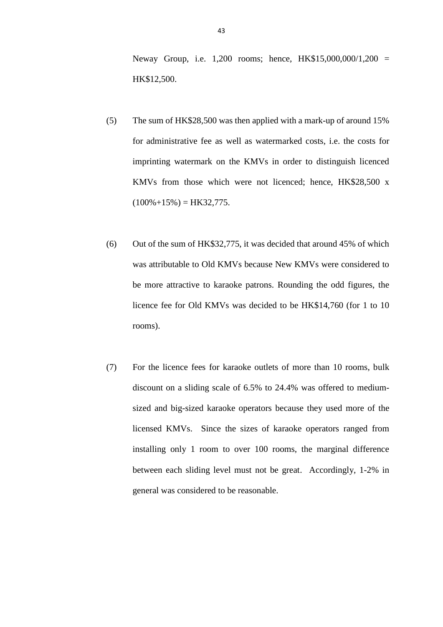Neway Group, i.e. 1,200 rooms; hence, HK\$15,000,000/1,200 = HK\$12,500.

- (5) The sum of HK\$28,500 was then applied with a mark-up of around 15% for administrative fee as well as watermarked costs, i.e. the costs for imprinting watermark on the KMVs in order to distinguish licenced KMVs from those which were not licenced; hence, HK\$28,500 x  $(100\% + 15\%) =$  HK32,775.
- (6) Out of the sum of HK\$32,775, it was decided that around 45% of which was attributable to Old KMVs because New KMVs were considered to be more attractive to karaoke patrons. Rounding the odd figures, the licence fee for Old KMVs was decided to be HK\$14,760 (for 1 to 10 rooms).
- (7) For the licence fees for karaoke outlets of more than 10 rooms, bulk discount on a sliding scale of 6.5% to 24.4% was offered to mediumsized and big-sized karaoke operators because they used more of the licensed KMVs. Since the sizes of karaoke operators ranged from installing only 1 room to over 100 rooms, the marginal difference between each sliding level must not be great. Accordingly, 1-2% in general was considered to be reasonable.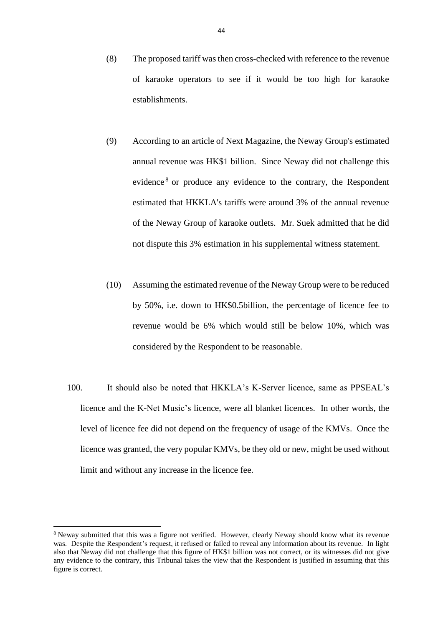- (8) The proposed tariff was then cross-checked with reference to the revenue of karaoke operators to see if it would be too high for karaoke establishments.
- (9) According to an article of Next Magazine, the Neway Group's estimated annual revenue was HK\$1 billion. Since Neway did not challenge this evidence<sup>8</sup> or produce any evidence to the contrary, the Respondent estimated that HKKLA's tariffs were around 3% of the annual revenue of the Neway Group of karaoke outlets. Mr. Suek admitted that he did not dispute this 3% estimation in his supplemental witness statement.
- (10) Assuming the estimated revenue of the Neway Group were to be reduced by 50%, i.e. down to HK\$0.5billion, the percentage of licence fee to revenue would be 6% which would still be below 10%, which was considered by the Respondent to be reasonable.
- 100. It should also be noted that HKKLA's K-Server licence, same as PPSEAL's licence and the K-Net Music's licence, were all blanket licences. In other words, the level of licence fee did not depend on the frequency of usage of the KMVs. Once the licence was granted, the very popular KMVs, be they old or new, might be used without limit and without any increase in the licence fee.

**.** 

<sup>8</sup> Neway submitted that this was a figure not verified. However, clearly Neway should know what its revenue was. Despite the Respondent's request, it refused or failed to reveal any information about its revenue. In light also that Neway did not challenge that this figure of HK\$1 billion was not correct, or its witnesses did not give any evidence to the contrary, this Tribunal takes the view that the Respondent is justified in assuming that this figure is correct.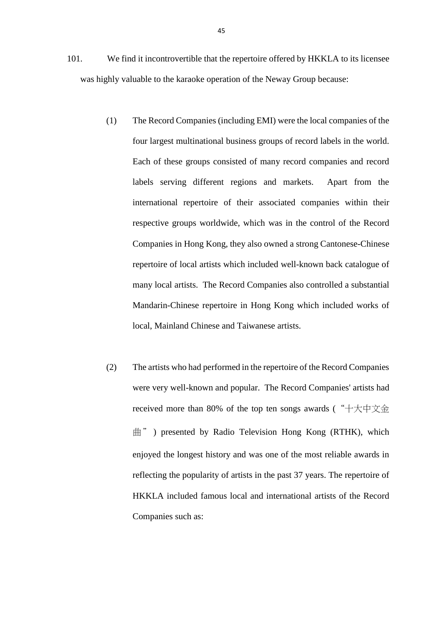- (1) The Record Companies (including EMI) were the local companies of the four largest multinational business groups of record labels in the world. Each of these groups consisted of many record companies and record labels serving different regions and markets. Apart from the international repertoire of their associated companies within their respective groups worldwide, which was in the control of the Record Companies in Hong Kong, they also owned a strong Cantonese-Chinese repertoire of local artists which included well-known back catalogue of many local artists. The Record Companies also controlled a substantial Mandarin-Chinese repertoire in Hong Kong which included works of local, Mainland Chinese and Taiwanese artists.
- (2) The artists who had performed in the repertoire of the Record Companies were very well-known and popular. The Record Companies' artists had received more than 80% of the top ten songs awards ("十大中文金 曲") presented by Radio Television Hong Kong (RTHK), which enjoyed the longest history and was one of the most reliable awards in reflecting the popularity of artists in the past 37 years. The repertoire of HKKLA included famous local and international artists of the Record Companies such as: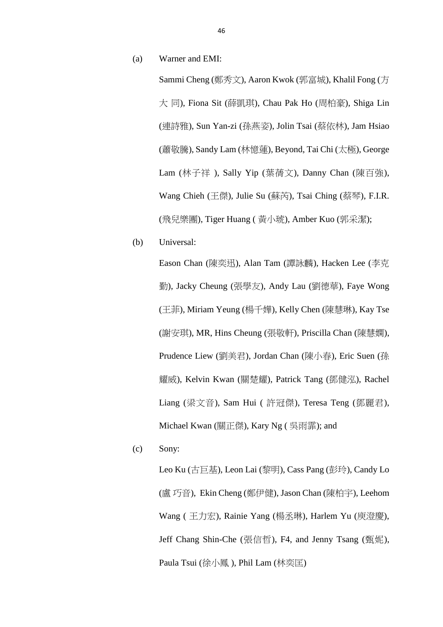(a) Warner and EMI:

Sammi Cheng (鄭秀文), Aaron Kwok (郭富城), Khalil Fong (方 大 同), Fiona Sit (薛凱琪), Chau Pak Ho (周柏豪), Shiga Lin (連詩雅), Sun Yan-zi (孫燕姿), Jolin Tsai (蔡依林), Jam Hsiao (蕭敬騰), Sandy Lam (林憶蓮), Beyond, Tai Chi (太極), George Lam (林子祥 ), Sally Yip (葉蒨文), Danny Chan (陳百強), Wang Chieh (王傑), Julie Su (蘇芮), Tsai Ching (蔡琴), F.I.R. (飛兒樂團), Tiger Huang ( 黃小琥), Amber Kuo (郭采潔);

(b) Universal:

Eason Chan (陳奕迅), Alan Tam (譚詠麟), Hacken Lee (李克 勤), Jacky Cheung (張學友), Andy Lau (劉德華), Faye Wong (王菲), Miriam Yeung (楊千嬅), Kelly Chen (陳慧琳), Kay Tse (謝安琪), MR, Hins Cheung (張敬軒), Priscilla Chan (陳慧嫻), Prudence Liew (劉美君), Jordan Chan (陳小春), Eric Suen (孫 耀威), Kelvin Kwan (關楚耀), Patrick Tang (鄧健泓), Rachel Liang (梁文音), Sam Hui ( 許冠傑), Teresa Teng (鄧麗君), Michael Kwan (關正傑), Kary Ng ( 吳雨霏); and

(c) Sony:

Leo Ku (古巨基), Leon Lai (黎明), Cass Pang (彭玲), Candy Lo (盧 巧音), Ekin Cheng (鄭伊健), Jason Chan (陳柏宇), Leehom Wang ( 王力宏), Rainie Yang (楊丞琳), Harlem Yu (庾澄慶), Jeff Chang Shin-Che (張信哲), F4, and Jenny Tsang (甄妮), Paula Tsui (徐小鳳 ), Phil Lam (林奕匡)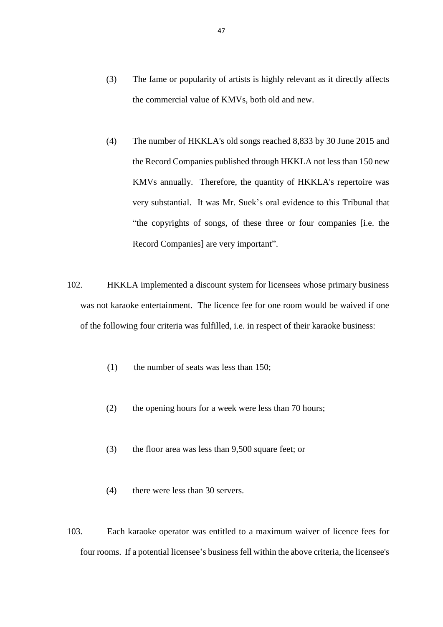- (3) The fame or popularity of artists is highly relevant as it directly affects the commercial value of KMVs, both old and new.
- (4) The number of HKKLA's old songs reached 8,833 by 30 June 2015 and the Record Companies published through HKKLA not less than 150 new KMVs annually. Therefore, the quantity of HKKLA's repertoire was very substantial. It was Mr. Suek's oral evidence to this Tribunal that "the copyrights of songs, of these three or four companies [i.e. the Record Companies] are very important".
- 102. HKKLA implemented a discount system for licensees whose primary business was not karaoke entertainment. The licence fee for one room would be waived if one of the following four criteria was fulfilled, i.e. in respect of their karaoke business:
	- (1) the number of seats was less than 150;
	- (2) the opening hours for a week were less than 70 hours;
	- (3) the floor area was less than 9,500 square feet; or
	- (4) there were less than 30 servers.
- 103. Each karaoke operator was entitled to a maximum waiver of licence fees for four rooms. If a potential licensee's business fell within the above criteria, the licensee's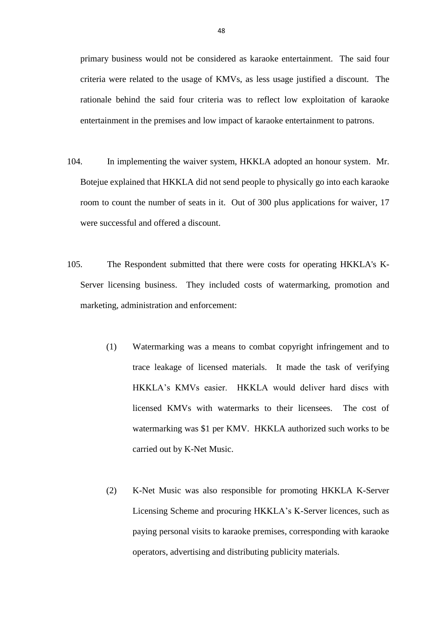primary business would not be considered as karaoke entertainment. The said four criteria were related to the usage of KMVs, as less usage justified a discount. The rationale behind the said four criteria was to reflect low exploitation of karaoke entertainment in the premises and low impact of karaoke entertainment to patrons.

- 104. In implementing the waiver system, HKKLA adopted an honour system. Mr. Botejue explained that HKKLA did not send people to physically go into each karaoke room to count the number of seats in it. Out of 300 plus applications for waiver, 17 were successful and offered a discount.
- 105. The Respondent submitted that there were costs for operating HKKLA's K-Server licensing business. They included costs of watermarking, promotion and marketing, administration and enforcement:
	- (1) Watermarking was a means to combat copyright infringement and to trace leakage of licensed materials. It made the task of verifying HKKLA's KMVs easier. HKKLA would deliver hard discs with licensed KMVs with watermarks to their licensees. The cost of watermarking was \$1 per KMV. HKKLA authorized such works to be carried out by K-Net Music.
	- (2) K-Net Music was also responsible for promoting HKKLA K-Server Licensing Scheme and procuring HKKLA's K-Server licences, such as paying personal visits to karaoke premises, corresponding with karaoke operators, advertising and distributing publicity materials.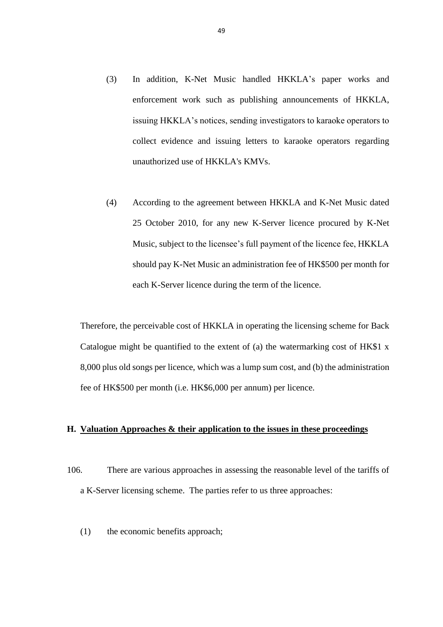- (3) In addition, K-Net Music handled HKKLA's paper works and enforcement work such as publishing announcements of HKKLA, issuing HKKLA's notices, sending investigators to karaoke operators to collect evidence and issuing letters to karaoke operators regarding unauthorized use of HKKLA's KMVs.
- (4) According to the agreement between HKKLA and K-Net Music dated 25 October 2010, for any new K-Server licence procured by K-Net Music, subject to the licensee's full payment of the licence fee, HKKLA should pay K-Net Music an administration fee of HK\$500 per month for each K-Server licence during the term of the licence.

Therefore, the perceivable cost of HKKLA in operating the licensing scheme for Back Catalogue might be quantified to the extent of (a) the watermarking cost of HK\$1 x 8,000 plus old songs per licence, which was a lump sum cost, and (b) the administration fee of HK\$500 per month (i.e. HK\$6,000 per annum) per licence.

## **H. Valuation Approaches & their application to the issues in these proceedings**

- 106. There are various approaches in assessing the reasonable level of the tariffs of a K-Server licensing scheme. The parties refer to us three approaches:
	- (1) the economic benefits approach;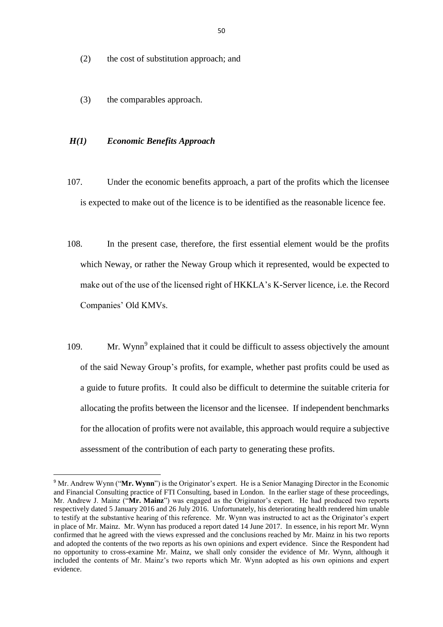(2) the cost of substitution approach; and

(3) the comparables approach.

#### *H(1) Economic Benefits Approach*

**.** 

- 107. Under the economic benefits approach, a part of the profits which the licensee is expected to make out of the licence is to be identified as the reasonable licence fee.
- 108. In the present case, therefore, the first essential element would be the profits which Neway, or rather the Neway Group which it represented, would be expected to make out of the use of the licensed right of HKKLA's K-Server licence, i.e. the Record Companies' Old KMVs.
- 109. Mr. Wynn<sup>9</sup> explained that it could be difficult to assess objectively the amount of the said Neway Group's profits, for example, whether past profits could be used as a guide to future profits. It could also be difficult to determine the suitable criteria for allocating the profits between the licensor and the licensee. If independent benchmarks for the allocation of profits were not available, this approach would require a subjective assessment of the contribution of each party to generating these profits.

<sup>&</sup>lt;sup>9</sup> Mr. Andrew Wynn ("Mr. Wynn") is the Originator's expert. He is a Senior Managing Director in the Economic and Financial Consulting practice of FTI Consulting, based in London. In the earlier stage of these proceedings, Mr. Andrew J. Mainz ("**Mr. Mainz**") was engaged as the Originator's expert. He had produced two reports respectively dated 5 January 2016 and 26 July 2016. Unfortunately, his deteriorating health rendered him unable to testify at the substantive hearing of this reference. Mr. Wynn was instructed to act as the Originator's expert in place of Mr. Mainz. Mr. Wynn has produced a report dated 14 June 2017. In essence, in his report Mr. Wynn confirmed that he agreed with the views expressed and the conclusions reached by Mr. Mainz in his two reports and adopted the contents of the two reports as his own opinions and expert evidence. Since the Respondent had no opportunity to cross-examine Mr. Mainz, we shall only consider the evidence of Mr. Wynn, although it included the contents of Mr. Mainz's two reports which Mr. Wynn adopted as his own opinions and expert evidence.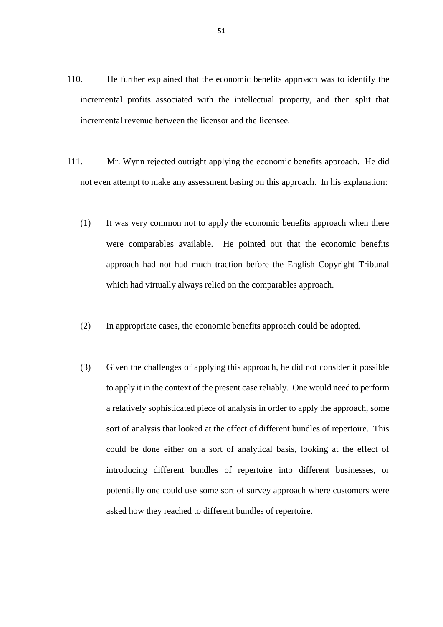- 110. He further explained that the economic benefits approach was to identify the incremental profits associated with the intellectual property, and then split that incremental revenue between the licensor and the licensee.
- 111. Mr. Wynn rejected outright applying the economic benefits approach. He did not even attempt to make any assessment basing on this approach. In his explanation:
	- (1) It was very common not to apply the economic benefits approach when there were comparables available. He pointed out that the economic benefits approach had not had much traction before the English Copyright Tribunal which had virtually always relied on the comparables approach.
	- (2) In appropriate cases, the economic benefits approach could be adopted.
	- (3) Given the challenges of applying this approach, he did not consider it possible to apply it in the context of the present case reliably. One would need to perform a relatively sophisticated piece of analysis in order to apply the approach, some sort of analysis that looked at the effect of different bundles of repertoire. This could be done either on a sort of analytical basis, looking at the effect of introducing different bundles of repertoire into different businesses, or potentially one could use some sort of survey approach where customers were asked how they reached to different bundles of repertoire.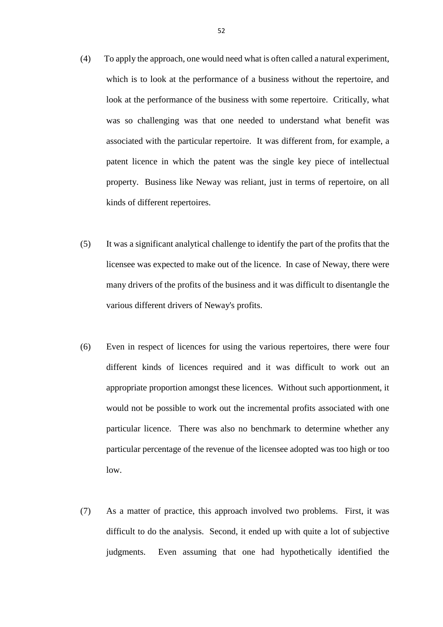- (4) To apply the approach, one would need what is often called a natural experiment, which is to look at the performance of a business without the repertoire, and look at the performance of the business with some repertoire. Critically, what was so challenging was that one needed to understand what benefit was associated with the particular repertoire. It was different from, for example, a patent licence in which the patent was the single key piece of intellectual property. Business like Neway was reliant, just in terms of repertoire, on all kinds of different repertoires.
- (5) It was a significant analytical challenge to identify the part of the profits that the licensee was expected to make out of the licence. In case of Neway, there were many drivers of the profits of the business and it was difficult to disentangle the various different drivers of Neway's profits.
- (6) Even in respect of licences for using the various repertoires, there were four different kinds of licences required and it was difficult to work out an appropriate proportion amongst these licences. Without such apportionment, it would not be possible to work out the incremental profits associated with one particular licence. There was also no benchmark to determine whether any particular percentage of the revenue of the licensee adopted was too high or too low.
- (7) As a matter of practice, this approach involved two problems. First, it was difficult to do the analysis. Second, it ended up with quite a lot of subjective judgments. Even assuming that one had hypothetically identified the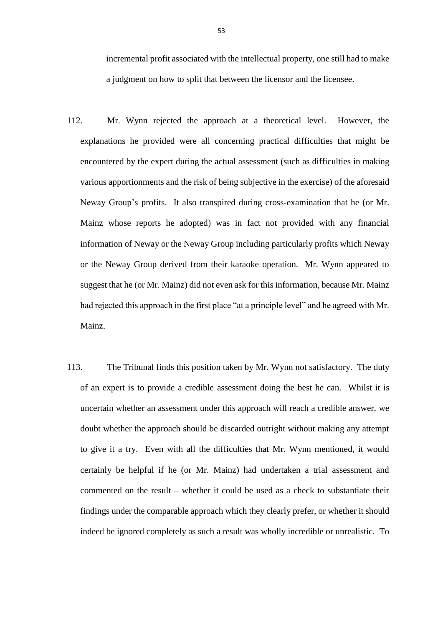incremental profit associated with the intellectual property, one still had to make a judgment on how to split that between the licensor and the licensee.

- 112. Mr. Wynn rejected the approach at a theoretical level. However, the explanations he provided were all concerning practical difficulties that might be encountered by the expert during the actual assessment (such as difficulties in making various apportionments and the risk of being subjective in the exercise) of the aforesaid Neway Group's profits. It also transpired during cross-examination that he (or Mr. Mainz whose reports he adopted) was in fact not provided with any financial information of Neway or the Neway Group including particularly profits which Neway or the Neway Group derived from their karaoke operation. Mr. Wynn appeared to suggest that he (or Mr. Mainz) did not even ask for this information, because Mr. Mainz had rejected this approach in the first place "at a principle level" and he agreed with Mr. Mainz.
- 113. The Tribunal finds this position taken by Mr. Wynn not satisfactory. The duty of an expert is to provide a credible assessment doing the best he can. Whilst it is uncertain whether an assessment under this approach will reach a credible answer, we doubt whether the approach should be discarded outright without making any attempt to give it a try. Even with all the difficulties that Mr. Wynn mentioned, it would certainly be helpful if he (or Mr. Mainz) had undertaken a trial assessment and commented on the result – whether it could be used as a check to substantiate their findings under the comparable approach which they clearly prefer, or whether it should indeed be ignored completely as such a result was wholly incredible or unrealistic. To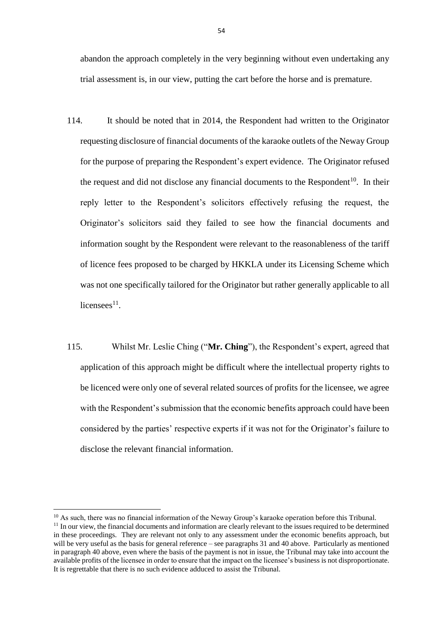abandon the approach completely in the very beginning without even undertaking any trial assessment is, in our view, putting the cart before the horse and is premature.

- 114. It should be noted that in 2014, the Respondent had written to the Originator requesting disclosure of financial documents of the karaoke outlets of the Neway Group for the purpose of preparing the Respondent's expert evidence. The Originator refused the request and did not disclose any financial documents to the Respondent<sup>10</sup>. In their reply letter to the Respondent's solicitors effectively refusing the request, the Originator's solicitors said they failed to see how the financial documents and information sought by the Respondent were relevant to the reasonableness of the tariff of licence fees proposed to be charged by HKKLA under its Licensing Scheme which was not one specifically tailored for the Originator but rather generally applicable to all  $licenses<sup>11</sup>$ .
- 115. Whilst Mr. Leslie Ching ("**Mr. Ching**"), the Respondent's expert, agreed that application of this approach might be difficult where the intellectual property rights to be licenced were only one of several related sources of profits for the licensee, we agree with the Respondent's submission that the economic benefits approach could have been considered by the parties' respective experts if it was not for the Originator's failure to disclose the relevant financial information.

**.** 

<sup>&</sup>lt;sup>10</sup> As such, there was no financial information of the Neway Group's karaoke operation before this Tribunal.

<sup>&</sup>lt;sup>11</sup> In our view, the financial documents and information are clearly relevant to the issues required to be determined in these proceedings. They are relevant not only to any assessment under the economic benefits approach, but will be very useful as the basis for general reference – see paragraphs 31 and 40 above. Particularly as mentioned in paragraph 40 above, even where the basis of the payment is not in issue, the Tribunal may take into account the available profits of the licensee in order to ensure that the impact on the licensee's business is not disproportionate. It is regrettable that there is no such evidence adduced to assist the Tribunal.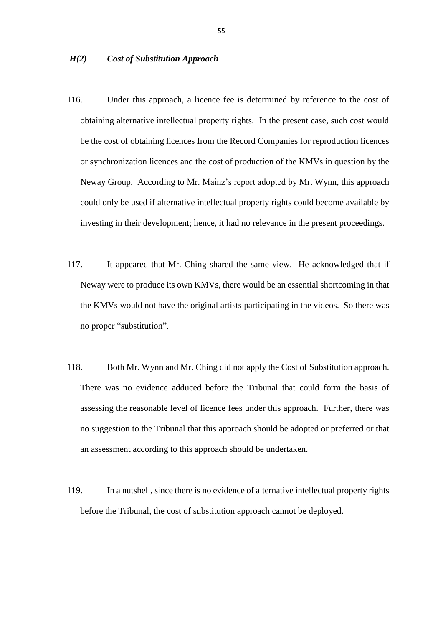## *H(2) Cost of Substitution Approach*

- 116. Under this approach, a licence fee is determined by reference to the cost of obtaining alternative intellectual property rights. In the present case, such cost would be the cost of obtaining licences from the Record Companies for reproduction licences or synchronization licences and the cost of production of the KMVs in question by the Neway Group. According to Mr. Mainz's report adopted by Mr. Wynn, this approach could only be used if alternative intellectual property rights could become available by investing in their development; hence, it had no relevance in the present proceedings.
- 117. It appeared that Mr. Ching shared the same view. He acknowledged that if Neway were to produce its own KMVs, there would be an essential shortcoming in that the KMVs would not have the original artists participating in the videos. So there was no proper "substitution".
- 118. Both Mr. Wynn and Mr. Ching did not apply the Cost of Substitution approach. There was no evidence adduced before the Tribunal that could form the basis of assessing the reasonable level of licence fees under this approach. Further, there was no suggestion to the Tribunal that this approach should be adopted or preferred or that an assessment according to this approach should be undertaken.
- 119. In a nutshell, since there is no evidence of alternative intellectual property rights before the Tribunal, the cost of substitution approach cannot be deployed.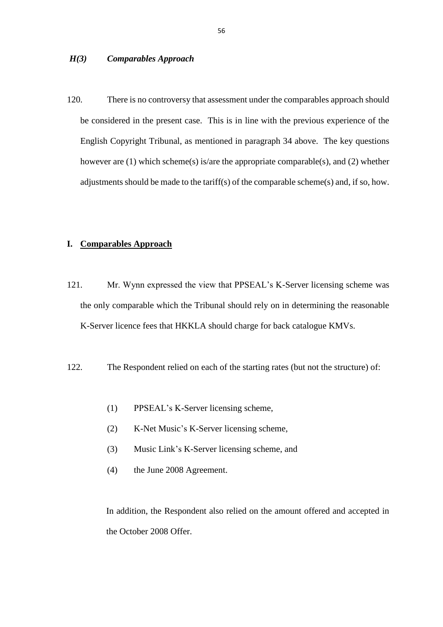### *H(3) Comparables Approach*

120. There is no controversy that assessment under the comparables approach should be considered in the present case. This is in line with the previous experience of the English Copyright Tribunal, as mentioned in paragraph 34 above. The key questions however are (1) which scheme(s) is/are the appropriate comparable(s), and (2) whether adjustments should be made to the tariff(s) of the comparable scheme(s) and, if so, how.

# **I. Comparables Approach**

- 121. Mr. Wynn expressed the view that PPSEAL's K-Server licensing scheme was the only comparable which the Tribunal should rely on in determining the reasonable K-Server licence fees that HKKLA should charge for back catalogue KMVs.
- 122. The Respondent relied on each of the starting rates (but not the structure) of:
	- (1) PPSEAL's K-Server licensing scheme,
	- (2) K-Net Music's K-Server licensing scheme,
	- (3) Music Link's K-Server licensing scheme, and
	- (4) the June 2008 Agreement.

In addition, the Respondent also relied on the amount offered and accepted in the October 2008 Offer.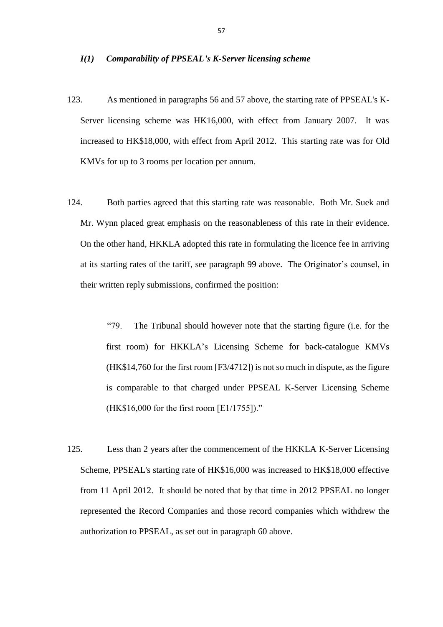#### *I(1) Comparability of PPSEAL's K-Server licensing scheme*

- 123. As mentioned in paragraphs 56 and 57 above, the starting rate of PPSEAL's K-Server licensing scheme was HK16,000, with effect from January 2007. It was increased to HK\$18,000, with effect from April 2012. This starting rate was for Old KMVs for up to 3 rooms per location per annum.
- 124. Both parties agreed that this starting rate was reasonable. Both Mr. Suek and Mr. Wynn placed great emphasis on the reasonableness of this rate in their evidence. On the other hand, HKKLA adopted this rate in formulating the licence fee in arriving at its starting rates of the tariff, see paragraph 99 above. The Originator's counsel, in their written reply submissions, confirmed the position:

"79. The Tribunal should however note that the starting figure (i.e. for the first room) for HKKLA's Licensing Scheme for back-catalogue KMVs (HK\$14,760 for the first room [F3/4712]) is not so much in dispute, as the figure is comparable to that charged under PPSEAL K-Server Licensing Scheme (HK\$16,000 for the first room [E1/1755])."

125. Less than 2 years after the commencement of the HKKLA K-Server Licensing Scheme, PPSEAL's starting rate of HK\$16,000 was increased to HK\$18,000 effective from 11 April 2012. It should be noted that by that time in 2012 PPSEAL no longer represented the Record Companies and those record companies which withdrew the authorization to PPSEAL, as set out in paragraph 60 above.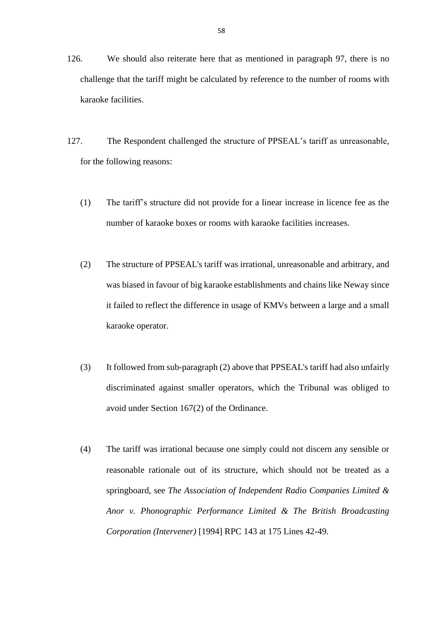- 126. We should also reiterate here that as mentioned in paragraph 97, there is no challenge that the tariff might be calculated by reference to the number of rooms with karaoke facilities.
- 127. The Respondent challenged the structure of PPSEAL's tariff as unreasonable, for the following reasons:
	- (1) The tariff's structure did not provide for a linear increase in licence fee as the number of karaoke boxes or rooms with karaoke facilities increases.
	- (2) The structure of PPSEAL's tariff was irrational, unreasonable and arbitrary, and was biased in favour of big karaoke establishments and chains like Neway since it failed to reflect the difference in usage of KMVs between a large and a small karaoke operator.
	- (3) It followed from sub-paragraph (2) above that PPSEAL's tariff had also unfairly discriminated against smaller operators, which the Tribunal was obliged to avoid under Section 167(2) of the Ordinance.
	- (4) The tariff was irrational because one simply could not discern any sensible or reasonable rationale out of its structure, which should not be treated as a springboard, see *The Association of Independent Radio Companies Limited & Anor v. Phonographic Performance Limited & The British Broadcasting Corporation (Intervener)* [1994] RPC 143 at 175 Lines 42-49.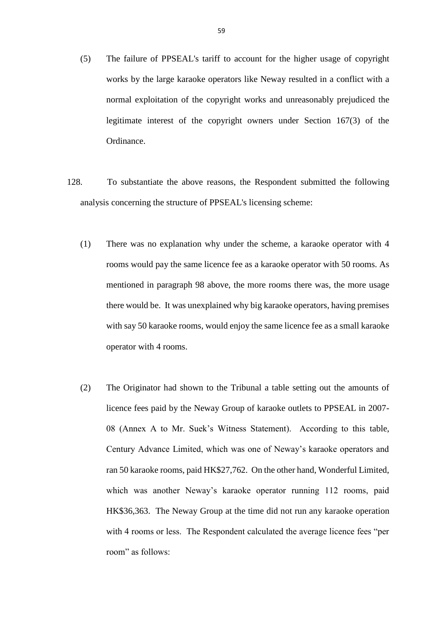- (5) The failure of PPSEAL's tariff to account for the higher usage of copyright works by the large karaoke operators like Neway resulted in a conflict with a normal exploitation of the copyright works and unreasonably prejudiced the legitimate interest of the copyright owners under Section 167(3) of the Ordinance.
- 128. To substantiate the above reasons, the Respondent submitted the following analysis concerning the structure of PPSEAL's licensing scheme:
	- (1) There was no explanation why under the scheme, a karaoke operator with 4 rooms would pay the same licence fee as a karaoke operator with 50 rooms. As mentioned in paragraph 98 above, the more rooms there was, the more usage there would be. It was unexplained why big karaoke operators, having premises with say 50 karaoke rooms, would enjoy the same licence fee as a small karaoke operator with 4 rooms.
	- (2) The Originator had shown to the Tribunal a table setting out the amounts of licence fees paid by the Neway Group of karaoke outlets to PPSEAL in 2007- 08 (Annex A to Mr. Suek's Witness Statement). According to this table, Century Advance Limited, which was one of Neway's karaoke operators and ran 50 karaoke rooms, paid HK\$27,762. On the other hand, Wonderful Limited, which was another Neway's karaoke operator running 112 rooms, paid HK\$36,363. The Neway Group at the time did not run any karaoke operation with 4 rooms or less. The Respondent calculated the average licence fees "per room" as follows: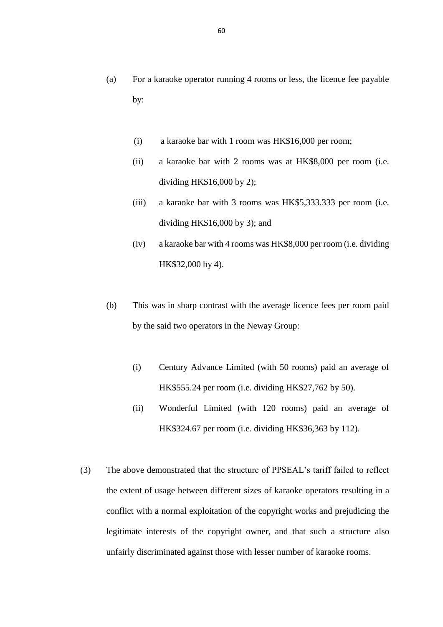- (a) For a karaoke operator running 4 rooms or less, the licence fee payable by:
	- (i) a karaoke bar with 1 room was HK\$16,000 per room;
	- (ii) a karaoke bar with 2 rooms was at HK\$8,000 per room (i.e. dividing HK\$16,000 by 2);
	- (iii) a karaoke bar with 3 rooms was HK\$5,333.333 per room (i.e. dividing HK\$16,000 by 3); and
	- (iv) a karaoke bar with 4 rooms was HK\$8,000 per room (i.e. dividing HK\$32,000 by 4).
- (b) This was in sharp contrast with the average licence fees per room paid by the said two operators in the Neway Group:
	- (i) Century Advance Limited (with 50 rooms) paid an average of HK\$555.24 per room (i.e. dividing HK\$27,762 by 50).
	- (ii) Wonderful Limited (with 120 rooms) paid an average of HK\$324.67 per room (i.e. dividing HK\$36,363 by 112).
- (3) The above demonstrated that the structure of PPSEAL's tariff failed to reflect the extent of usage between different sizes of karaoke operators resulting in a conflict with a normal exploitation of the copyright works and prejudicing the legitimate interests of the copyright owner, and that such a structure also unfairly discriminated against those with lesser number of karaoke rooms.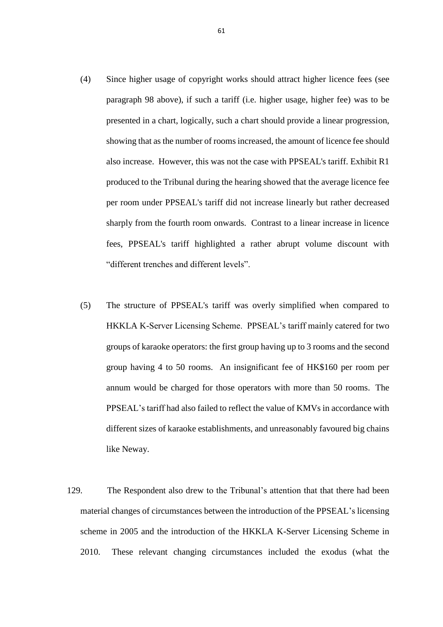- (4) Since higher usage of copyright works should attract higher licence fees (see paragraph 98 above), if such a tariff (i.e. higher usage, higher fee) was to be presented in a chart, logically, such a chart should provide a linear progression, showing that as the number of rooms increased, the amount of licence fee should also increase. However, this was not the case with PPSEAL's tariff. Exhibit R1 produced to the Tribunal during the hearing showed that the average licence fee per room under PPSEAL's tariff did not increase linearly but rather decreased sharply from the fourth room onwards. Contrast to a linear increase in licence fees, PPSEAL's tariff highlighted a rather abrupt volume discount with "different trenches and different levels".
- (5) The structure of PPSEAL's tariff was overly simplified when compared to HKKLA K-Server Licensing Scheme. PPSEAL's tariff mainly catered for two groups of karaoke operators: the first group having up to 3 rooms and the second group having 4 to 50 rooms. An insignificant fee of HK\$160 per room per annum would be charged for those operators with more than 50 rooms. The PPSEAL's tariff had also failed to reflect the value of KMVs in accordance with different sizes of karaoke establishments, and unreasonably favoured big chains like Neway.
- 129. The Respondent also drew to the Tribunal's attention that that there had been material changes of circumstances between the introduction of the PPSEAL's licensing scheme in 2005 and the introduction of the HKKLA K-Server Licensing Scheme in 2010. These relevant changing circumstances included the exodus (what the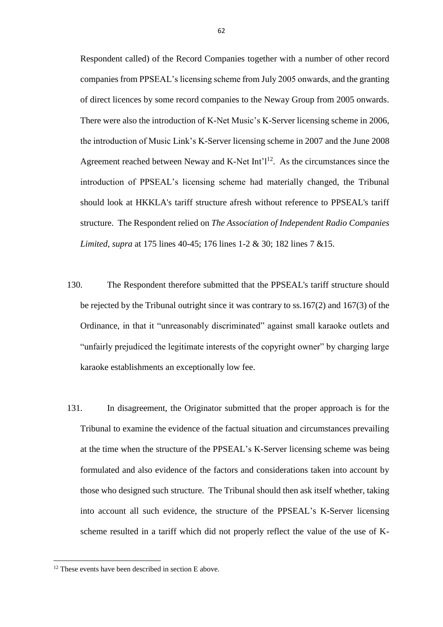Respondent called) of the Record Companies together with a number of other record companies from PPSEAL's licensing scheme from July 2005 onwards, and the granting of direct licences by some record companies to the Neway Group from 2005 onwards. There were also the introduction of K-Net Music's K-Server licensing scheme in 2006, the introduction of Music Link's K-Server licensing scheme in 2007 and the June 2008 Agreement reached between Neway and K-Net Int' $l^{12}$ . As the circumstances since the introduction of PPSEAL's licensing scheme had materially changed, the Tribunal should look at HKKLA's tariff structure afresh without reference to PPSEAL's tariff structure. The Respondent relied on *The Association of Independent Radio Companies Limited*, *supra* at 175 lines 40-45; 176 lines 1-2 & 30; 182 lines 7 &15.

- 130. The Respondent therefore submitted that the PPSEAL's tariff structure should be rejected by the Tribunal outright since it was contrary to ss.167(2) and 167(3) of the Ordinance, in that it "unreasonably discriminated" against small karaoke outlets and "unfairly prejudiced the legitimate interests of the copyright owner" by charging large karaoke establishments an exceptionally low fee.
- 131. In disagreement, the Originator submitted that the proper approach is for the Tribunal to examine the evidence of the factual situation and circumstances prevailing at the time when the structure of the PPSEAL's K-Server licensing scheme was being formulated and also evidence of the factors and considerations taken into account by those who designed such structure. The Tribunal should then ask itself whether, taking into account all such evidence, the structure of the PPSEAL's K-Server licensing scheme resulted in a tariff which did not properly reflect the value of the use of K-

**.** 

 $12$  These events have been described in section E above.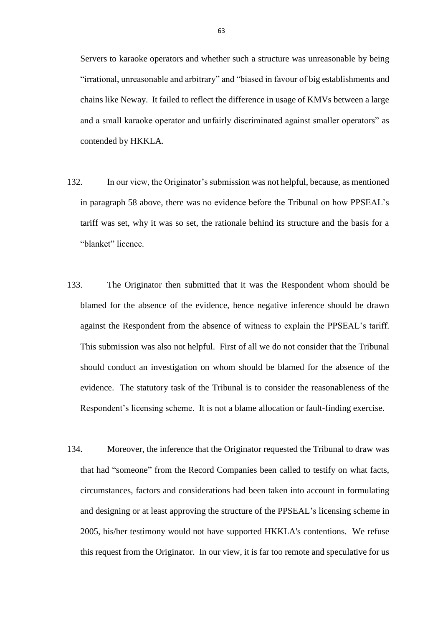Servers to karaoke operators and whether such a structure was unreasonable by being "irrational, unreasonable and arbitrary" and "biased in favour of big establishments and chains like Neway. It failed to reflect the difference in usage of KMVs between a large and a small karaoke operator and unfairly discriminated against smaller operators" as contended by HKKLA.

- 132. In our view, the Originator's submission was not helpful, because, as mentioned in paragraph 58 above, there was no evidence before the Tribunal on how PPSEAL's tariff was set, why it was so set, the rationale behind its structure and the basis for a "blanket" licence.
- 133. The Originator then submitted that it was the Respondent whom should be blamed for the absence of the evidence, hence negative inference should be drawn against the Respondent from the absence of witness to explain the PPSEAL's tariff. This submission was also not helpful. First of all we do not consider that the Tribunal should conduct an investigation on whom should be blamed for the absence of the evidence. The statutory task of the Tribunal is to consider the reasonableness of the Respondent's licensing scheme. It is not a blame allocation or fault-finding exercise.
- 134. Moreover, the inference that the Originator requested the Tribunal to draw was that had "someone" from the Record Companies been called to testify on what facts, circumstances, factors and considerations had been taken into account in formulating and designing or at least approving the structure of the PPSEAL's licensing scheme in 2005, his/her testimony would not have supported HKKLA's contentions. We refuse this request from the Originator. In our view, it is far too remote and speculative for us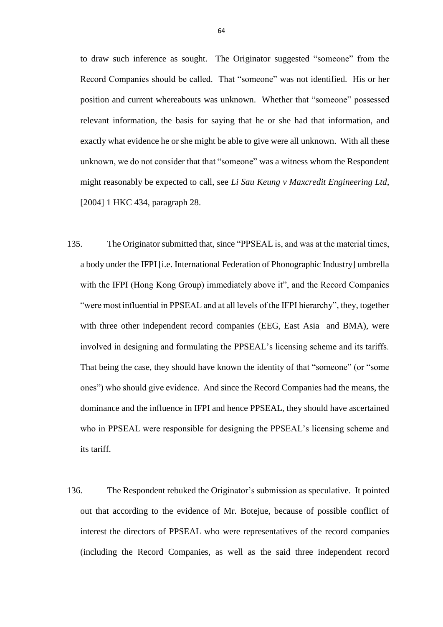to draw such inference as sought. The Originator suggested "someone" from the Record Companies should be called. That "someone" was not identified. His or her position and current whereabouts was unknown. Whether that "someone" possessed relevant information, the basis for saying that he or she had that information, and exactly what evidence he or she might be able to give were all unknown. With all these unknown, we do not consider that that "someone" was a witness whom the Respondent might reasonably be expected to call, see *Li Sau Keung v Maxcredit Engineering Ltd*, [2004] 1 HKC 434, paragraph 28.

- 135. The Originator submitted that, since "PPSEAL is, and was at the material times, a body under the IFPI [i.e. International Federation of Phonographic Industry] umbrella with the IFPI (Hong Kong Group) immediately above it", and the Record Companies "were most influential in PPSEAL and at all levels of the IFPI hierarchy", they, together with three other independent record companies (EEG, East Asia and BMA), were involved in designing and formulating the PPSEAL's licensing scheme and its tariffs. That being the case, they should have known the identity of that "someone" (or "some ones") who should give evidence. And since the Record Companies had the means, the dominance and the influence in IFPI and hence PPSEAL, they should have ascertained who in PPSEAL were responsible for designing the PPSEAL's licensing scheme and its tariff.
- 136. The Respondent rebuked the Originator's submission as speculative. It pointed out that according to the evidence of Mr. Botejue, because of possible conflict of interest the directors of PPSEAL who were representatives of the record companies (including the Record Companies, as well as the said three independent record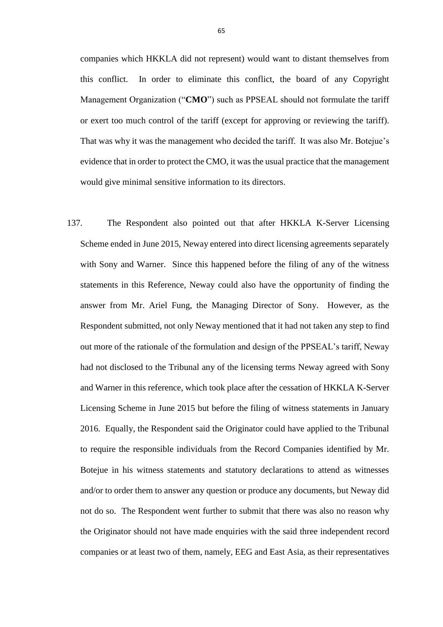companies which HKKLA did not represent) would want to distant themselves from this conflict. In order to eliminate this conflict, the board of any Copyright Management Organization ("**CMO**") such as PPSEAL should not formulate the tariff or exert too much control of the tariff (except for approving or reviewing the tariff). That was why it was the management who decided the tariff. It was also Mr. Botejue's evidence that in order to protect the CMO, it was the usual practice that the management would give minimal sensitive information to its directors.

137. The Respondent also pointed out that after HKKLA K-Server Licensing Scheme ended in June 2015, Neway entered into direct licensing agreements separately with Sony and Warner. Since this happened before the filing of any of the witness statements in this Reference, Neway could also have the opportunity of finding the answer from Mr. Ariel Fung, the Managing Director of Sony. However, as the Respondent submitted, not only Neway mentioned that it had not taken any step to find out more of the rationale of the formulation and design of the PPSEAL's tariff, Neway had not disclosed to the Tribunal any of the licensing terms Neway agreed with Sony and Warner in this reference, which took place after the cessation of HKKLA K-Server Licensing Scheme in June 2015 but before the filing of witness statements in January 2016. Equally, the Respondent said the Originator could have applied to the Tribunal to require the responsible individuals from the Record Companies identified by Mr. Botejue in his witness statements and statutory declarations to attend as witnesses and/or to order them to answer any question or produce any documents, but Neway did not do so. The Respondent went further to submit that there was also no reason why the Originator should not have made enquiries with the said three independent record companies or at least two of them, namely, EEG and East Asia, as their representatives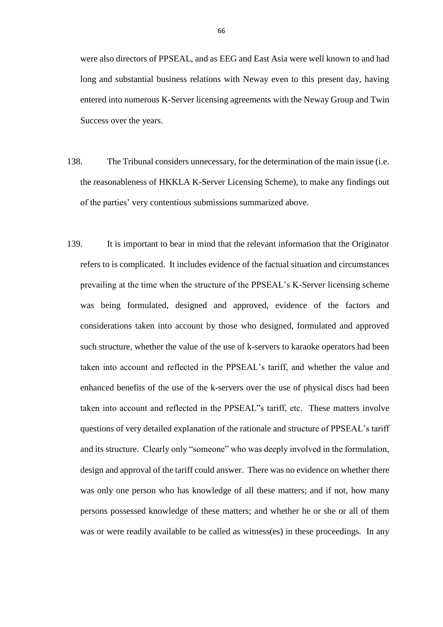were also directors of PPSEAL, and as EEG and East Asia were well known to and had long and substantial business relations with Neway even to this present day, having entered into numerous K-Server licensing agreements with the Neway Group and Twin Success over the years.

- 138. The Tribunal considers unnecessary, for the determination of the main issue (i.e. the reasonableness of HKKLA K-Server Licensing Scheme), to make any findings out of the parties' very contentious submissions summarized above.
- 139. It is important to bear in mind that the relevant information that the Originator refers to is complicated. It includes evidence of the factual situation and circumstances prevailing at the time when the structure of the PPSEAL's K-Server licensing scheme was being formulated, designed and approved, evidence of the factors and considerations taken into account by those who designed, formulated and approved such structure, whether the value of the use of k-servers to karaoke operators had been taken into account and reflected in the PPSEAL's tariff, and whether the value and enhanced benefits of the use of the k-servers over the use of physical discs had been taken into account and reflected in the PPSEAL"s tariff, etc. These matters involve questions of very detailed explanation of the rationale and structure of PPSEAL's tariff and its structure. Clearly only "someone" who was deeply involved in the formulation, design and approval of the tariff could answer. There was no evidence on whether there was only one person who has knowledge of all these matters; and if not, how many persons possessed knowledge of these matters; and whether he or she or all of them was or were readily available to be called as witness(es) in these proceedings. In any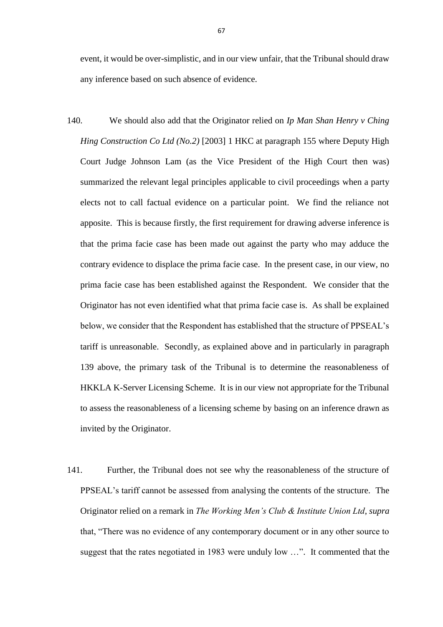event, it would be over-simplistic, and in our view unfair, that the Tribunal should draw any inference based on such absence of evidence.

- 140. We should also add that the Originator relied on *Ip Man Shan Henry v Ching Hing Construction Co Ltd (No.2)* [2003] 1 HKC at paragraph 155 where Deputy High Court Judge Johnson Lam (as the Vice President of the High Court then was) summarized the relevant legal principles applicable to civil proceedings when a party elects not to call factual evidence on a particular point. We find the reliance not apposite. This is because firstly, the first requirement for drawing adverse inference is that the prima facie case has been made out against the party who may adduce the contrary evidence to displace the prima facie case. In the present case, in our view, no prima facie case has been established against the Respondent. We consider that the Originator has not even identified what that prima facie case is. As shall be explained below, we consider that the Respondent has established that the structure of PPSEAL's tariff is unreasonable. Secondly, as explained above and in particularly in paragraph 139 above, the primary task of the Tribunal is to determine the reasonableness of HKKLA K-Server Licensing Scheme. It is in our view not appropriate for the Tribunal to assess the reasonableness of a licensing scheme by basing on an inference drawn as invited by the Originator.
- 141. Further, the Tribunal does not see why the reasonableness of the structure of PPSEAL's tariff cannot be assessed from analysing the contents of the structure. The Originator relied on a remark in *The Working Men's Club & Institute Union Ltd*, *supra* that, "There was no evidence of any contemporary document or in any other source to suggest that the rates negotiated in 1983 were unduly low …". It commented that the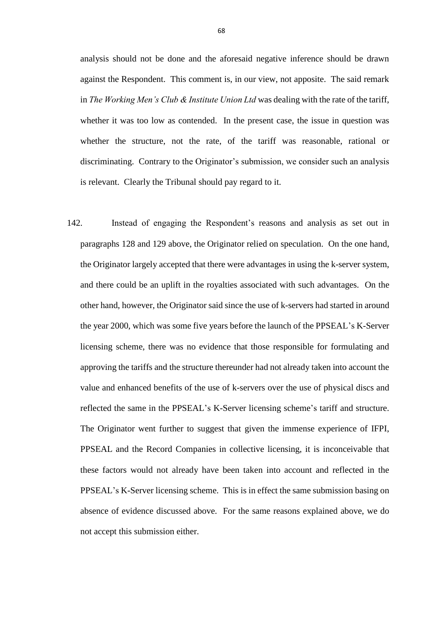analysis should not be done and the aforesaid negative inference should be drawn against the Respondent. This comment is, in our view, not apposite. The said remark in *The Working Men's Club & Institute Union Ltd* was dealing with the rate of the tariff, whether it was too low as contended. In the present case, the issue in question was whether the structure, not the rate, of the tariff was reasonable, rational or discriminating. Contrary to the Originator's submission, we consider such an analysis is relevant. Clearly the Tribunal should pay regard to it.

142. Instead of engaging the Respondent's reasons and analysis as set out in paragraphs 128 and 129 above, the Originator relied on speculation. On the one hand, the Originator largely accepted that there were advantages in using the k-server system, and there could be an uplift in the royalties associated with such advantages. On the other hand, however, the Originator said since the use of k-servers had started in around the year 2000, which was some five years before the launch of the PPSEAL's K-Server licensing scheme, there was no evidence that those responsible for formulating and approving the tariffs and the structure thereunder had not already taken into account the value and enhanced benefits of the use of k-servers over the use of physical discs and reflected the same in the PPSEAL's K-Server licensing scheme's tariff and structure. The Originator went further to suggest that given the immense experience of IFPI, PPSEAL and the Record Companies in collective licensing, it is inconceivable that these factors would not already have been taken into account and reflected in the PPSEAL's K-Server licensing scheme. This is in effect the same submission basing on absence of evidence discussed above. For the same reasons explained above, we do not accept this submission either.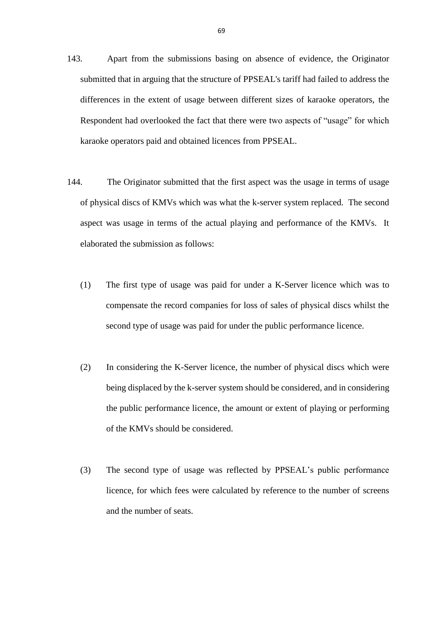- 143. Apart from the submissions basing on absence of evidence, the Originator submitted that in arguing that the structure of PPSEAL's tariff had failed to address the differences in the extent of usage between different sizes of karaoke operators, the Respondent had overlooked the fact that there were two aspects of "usage" for which karaoke operators paid and obtained licences from PPSEAL.
- 144. The Originator submitted that the first aspect was the usage in terms of usage of physical discs of KMVs which was what the k-server system replaced. The second aspect was usage in terms of the actual playing and performance of the KMVs. It elaborated the submission as follows:
	- (1) The first type of usage was paid for under a K-Server licence which was to compensate the record companies for loss of sales of physical discs whilst the second type of usage was paid for under the public performance licence.
	- (2) In considering the K-Server licence, the number of physical discs which were being displaced by the k-server system should be considered, and in considering the public performance licence, the amount or extent of playing or performing of the KMVs should be considered.
	- (3) The second type of usage was reflected by PPSEAL's public performance licence, for which fees were calculated by reference to the number of screens and the number of seats.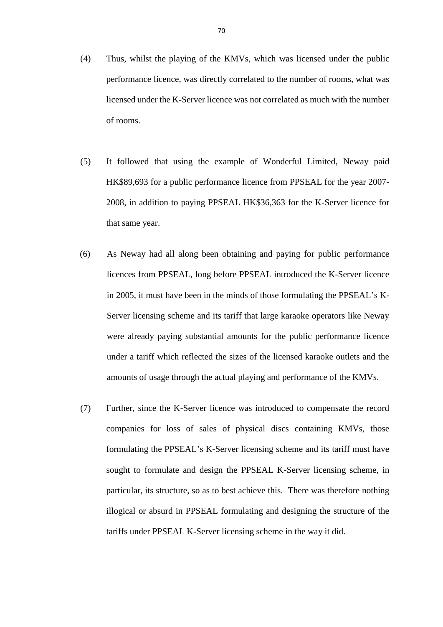- (4) Thus, whilst the playing of the KMVs, which was licensed under the public performance licence, was directly correlated to the number of rooms, what was licensed under the K-Server licence was not correlated as much with the number of rooms.
- (5) It followed that using the example of Wonderful Limited, Neway paid HK\$89,693 for a public performance licence from PPSEAL for the year 2007- 2008, in addition to paying PPSEAL HK\$36,363 for the K-Server licence for that same year.
- (6) As Neway had all along been obtaining and paying for public performance licences from PPSEAL, long before PPSEAL introduced the K-Server licence in 2005, it must have been in the minds of those formulating the PPSEAL's K-Server licensing scheme and its tariff that large karaoke operators like Neway were already paying substantial amounts for the public performance licence under a tariff which reflected the sizes of the licensed karaoke outlets and the amounts of usage through the actual playing and performance of the KMVs.
- (7) Further, since the K-Server licence was introduced to compensate the record companies for loss of sales of physical discs containing KMVs, those formulating the PPSEAL's K-Server licensing scheme and its tariff must have sought to formulate and design the PPSEAL K-Server licensing scheme, in particular, its structure, so as to best achieve this. There was therefore nothing illogical or absurd in PPSEAL formulating and designing the structure of the tariffs under PPSEAL K-Server licensing scheme in the way it did.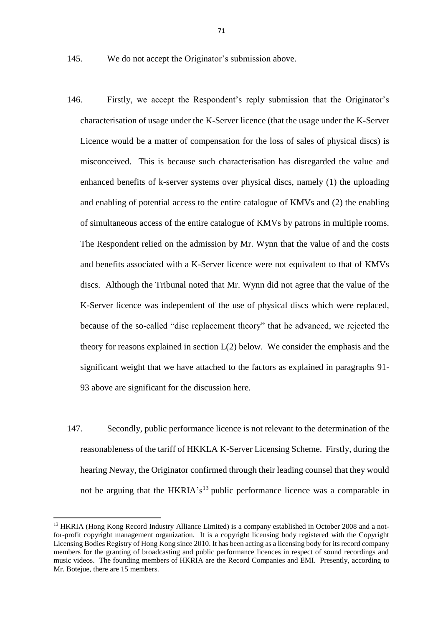145. We do not accept the Originator's submission above.

- 146. Firstly, we accept the Respondent's reply submission that the Originator's characterisation of usage under the K-Server licence (that the usage under the K-Server Licence would be a matter of compensation for the loss of sales of physical discs) is misconceived. This is because such characterisation has disregarded the value and enhanced benefits of k-server systems over physical discs, namely (1) the uploading and enabling of potential access to the entire catalogue of KMVs and (2) the enabling of simultaneous access of the entire catalogue of KMVs by patrons in multiple rooms. The Respondent relied on the admission by Mr. Wynn that the value of and the costs and benefits associated with a K-Server licence were not equivalent to that of KMVs discs. Although the Tribunal noted that Mr. Wynn did not agree that the value of the K-Server licence was independent of the use of physical discs which were replaced, because of the so-called "disc replacement theory" that he advanced, we rejected the theory for reasons explained in section L(2) below. We consider the emphasis and the significant weight that we have attached to the factors as explained in paragraphs 91- 93 above are significant for the discussion here.
- 147. Secondly, public performance licence is not relevant to the determination of the reasonableness of the tariff of HKKLA K-Server Licensing Scheme. Firstly, during the hearing Neway, the Originator confirmed through their leading counsel that they would not be arguing that the HKRIA's<sup>13</sup> public performance licence was a comparable in

1

<sup>&</sup>lt;sup>13</sup> HKRIA (Hong Kong Record Industry Alliance Limited) is a company established in October 2008 and a notfor-profit copyright management organization. It is a copyright licensing body registered with the Copyright Licensing Bodies Registry of Hong Kong since 2010. It has been acting as a licensing body for its record company members for the granting of broadcasting and public performance licences in respect of sound recordings and music videos. The founding members of HKRIA are the Record Companies and EMI. Presently, according to Mr. Botejue, there are 15 members.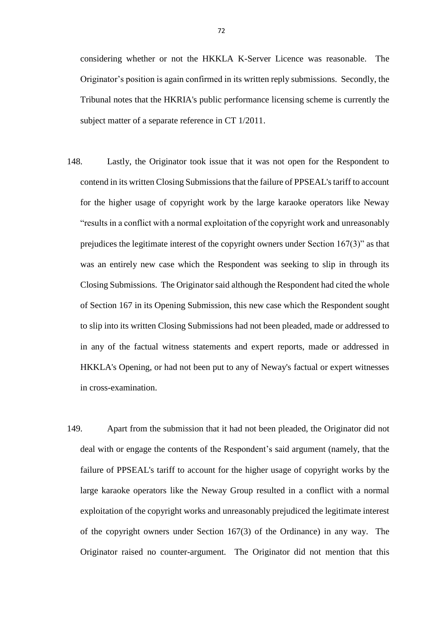considering whether or not the HKKLA K-Server Licence was reasonable. The Originator's position is again confirmed in its written reply submissions. Secondly, the Tribunal notes that the HKRIA's public performance licensing scheme is currently the subject matter of a separate reference in CT 1/2011.

- 148. Lastly, the Originator took issue that it was not open for the Respondent to contend in its written Closing Submissions that the failure of PPSEAL's tariff to account for the higher usage of copyright work by the large karaoke operators like Neway "results in a conflict with a normal exploitation of the copyright work and unreasonably prejudices the legitimate interest of the copyright owners under Section 167(3)" as that was an entirely new case which the Respondent was seeking to slip in through its Closing Submissions. The Originator said although the Respondent had cited the whole of Section 167 in its Opening Submission, this new case which the Respondent sought to slip into its written Closing Submissions had not been pleaded, made or addressed to in any of the factual witness statements and expert reports, made or addressed in HKKLA's Opening, or had not been put to any of Neway's factual or expert witnesses in cross-examination.
- 149. Apart from the submission that it had not been pleaded, the Originator did not deal with or engage the contents of the Respondent's said argument (namely, that the failure of PPSEAL's tariff to account for the higher usage of copyright works by the large karaoke operators like the Neway Group resulted in a conflict with a normal exploitation of the copyright works and unreasonably prejudiced the legitimate interest of the copyright owners under Section 167(3) of the Ordinance) in any way. The Originator raised no counter-argument. The Originator did not mention that this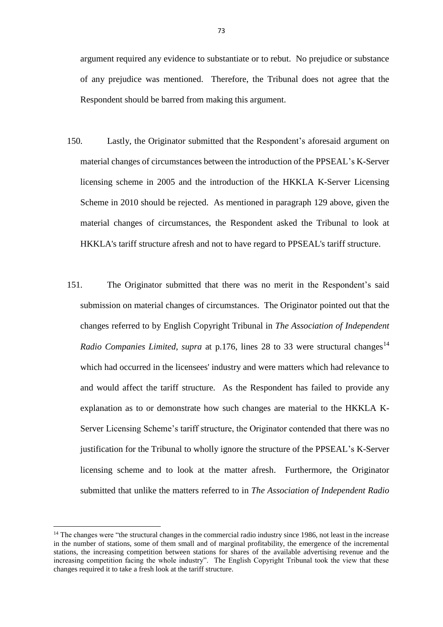argument required any evidence to substantiate or to rebut. No prejudice or substance of any prejudice was mentioned. Therefore, the Tribunal does not agree that the Respondent should be barred from making this argument.

- 150. Lastly, the Originator submitted that the Respondent's aforesaid argument on material changes of circumstances between the introduction of the PPSEAL's K-Server licensing scheme in 2005 and the introduction of the HKKLA K-Server Licensing Scheme in 2010 should be rejected. As mentioned in paragraph 129 above, given the material changes of circumstances, the Respondent asked the Tribunal to look at HKKLA's tariff structure afresh and not to have regard to PPSEAL's tariff structure.
- 151. The Originator submitted that there was no merit in the Respondent's said submission on material changes of circumstances. The Originator pointed out that the changes referred to by English Copyright Tribunal in *The Association of Independent Radio Companies Limited, supra* at p.176, lines 28 to 33 were structural changes<sup>14</sup> which had occurred in the licensees' industry and were matters which had relevance to and would affect the tariff structure. As the Respondent has failed to provide any explanation as to or demonstrate how such changes are material to the HKKLA K-Server Licensing Scheme's tariff structure, the Originator contended that there was no justification for the Tribunal to wholly ignore the structure of the PPSEAL's K-Server licensing scheme and to look at the matter afresh. Furthermore, the Originator submitted that unlike the matters referred to in *The Association of Independent Radio*

<sup>&</sup>lt;sup>14</sup> The changes were "the structural changes in the commercial radio industry since 1986, not least in the increase in the number of stations, some of them small and of marginal profitability, the emergence of the incremental stations, the increasing competition between stations for shares of the available advertising revenue and the increasing competition facing the whole industry". The English Copyright Tribunal took the view that these changes required it to take a fresh look at the tariff structure.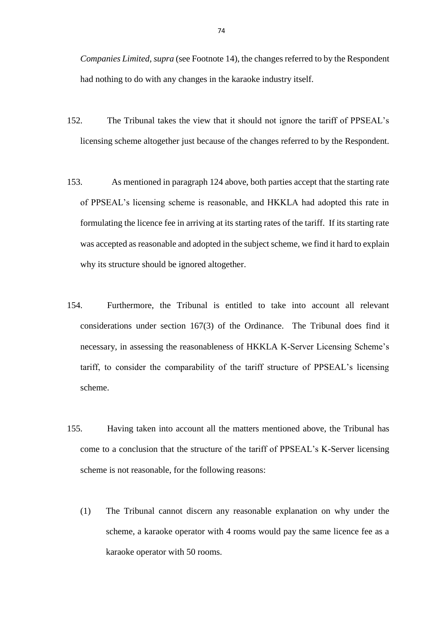*Companies Limited*, *supra* (see Footnote 14), the changes referred to by the Respondent had nothing to do with any changes in the karaoke industry itself.

- 152. The Tribunal takes the view that it should not ignore the tariff of PPSEAL's licensing scheme altogether just because of the changes referred to by the Respondent.
- 153. As mentioned in paragraph 124 above, both parties accept that the starting rate of PPSEAL's licensing scheme is reasonable, and HKKLA had adopted this rate in formulating the licence fee in arriving at its starting rates of the tariff. If its starting rate was accepted as reasonable and adopted in the subject scheme, we find it hard to explain why its structure should be ignored altogether.
- 154. Furthermore, the Tribunal is entitled to take into account all relevant considerations under section 167(3) of the Ordinance. The Tribunal does find it necessary, in assessing the reasonableness of HKKLA K-Server Licensing Scheme's tariff, to consider the comparability of the tariff structure of PPSEAL's licensing scheme.
- 155. Having taken into account all the matters mentioned above, the Tribunal has come to a conclusion that the structure of the tariff of PPSEAL's K-Server licensing scheme is not reasonable, for the following reasons:
	- (1) The Tribunal cannot discern any reasonable explanation on why under the scheme, a karaoke operator with 4 rooms would pay the same licence fee as a karaoke operator with 50 rooms.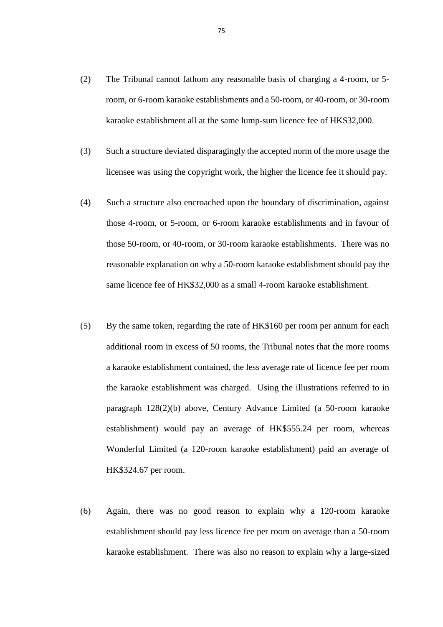- (2) The Tribunal cannot fathom any reasonable basis of charging a 4-room, or 5 room, or 6-room karaoke establishments and a 50-room, or 40-room, or 30-room karaoke establishment all at the same lump-sum licence fee of HK\$32,000.
- (3) Such a structure deviated disparagingly the accepted norm of the more usage the licensee was using the copyright work, the higher the licence fee it should pay.
- (4) Such a structure also encroached upon the boundary of discrimination, against those 4-room, or 5-room, or 6-room karaoke establishments and in favour of those 50-room, or 40-room, or 30-room karaoke establishments. There was no reasonable explanation on why a 50-room karaoke establishment should pay the same licence fee of HK\$32,000 as a small 4-room karaoke establishment.
- (5) By the same token, regarding the rate of HK\$160 per room per annum for each additional room in excess of 50 rooms, the Tribunal notes that the more rooms a karaoke establishment contained, the less average rate of licence fee per room the karaoke establishment was charged. Using the illustrations referred to in paragraph 128(2)(b) above, Century Advance Limited (a 50-room karaoke establishment) would pay an average of HK\$555.24 per room, whereas Wonderful Limited (a 120-room karaoke establishment) paid an average of HK\$324.67 per room.
- (6) Again, there was no good reason to explain why a 120-room karaoke establishment should pay less licence fee per room on average than a 50-room karaoke establishment. There was also no reason to explain why a large-sized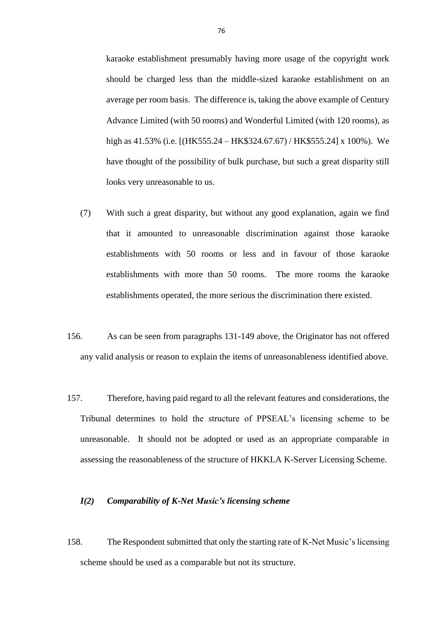karaoke establishment presumably having more usage of the copyright work should be charged less than the middle-sized karaoke establishment on an average per room basis. The difference is, taking the above example of Century Advance Limited (with 50 rooms) and Wonderful Limited (with 120 rooms), as high as 41.53% (i.e. [(HK555.24 – HK\$324.67.67) / HK\$555.24] x 100%). We have thought of the possibility of bulk purchase, but such a great disparity still looks very unreasonable to us.

- (7) With such a great disparity, but without any good explanation, again we find that it amounted to unreasonable discrimination against those karaoke establishments with 50 rooms or less and in favour of those karaoke establishments with more than 50 rooms. The more rooms the karaoke establishments operated, the more serious the discrimination there existed.
- 156. As can be seen from paragraphs 131-149 above, the Originator has not offered any valid analysis or reason to explain the items of unreasonableness identified above.
- 157. Therefore, having paid regard to all the relevant features and considerations, the Tribunal determines to hold the structure of PPSEAL's licensing scheme to be unreasonable. It should not be adopted or used as an appropriate comparable in assessing the reasonableness of the structure of HKKLA K-Server Licensing Scheme.

## *I(2) Comparability of K-Net Music's licensing scheme*

158. The Respondent submitted that only the starting rate of K-Net Music's licensing scheme should be used as a comparable but not its structure.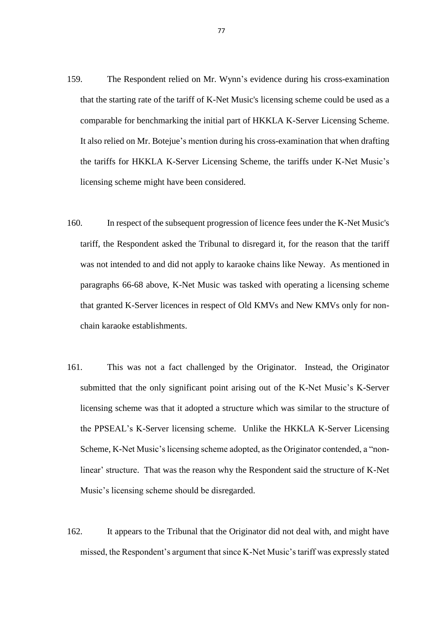- 159. The Respondent relied on Mr. Wynn's evidence during his cross-examination that the starting rate of the tariff of K-Net Music's licensing scheme could be used as a comparable for benchmarking the initial part of HKKLA K-Server Licensing Scheme. It also relied on Mr. Botejue's mention during his cross-examination that when drafting the tariffs for HKKLA K-Server Licensing Scheme, the tariffs under K-Net Music's licensing scheme might have been considered.
- 160. In respect of the subsequent progression of licence fees under the K-Net Music's tariff, the Respondent asked the Tribunal to disregard it, for the reason that the tariff was not intended to and did not apply to karaoke chains like Neway. As mentioned in paragraphs 66-68 above, K-Net Music was tasked with operating a licensing scheme that granted K-Server licences in respect of Old KMVs and New KMVs only for nonchain karaoke establishments.
- 161. This was not a fact challenged by the Originator. Instead, the Originator submitted that the only significant point arising out of the K-Net Music's K-Server licensing scheme was that it adopted a structure which was similar to the structure of the PPSEAL's K-Server licensing scheme. Unlike the HKKLA K-Server Licensing Scheme, K-Net Music's licensing scheme adopted, as the Originator contended, a "nonlinear' structure. That was the reason why the Respondent said the structure of K-Net Music's licensing scheme should be disregarded.
- 162. It appears to the Tribunal that the Originator did not deal with, and might have missed, the Respondent's argument that since K-Net Music's tariff was expressly stated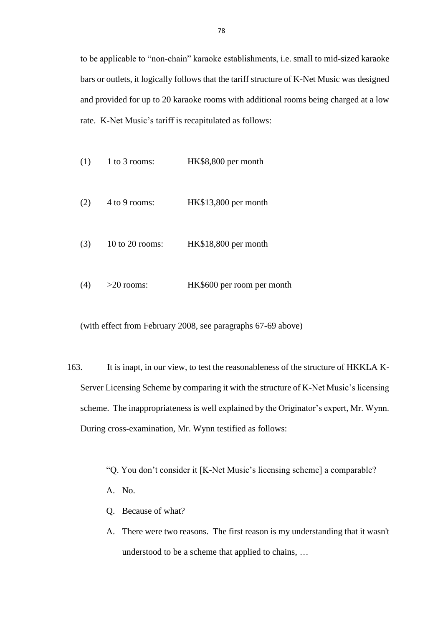to be applicable to "non-chain" karaoke establishments, i.e. small to mid-sized karaoke bars or outlets, it logically follows that the tariff structure of K-Net Music was designed and provided for up to 20 karaoke rooms with additional rooms being charged at a low rate. K-Net Music's tariff is recapitulated as follows:

|     | $(1)$ 1 to 3 rooms: | HK\$8,800 per month        |
|-----|---------------------|----------------------------|
| (2) | 4 to 9 rooms:       | HK\$13,800 per month       |
| (3) | 10 to 20 rooms:     | HK\$18,800 per month       |
| (4) | $>20$ rooms:        | HK\$600 per room per month |

(with effect from February 2008, see paragraphs 67-69 above)

163. It is inapt, in our view, to test the reasonableness of the structure of HKKLA K-Server Licensing Scheme by comparing it with the structure of K-Net Music's licensing scheme. The inappropriateness is well explained by the Originator's expert, Mr. Wynn. During cross-examination, Mr. Wynn testified as follows:

"Q. You don't consider it [K-Net Music's licensing scheme] a comparable?

- A. No.
- Q. Because of what?
- A. There were two reasons. The first reason is my understanding that it wasn't understood to be a scheme that applied to chains, …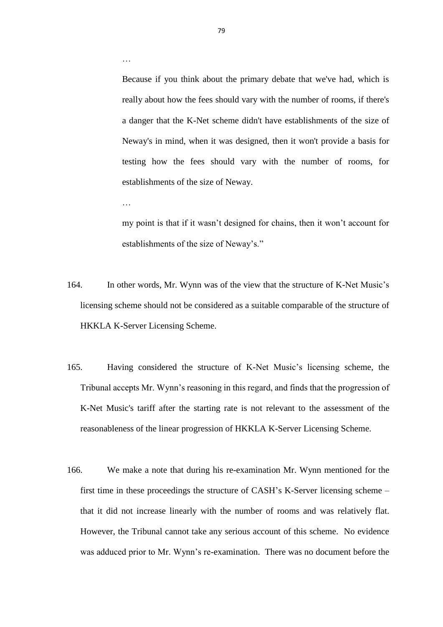Because if you think about the primary debate that we've had, which is really about how the fees should vary with the number of rooms, if there's a danger that the K-Net scheme didn't have establishments of the size of Neway's in mind, when it was designed, then it won't provide a basis for testing how the fees should vary with the number of rooms, for establishments of the size of Neway.

my point is that if it wasn't designed for chains, then it won't account for establishments of the size of Neway's."

- 164. In other words, Mr. Wynn was of the view that the structure of K-Net Music's licensing scheme should not be considered as a suitable comparable of the structure of HKKLA K-Server Licensing Scheme.
- 165. Having considered the structure of K-Net Music's licensing scheme, the Tribunal accepts Mr. Wynn's reasoning in this regard, and finds that the progression of K-Net Music's tariff after the starting rate is not relevant to the assessment of the reasonableness of the linear progression of HKKLA K-Server Licensing Scheme.
- 166. We make a note that during his re-examination Mr. Wynn mentioned for the first time in these proceedings the structure of CASH's K-Server licensing scheme – that it did not increase linearly with the number of rooms and was relatively flat. However, the Tribunal cannot take any serious account of this scheme. No evidence was adduced prior to Mr. Wynn's re-examination. There was no document before the

…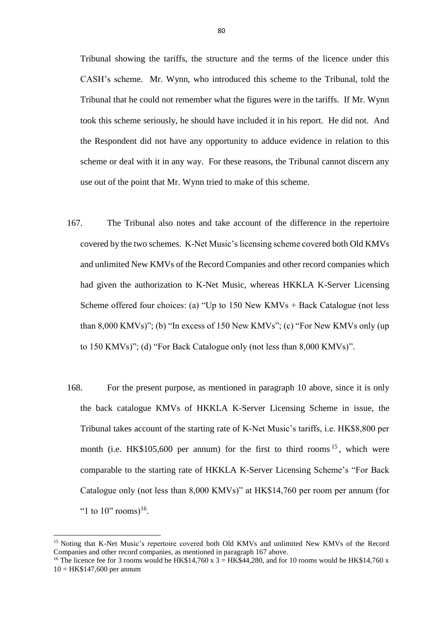Tribunal showing the tariffs, the structure and the terms of the licence under this CASH's scheme. Mr. Wynn, who introduced this scheme to the Tribunal, told the Tribunal that he could not remember what the figures were in the tariffs. If Mr. Wynn took this scheme seriously, he should have included it in his report. He did not. And the Respondent did not have any opportunity to adduce evidence in relation to this scheme or deal with it in any way. For these reasons, the Tribunal cannot discern any use out of the point that Mr. Wynn tried to make of this scheme.

- 167. The Tribunal also notes and take account of the difference in the repertoire covered by the two schemes. K-Net Music's licensing scheme covered both Old KMVs and unlimited New KMVs of the Record Companies and other record companies which had given the authorization to K-Net Music, whereas HKKLA K-Server Licensing Scheme offered four choices: (a) "Up to 150 New KMVs + Back Catalogue (not less than 8,000 KMVs)"; (b) "In excess of 150 New KMVs"; (c) "For New KMVs only (up to 150 KMVs)"; (d) "For Back Catalogue only (not less than 8,000 KMVs)".
- 168. For the present purpose, as mentioned in paragraph 10 above, since it is only the back catalogue KMVs of HKKLA K-Server Licensing Scheme in issue, the Tribunal takes account of the starting rate of K-Net Music's tariffs, i.e. HK\$8,800 per month (i.e. HK\$105,600 per annum) for the first to third rooms  $^{15}$ , which were comparable to the starting rate of HKKLA K-Server Licensing Scheme's "For Back Catalogue only (not less than 8,000 KMVs)" at HK\$14,760 per room per annum (for "1 to  $10$ " rooms)<sup>16</sup>.

<sup>&</sup>lt;sup>15</sup> Noting that K-Net Music's repertoire covered both Old KMVs and unlimited New KMVs of the Record Companies and other record companies, as mentioned in paragraph 167 above.

<sup>&</sup>lt;sup>16</sup> The licence fee for 3 rooms would be HK\$14,760 x  $3 =$  HK\$44,280, and for 10 rooms would be HK\$14,760 x  $10 = HK$147,600$  per annum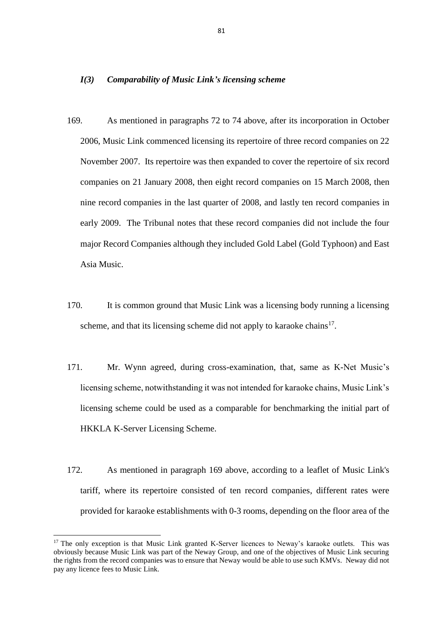#### *I(3) Comparability of Music Link's licensing scheme*

- 169. As mentioned in paragraphs 72 to 74 above, after its incorporation in October 2006, Music Link commenced licensing its repertoire of three record companies on 22 November 2007. Its repertoire was then expanded to cover the repertoire of six record companies on 21 January 2008, then eight record companies on 15 March 2008, then nine record companies in the last quarter of 2008, and lastly ten record companies in early 2009. The Tribunal notes that these record companies did not include the four major Record Companies although they included Gold Label (Gold Typhoon) and East Asia Music.
- 170. It is common ground that Music Link was a licensing body running a licensing scheme, and that its licensing scheme did not apply to karaoke chains<sup>17</sup>.
- 171. Mr. Wynn agreed, during cross-examination, that, same as K-Net Music's licensing scheme, notwithstanding it was not intended for karaoke chains, Music Link's licensing scheme could be used as a comparable for benchmarking the initial part of HKKLA K-Server Licensing Scheme.
- 172. As mentioned in paragraph 169 above, according to a leaflet of Music Link's tariff, where its repertoire consisted of ten record companies, different rates were provided for karaoke establishments with 0-3 rooms, depending on the floor area of the

<sup>&</sup>lt;sup>17</sup> The only exception is that Music Link granted K-Server licences to Neway's karaoke outlets. This was obviously because Music Link was part of the Neway Group, and one of the objectives of Music Link securing the rights from the record companies was to ensure that Neway would be able to use such KMVs. Neway did not pay any licence fees to Music Link.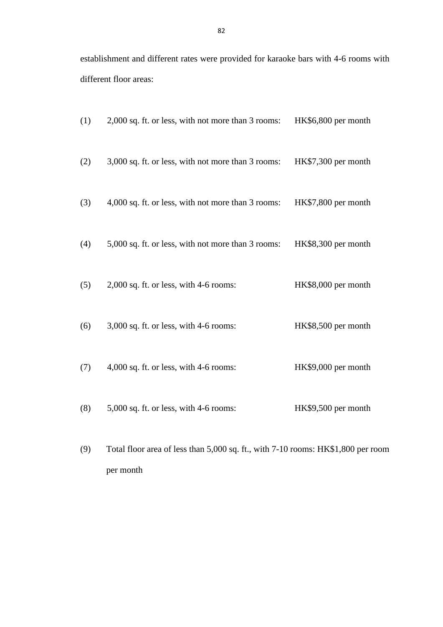establishment and different rates were provided for karaoke bars with 4-6 rooms with different floor areas:

| (1) | 2,000 sq. ft. or less, with not more than 3 rooms: | HK\$6,800 per month |
|-----|----------------------------------------------------|---------------------|
| (2) | 3,000 sq. ft. or less, with not more than 3 rooms: | HK\$7,300 per month |
| (3) | 4,000 sq. ft. or less, with not more than 3 rooms: | HK\$7,800 per month |
| (4) | 5,000 sq. ft. or less, with not more than 3 rooms: | HK\$8,300 per month |
| (5) | 2,000 sq. ft. or less, with 4-6 rooms:             | HK\$8,000 per month |
| (6) | $3,000$ sq. ft. or less, with 4-6 rooms:           | HK\$8,500 per month |
| (7) | 4,000 sq. ft. or less, with 4-6 rooms:             | HK\$9,000 per month |
| (8) | $5,000$ sq. ft. or less, with 4-6 rooms:           | HK\$9,500 per month |
|     |                                                    |                     |

(9) Total floor area of less than 5,000 sq. ft., with 7-10 rooms: HK\$1,800 per room per month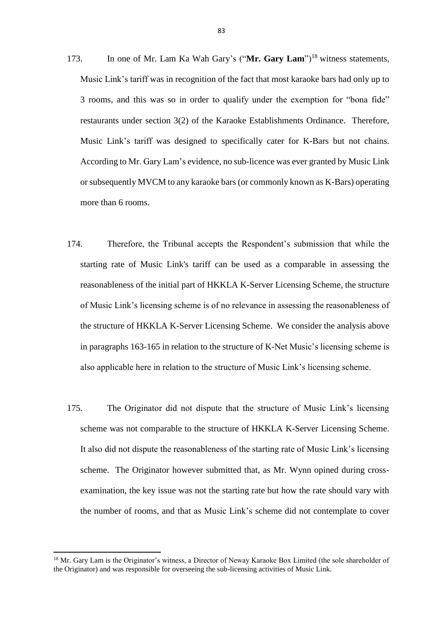- 173. In one of Mr. Lam Ka Wah Gary's ("**Mr. Gary Lam**")<sup>18</sup> witness statements, Music Link's tariff was in recognition of the fact that most karaoke bars had only up to 3 rooms, and this was so in order to qualify under the exemption for "bona fide" restaurants under section 3(2) of the Karaoke Establishments Ordinance. Therefore, Music Link's tariff was designed to specifically cater for K-Bars but not chains. According to Mr. Gary Lam's evidence, no sub-licence was ever granted by Music Link or subsequently MVCM to any karaoke bars (or commonly known as K-Bars) operating more than 6 rooms.
- 174. Therefore, the Tribunal accepts the Respondent's submission that while the starting rate of Music Link's tariff can be used as a comparable in assessing the reasonableness of the initial part of HKKLA K-Server Licensing Scheme, the structure of Music Link's licensing scheme is of no relevance in assessing the reasonableness of the structure of HKKLA K-Server Licensing Scheme. We consider the analysis above in paragraphs 163-165 in relation to the structure of K-Net Music's licensing scheme is also applicable here in relation to the structure of Music Link's licensing scheme.
- 175. The Originator did not dispute that the structure of Music Link's licensing scheme was not comparable to the structure of HKKLA K-Server Licensing Scheme. It also did not dispute the reasonableness of the starting rate of Music Link's licensing scheme. The Originator however submitted that, as Mr. Wynn opined during crossexamination, the key issue was not the starting rate but how the rate should vary with the number of rooms, and that as Music Link's scheme did not contemplate to cover

<sup>&</sup>lt;sup>18</sup> Mr. Gary Lam is the Originator's witness, a Director of Neway Karaoke Box Limited (the sole shareholder of the Originator) and was responsible for overseeing the sub-licensing activities of Music Link.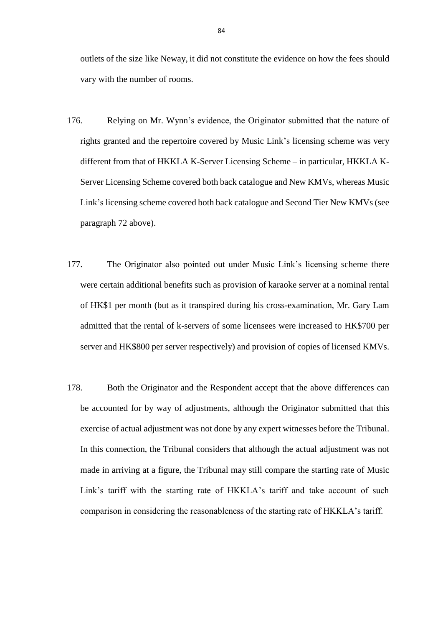outlets of the size like Neway, it did not constitute the evidence on how the fees should vary with the number of rooms.

- 176. Relying on Mr. Wynn's evidence, the Originator submitted that the nature of rights granted and the repertoire covered by Music Link's licensing scheme was very different from that of HKKLA K-Server Licensing Scheme – in particular, HKKLA K-Server Licensing Scheme covered both back catalogue and New KMVs, whereas Music Link's licensing scheme covered both back catalogue and Second Tier New KMVs (see paragraph 72 above).
- 177. The Originator also pointed out under Music Link's licensing scheme there were certain additional benefits such as provision of karaoke server at a nominal rental of HK\$1 per month (but as it transpired during his cross-examination, Mr. Gary Lam admitted that the rental of k-servers of some licensees were increased to HK\$700 per server and HK\$800 per server respectively) and provision of copies of licensed KMVs.
- 178. Both the Originator and the Respondent accept that the above differences can be accounted for by way of adjustments, although the Originator submitted that this exercise of actual adjustment was not done by any expert witnesses before the Tribunal. In this connection, the Tribunal considers that although the actual adjustment was not made in arriving at a figure, the Tribunal may still compare the starting rate of Music Link's tariff with the starting rate of HKKLA's tariff and take account of such comparison in considering the reasonableness of the starting rate of HKKLA's tariff.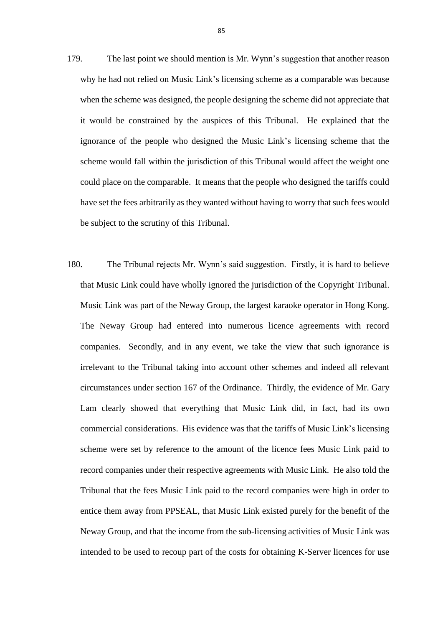- 179. The last point we should mention is Mr. Wynn's suggestion that another reason why he had not relied on Music Link's licensing scheme as a comparable was because when the scheme was designed, the people designing the scheme did not appreciate that it would be constrained by the auspices of this Tribunal. He explained that the ignorance of the people who designed the Music Link's licensing scheme that the scheme would fall within the jurisdiction of this Tribunal would affect the weight one could place on the comparable. It means that the people who designed the tariffs could have set the fees arbitrarily as they wanted without having to worry that such fees would be subject to the scrutiny of this Tribunal.
- 180. The Tribunal rejects Mr. Wynn's said suggestion. Firstly, it is hard to believe that Music Link could have wholly ignored the jurisdiction of the Copyright Tribunal. Music Link was part of the Neway Group, the largest karaoke operator in Hong Kong. The Neway Group had entered into numerous licence agreements with record companies. Secondly, and in any event, we take the view that such ignorance is irrelevant to the Tribunal taking into account other schemes and indeed all relevant circumstances under section 167 of the Ordinance. Thirdly, the evidence of Mr. Gary Lam clearly showed that everything that Music Link did, in fact, had its own commercial considerations. His evidence was that the tariffs of Music Link's licensing scheme were set by reference to the amount of the licence fees Music Link paid to record companies under their respective agreements with Music Link. He also told the Tribunal that the fees Music Link paid to the record companies were high in order to entice them away from PPSEAL, that Music Link existed purely for the benefit of the Neway Group, and that the income from the sub-licensing activities of Music Link was intended to be used to recoup part of the costs for obtaining K-Server licences for use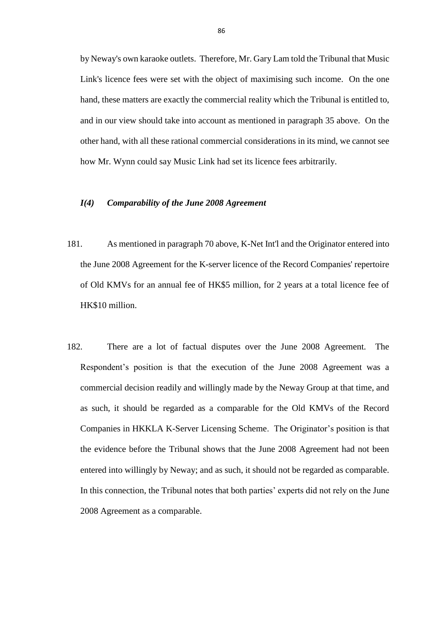by Neway's own karaoke outlets. Therefore, Mr. Gary Lam told the Tribunal that Music Link's licence fees were set with the object of maximising such income. On the one hand, these matters are exactly the commercial reality which the Tribunal is entitled to, and in our view should take into account as mentioned in paragraph 35 above. On the other hand, with all these rational commercial considerations in its mind, we cannot see how Mr. Wynn could say Music Link had set its licence fees arbitrarily.

# *I(4) Comparability of the June 2008 Agreement*

- 181. As mentioned in paragraph 70 above, K-Net Int'l and the Originator entered into the June 2008 Agreement for the K-server licence of the Record Companies' repertoire of Old KMVs for an annual fee of HK\$5 million, for 2 years at a total licence fee of HK\$10 million.
- 182. There are a lot of factual disputes over the June 2008 Agreement. The Respondent's position is that the execution of the June 2008 Agreement was a commercial decision readily and willingly made by the Neway Group at that time, and as such, it should be regarded as a comparable for the Old KMVs of the Record Companies in HKKLA K-Server Licensing Scheme. The Originator's position is that the evidence before the Tribunal shows that the June 2008 Agreement had not been entered into willingly by Neway; and as such, it should not be regarded as comparable. In this connection, the Tribunal notes that both parties' experts did not rely on the June 2008 Agreement as a comparable.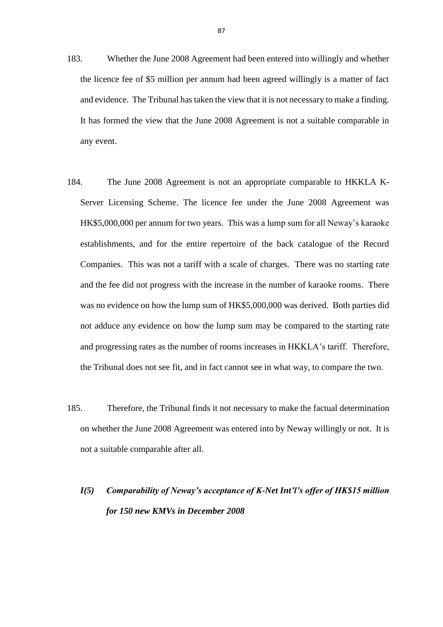- 183. Whether the June 2008 Agreement had been entered into willingly and whether the licence fee of \$5 million per annum had been agreed willingly is a matter of fact and evidence. The Tribunal has taken the view that it is not necessary to make a finding. It has formed the view that the June 2008 Agreement is not a suitable comparable in any event.
- 184. The June 2008 Agreement is not an appropriate comparable to HKKLA K-Server Licensing Scheme. The licence fee under the June 2008 Agreement was HK\$5,000,000 per annum for two years. This was a lump sum for all Neway's karaoke establishments, and for the entire repertoire of the back catalogue of the Record Companies. This was not a tariff with a scale of charges. There was no starting rate and the fee did not progress with the increase in the number of karaoke rooms. There was no evidence on how the lump sum of HK\$5,000,000 was derived. Both parties did not adduce any evidence on how the lump sum may be compared to the starting rate and progressing rates as the number of rooms increases in HKKLA's tariff. Therefore, the Tribunal does not see fit, and in fact cannot see in what way, to compare the two.
- 185. Therefore, the Tribunal finds it not necessary to make the factual determination on whether the June 2008 Agreement was entered into by Neway willingly or not. It is not a suitable comparable after all.

# *I(5) Comparability of Neway's acceptance of K-Net Int'l's offer of HK\$15 million for 150 new KMVs in December 2008*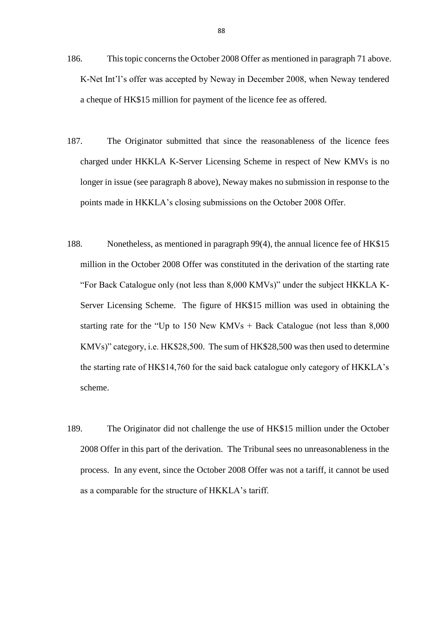- 186. This topic concerns the October 2008 Offer as mentioned in paragraph 71 above. K-Net Int'l's offer was accepted by Neway in December 2008, when Neway tendered a cheque of HK\$15 million for payment of the licence fee as offered.
- 187. The Originator submitted that since the reasonableness of the licence fees charged under HKKLA K-Server Licensing Scheme in respect of New KMVs is no longer in issue (see paragraph 8 above), Neway makes no submission in response to the points made in HKKLA's closing submissions on the October 2008 Offer.
- 188. Nonetheless, as mentioned in paragraph 99(4), the annual licence fee of HK\$15 million in the October 2008 Offer was constituted in the derivation of the starting rate "For Back Catalogue only (not less than 8,000 KMVs)" under the subject HKKLA K-Server Licensing Scheme. The figure of HK\$15 million was used in obtaining the starting rate for the "Up to 150 New KMVs + Back Catalogue (not less than 8,000 KMVs)" category, i.e. HK\$28,500. The sum of HK\$28,500 was then used to determine the starting rate of HK\$14,760 for the said back catalogue only category of HKKLA's scheme.
- 189. The Originator did not challenge the use of HK\$15 million under the October 2008 Offer in this part of the derivation. The Tribunal sees no unreasonableness in the process. In any event, since the October 2008 Offer was not a tariff, it cannot be used as a comparable for the structure of HKKLA's tariff.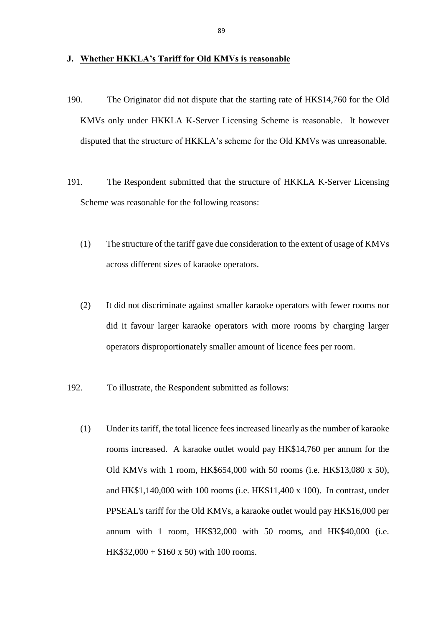#### **J. Whether HKKLA's Tariff for Old KMVs is reasonable**

- 190. The Originator did not dispute that the starting rate of HK\$14,760 for the Old KMVs only under HKKLA K-Server Licensing Scheme is reasonable. It however disputed that the structure of HKKLA's scheme for the Old KMVs was unreasonable.
- 191. The Respondent submitted that the structure of HKKLA K-Server Licensing Scheme was reasonable for the following reasons:
	- (1) The structure of the tariff gave due consideration to the extent of usage of KMVs across different sizes of karaoke operators.
	- (2) It did not discriminate against smaller karaoke operators with fewer rooms nor did it favour larger karaoke operators with more rooms by charging larger operators disproportionately smaller amount of licence fees per room.
- 192. To illustrate, the Respondent submitted as follows:
	- (1) Under its tariff, the total licence fees increased linearly as the number of karaoke rooms increased. A karaoke outlet would pay HK\$14,760 per annum for the Old KMVs with 1 room, HK\$654,000 with 50 rooms (i.e. HK\$13,080 x 50), and HK\$1,140,000 with 100 rooms (i.e. HK\$11,400 x 100). In contrast, under PPSEAL's tariff for the Old KMVs, a karaoke outlet would pay HK\$16,000 per annum with 1 room, HK\$32,000 with 50 rooms, and HK\$40,000 (i.e. HK\$32,000 + \$160 x 50) with 100 rooms.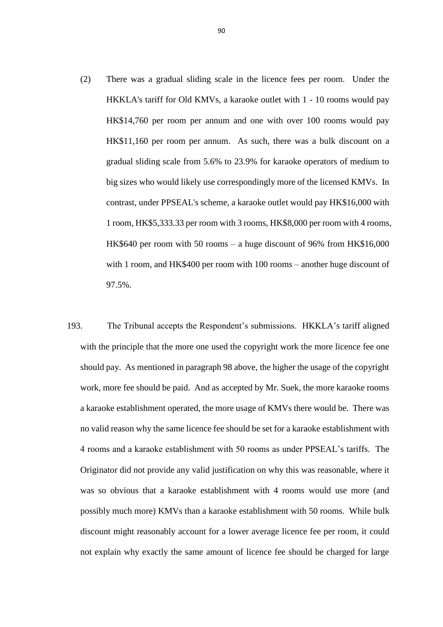- (2) There was a gradual sliding scale in the licence fees per room. Under the HKKLA's tariff for Old KMVs, a karaoke outlet with 1 - 10 rooms would pay HK\$14,760 per room per annum and one with over 100 rooms would pay HK\$11,160 per room per annum. As such, there was a bulk discount on a gradual sliding scale from 5.6% to 23.9% for karaoke operators of medium to big sizes who would likely use correspondingly more of the licensed KMVs. In contrast, under PPSEAL's scheme, a karaoke outlet would pay HK\$16,000 with 1 room, HK\$5,333.33 per room with 3 rooms, HK\$8,000 per room with 4 rooms, HK\$640 per room with 50 rooms – a huge discount of 96% from HK\$16,000 with 1 room, and HK\$400 per room with 100 rooms – another huge discount of 97.5%.
- 193. The Tribunal accepts the Respondent's submissions. HKKLA's tariff aligned with the principle that the more one used the copyright work the more licence fee one should pay. As mentioned in paragraph 98 above, the higher the usage of the copyright work, more fee should be paid. And as accepted by Mr. Suek, the more karaoke rooms a karaoke establishment operated, the more usage of KMVs there would be. There was no valid reason why the same licence fee should be set for a karaoke establishment with 4 rooms and a karaoke establishment with 50 rooms as under PPSEAL's tariffs. The Originator did not provide any valid justification on why this was reasonable, where it was so obvious that a karaoke establishment with 4 rooms would use more (and possibly much more) KMVs than a karaoke establishment with 50 rooms. While bulk discount might reasonably account for a lower average licence fee per room, it could not explain why exactly the same amount of licence fee should be charged for large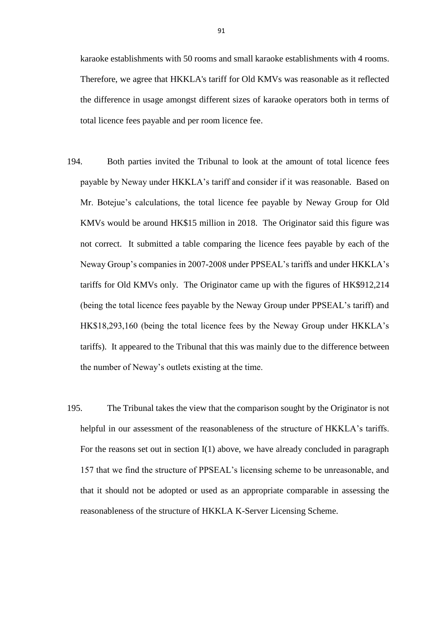karaoke establishments with 50 rooms and small karaoke establishments with 4 rooms. Therefore, we agree that HKKLA's tariff for Old KMVs was reasonable as it reflected the difference in usage amongst different sizes of karaoke operators both in terms of total licence fees payable and per room licence fee.

- 194. Both parties invited the Tribunal to look at the amount of total licence fees payable by Neway under HKKLA's tariff and consider if it was reasonable. Based on Mr. Botejue's calculations, the total licence fee payable by Neway Group for Old KMVs would be around HK\$15 million in 2018. The Originator said this figure was not correct. It submitted a table comparing the licence fees payable by each of the Neway Group's companies in 2007-2008 under PPSEAL's tariffs and under HKKLA's tariffs for Old KMVs only. The Originator came up with the figures of HK\$912,214 (being the total licence fees payable by the Neway Group under PPSEAL's tariff) and HK\$18,293,160 (being the total licence fees by the Neway Group under HKKLA's tariffs). It appeared to the Tribunal that this was mainly due to the difference between the number of Neway's outlets existing at the time.
- 195. The Tribunal takes the view that the comparison sought by the Originator is not helpful in our assessment of the reasonableness of the structure of HKKLA's tariffs. For the reasons set out in section  $I(1)$  above, we have already concluded in paragraph 157 that we find the structure of PPSEAL's licensing scheme to be unreasonable, and that it should not be adopted or used as an appropriate comparable in assessing the reasonableness of the structure of HKKLA K-Server Licensing Scheme.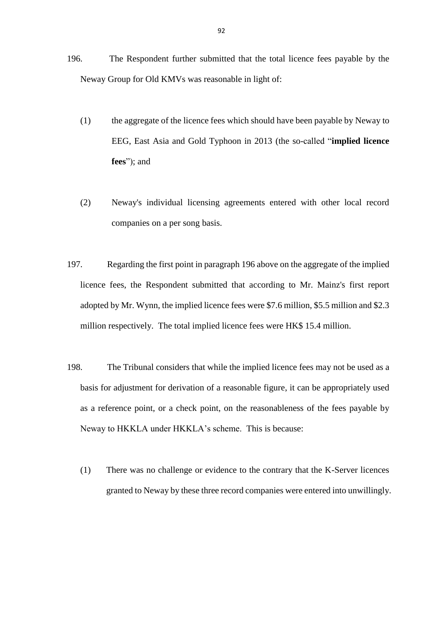- 196. The Respondent further submitted that the total licence fees payable by the Neway Group for Old KMVs was reasonable in light of:
	- (1) the aggregate of the licence fees which should have been payable by Neway to EEG, East Asia and Gold Typhoon in 2013 (the so-called "**implied licence fees**"); and
	- (2) Neway's individual licensing agreements entered with other local record companies on a per song basis.
- 197. Regarding the first point in paragraph 196 above on the aggregate of the implied licence fees, the Respondent submitted that according to Mr. Mainz's first report adopted by Mr. Wynn, the implied licence fees were \$7.6 million, \$5.5 million and \$2.3 million respectively. The total implied licence fees were HK\$ 15.4 million.
- 198. The Tribunal considers that while the implied licence fees may not be used as a basis for adjustment for derivation of a reasonable figure, it can be appropriately used as a reference point, or a check point, on the reasonableness of the fees payable by Neway to HKKLA under HKKLA's scheme. This is because:
	- (1) There was no challenge or evidence to the contrary that the K-Server licences granted to Neway by these three record companies were entered into unwillingly.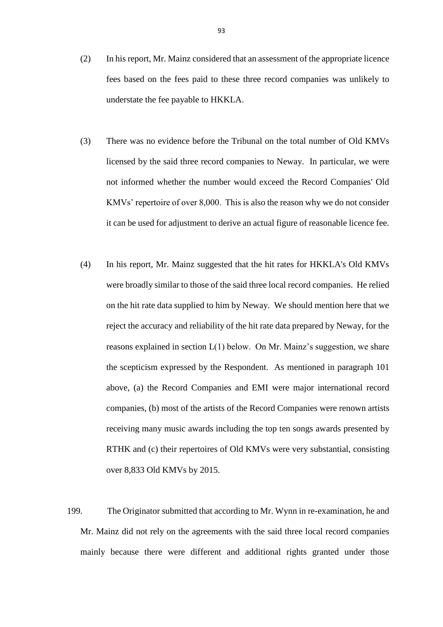- (2) In his report, Mr. Mainz considered that an assessment of the appropriate licence fees based on the fees paid to these three record companies was unlikely to understate the fee payable to HKKLA.
- (3) There was no evidence before the Tribunal on the total number of Old KMVs licensed by the said three record companies to Neway. In particular, we were not informed whether the number would exceed the Record Companies' Old KMVs' repertoire of over 8,000. This is also the reason why we do not consider it can be used for adjustment to derive an actual figure of reasonable licence fee.
- (4) In his report, Mr. Mainz suggested that the hit rates for HKKLA's Old KMVs were broadly similar to those of the said three local record companies. He relied on the hit rate data supplied to him by Neway. We should mention here that we reject the accuracy and reliability of the hit rate data prepared by Neway, for the reasons explained in section  $L(1)$  below. On Mr. Mainz's suggestion, we share the scepticism expressed by the Respondent. As mentioned in paragraph 101 above, (a) the Record Companies and EMI were major international record companies, (b) most of the artists of the Record Companies were renown artists receiving many music awards including the top ten songs awards presented by RTHK and (c) their repertoires of Old KMVs were very substantial, consisting over 8,833 Old KMVs by 2015.
- 199. The Originator submitted that according to Mr. Wynn in re-examination, he and Mr. Mainz did not rely on the agreements with the said three local record companies mainly because there were different and additional rights granted under those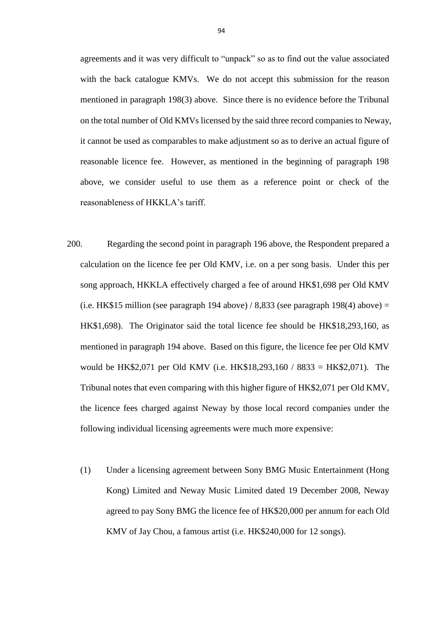agreements and it was very difficult to "unpack" so as to find out the value associated with the back catalogue KMVs. We do not accept this submission for the reason mentioned in paragraph 198(3) above. Since there is no evidence before the Tribunal on the total number of Old KMVs licensed by the said three record companies to Neway, it cannot be used as comparables to make adjustment so as to derive an actual figure of reasonable licence fee. However, as mentioned in the beginning of paragraph 198 above, we consider useful to use them as a reference point or check of the reasonableness of HKKLA's tariff.

- 200. Regarding the second point in paragraph 196 above, the Respondent prepared a calculation on the licence fee per Old KMV, i.e. on a per song basis. Under this per song approach, HKKLA effectively charged a fee of around HK\$1,698 per Old KMV (i.e. HK\$15 million (see paragraph 194 above) /  $8,833$  (see paragraph 198(4) above) = HK\$1,698). The Originator said the total licence fee should be HK\$18,293,160, as mentioned in paragraph 194 above. Based on this figure, the licence fee per Old KMV would be HK\$2,071 per Old KMV (i.e. HK\$18,293,160 / 8833 = HK\$2,071). The Tribunal notes that even comparing with this higher figure of HK\$2,071 per Old KMV, the licence fees charged against Neway by those local record companies under the following individual licensing agreements were much more expensive:
	- (1) Under a licensing agreement between Sony BMG Music Entertainment (Hong Kong) Limited and Neway Music Limited dated 19 December 2008, Neway agreed to pay Sony BMG the licence fee of HK\$20,000 per annum for each Old KMV of Jay Chou, a famous artist (i.e. HK\$240,000 for 12 songs).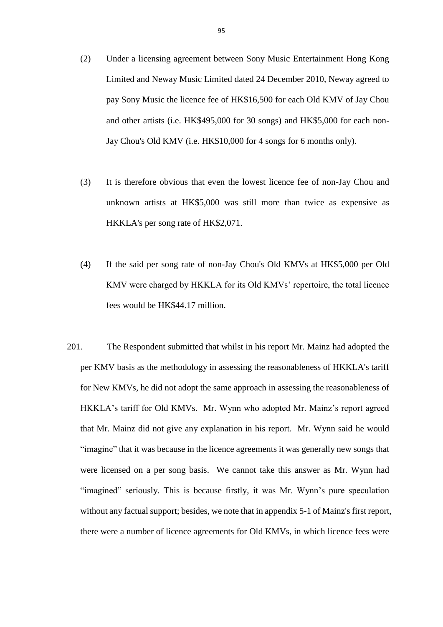- (2) Under a licensing agreement between Sony Music Entertainment Hong Kong Limited and Neway Music Limited dated 24 December 2010, Neway agreed to pay Sony Music the licence fee of HK\$16,500 for each Old KMV of Jay Chou and other artists (i.e. HK\$495,000 for 30 songs) and HK\$5,000 for each non-Jay Chou's Old KMV (i.e. HK\$10,000 for 4 songs for 6 months only).
- (3) It is therefore obvious that even the lowest licence fee of non-Jay Chou and unknown artists at HK\$5,000 was still more than twice as expensive as HKKLA's per song rate of HK\$2,071.
- (4) If the said per song rate of non-Jay Chou's Old KMVs at HK\$5,000 per Old KMV were charged by HKKLA for its Old KMVs' repertoire, the total licence fees would be HK\$44.17 million.
- 201. The Respondent submitted that whilst in his report Mr. Mainz had adopted the per KMV basis as the methodology in assessing the reasonableness of HKKLA's tariff for New KMVs, he did not adopt the same approach in assessing the reasonableness of HKKLA's tariff for Old KMVs. Mr. Wynn who adopted Mr. Mainz's report agreed that Mr. Mainz did not give any explanation in his report. Mr. Wynn said he would "imagine" that it was because in the licence agreements it was generally new songs that were licensed on a per song basis. We cannot take this answer as Mr. Wynn had "imagined" seriously. This is because firstly, it was Mr. Wynn's pure speculation without any factual support; besides, we note that in appendix 5-1 of Mainz's first report, there were a number of licence agreements for Old KMVs, in which licence fees were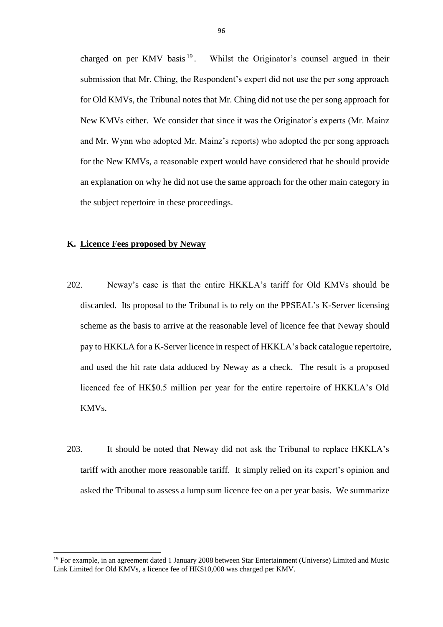charged on per KMV basis  $19$ . . Whilst the Originator's counsel argued in their submission that Mr. Ching, the Respondent's expert did not use the per song approach for Old KMVs, the Tribunal notes that Mr. Ching did not use the per song approach for New KMVs either. We consider that since it was the Originator's experts (Mr. Mainz and Mr. Wynn who adopted Mr. Mainz's reports) who adopted the per song approach for the New KMVs, a reasonable expert would have considered that he should provide an explanation on why he did not use the same approach for the other main category in the subject repertoire in these proceedings.

## **K. Licence Fees proposed by Neway**

- 202. Neway's case is that the entire HKKLA's tariff for Old KMVs should be discarded. Its proposal to the Tribunal is to rely on the PPSEAL's K-Server licensing scheme as the basis to arrive at the reasonable level of licence fee that Neway should pay to HKKLA for a K-Server licence in respect of HKKLA's back catalogue repertoire, and used the hit rate data adduced by Neway as a check. The result is a proposed licenced fee of HK\$0.5 million per year for the entire repertoire of HKKLA's Old KMVs.
- 203. It should be noted that Neway did not ask the Tribunal to replace HKKLA's tariff with another more reasonable tariff. It simply relied on its expert's opinion and asked the Tribunal to assess a lump sum licence fee on a per year basis. We summarize

<sup>19</sup> For example, in an agreement dated 1 January 2008 between Star Entertainment (Universe) Limited and Music Link Limited for Old KMVs, a licence fee of HK\$10,000 was charged per KMV.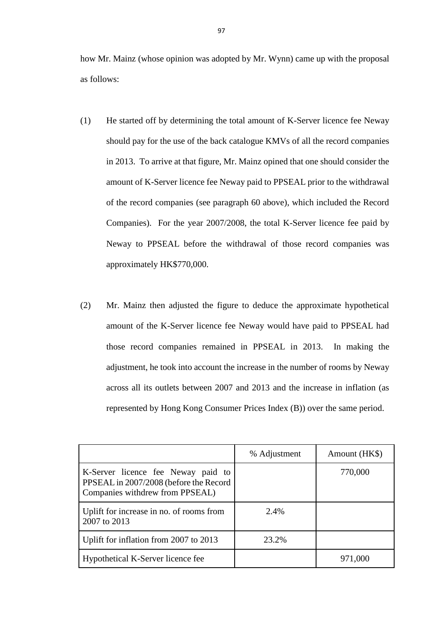how Mr. Mainz (whose opinion was adopted by Mr. Wynn) came up with the proposal as follows:

- (1) He started off by determining the total amount of K-Server licence fee Neway should pay for the use of the back catalogue KMVs of all the record companies in 2013. To arrive at that figure, Mr. Mainz opined that one should consider the amount of K-Server licence fee Neway paid to PPSEAL prior to the withdrawal of the record companies (see paragraph 60 above), which included the Record Companies). For the year 2007/2008, the total K-Server licence fee paid by Neway to PPSEAL before the withdrawal of those record companies was approximately HK\$770,000.
- (2) Mr. Mainz then adjusted the figure to deduce the approximate hypothetical amount of the K-Server licence fee Neway would have paid to PPSEAL had those record companies remained in PPSEAL in 2013. In making the adjustment, he took into account the increase in the number of rooms by Neway across all its outlets between 2007 and 2013 and the increase in inflation (as represented by Hong Kong Consumer Prices Index (B)) over the same period.

|                                                                                                                 | % Adjustment | Amount (HK\$) |
|-----------------------------------------------------------------------------------------------------------------|--------------|---------------|
| K-Server licence fee Neway paid to<br>PPSEAL in 2007/2008 (before the Record<br>Companies withdrew from PPSEAL) |              | 770,000       |
| Uplift for increase in no. of rooms from<br>2007 to 2013                                                        | 2.4%         |               |
| Uplift for inflation from 2007 to 2013                                                                          | 23.2%        |               |
| Hypothetical K-Server licence fee                                                                               |              | 971,000       |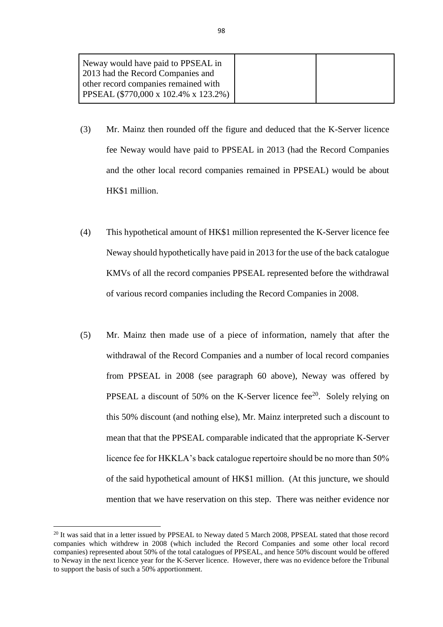| Neway would have paid to PPSEAL in<br>2013 had the Record Companies and      |  |
|------------------------------------------------------------------------------|--|
| other record companies remained with<br>PPSEAL (\$770,000 x 102.4% x 123.2%) |  |

- (3) Mr. Mainz then rounded off the figure and deduced that the K-Server licence fee Neway would have paid to PPSEAL in 2013 (had the Record Companies and the other local record companies remained in PPSEAL) would be about HK\$1 million.
- (4) This hypothetical amount of HK\$1 million represented the K-Server licence fee Neway should hypothetically have paid in 2013 for the use of the back catalogue KMVs of all the record companies PPSEAL represented before the withdrawal of various record companies including the Record Companies in 2008.
- (5) Mr. Mainz then made use of a piece of information, namely that after the withdrawal of the Record Companies and a number of local record companies from PPSEAL in 2008 (see paragraph 60 above), Neway was offered by PPSEAL a discount of 50% on the K-Server licence fee<sup>20</sup>. Solely relying on this 50% discount (and nothing else), Mr. Mainz interpreted such a discount to mean that that the PPSEAL comparable indicated that the appropriate K-Server licence fee for HKKLA's back catalogue repertoire should be no more than 50% of the said hypothetical amount of HK\$1 million. (At this juncture, we should mention that we have reservation on this step. There was neither evidence nor

<sup>&</sup>lt;sup>20</sup> It was said that in a letter issued by PPSEAL to Neway dated 5 March 2008, PPSEAL stated that those record companies which withdrew in 2008 (which included the Record Companies and some other local record companies) represented about 50% of the total catalogues of PPSEAL, and hence 50% discount would be offered to Neway in the next licence year for the K-Server licence. However, there was no evidence before the Tribunal to support the basis of such a 50% apportionment.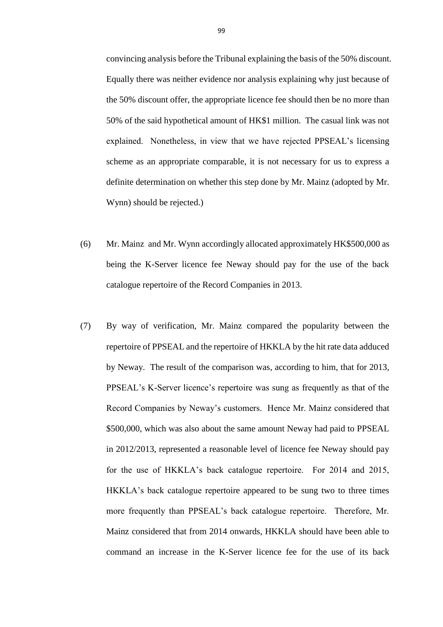convincing analysis before the Tribunal explaining the basis of the 50% discount. Equally there was neither evidence nor analysis explaining why just because of the 50% discount offer, the appropriate licence fee should then be no more than 50% of the said hypothetical amount of HK\$1 million. The casual link was not explained. Nonetheless, in view that we have rejected PPSEAL's licensing scheme as an appropriate comparable, it is not necessary for us to express a definite determination on whether this step done by Mr. Mainz (adopted by Mr. Wynn) should be rejected.)

- (6) Mr. Mainz and Mr. Wynn accordingly allocated approximately HK\$500,000 as being the K-Server licence fee Neway should pay for the use of the back catalogue repertoire of the Record Companies in 2013.
- (7) By way of verification, Mr. Mainz compared the popularity between the repertoire of PPSEAL and the repertoire of HKKLA by the hit rate data adduced by Neway. The result of the comparison was, according to him, that for 2013, PPSEAL's K-Server licence's repertoire was sung as frequently as that of the Record Companies by Neway's customers. Hence Mr. Mainz considered that \$500,000, which was also about the same amount Neway had paid to PPSEAL in 2012/2013, represented a reasonable level of licence fee Neway should pay for the use of HKKLA's back catalogue repertoire. For 2014 and 2015, HKKLA's back catalogue repertoire appeared to be sung two to three times more frequently than PPSEAL's back catalogue repertoire. Therefore, Mr. Mainz considered that from 2014 onwards, HKKLA should have been able to command an increase in the K-Server licence fee for the use of its back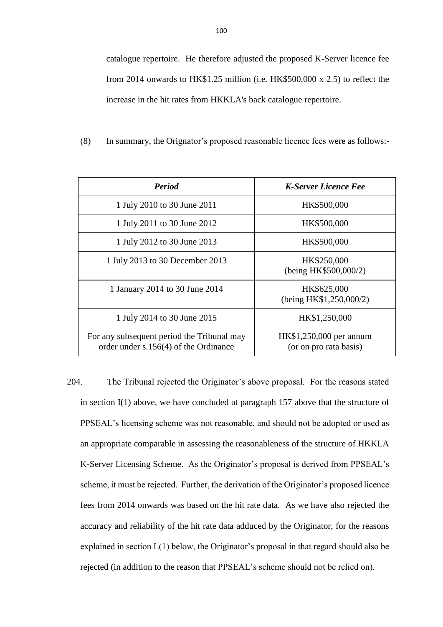catalogue repertoire. He therefore adjusted the proposed K-Server licence fee from 2014 onwards to HK\$1.25 million (i.e. HK\$500,000 x 2.5) to reflect the increase in the hit rates from HKKLA's back catalogue repertoire.

| (8) |  |  | In summary, the Orignator's proposed reasonable licence fees were as follows:- |
|-----|--|--|--------------------------------------------------------------------------------|
|     |  |  |                                                                                |

| Period                                                                              | <b>K-Server Licence Fee</b>                       |
|-------------------------------------------------------------------------------------|---------------------------------------------------|
| 1 July 2010 to 30 June 2011                                                         | HK\$500,000                                       |
| 1 July 2011 to 30 June 2012                                                         | HK\$500,000                                       |
| 1 July 2012 to 30 June 2013                                                         | HK\$500,000                                       |
| 1 July 2013 to 30 December 2013                                                     | HK\$250,000<br>(being HK\$500,000/2)              |
| 1 January 2014 to 30 June 2014                                                      | HK\$625,000<br>(being HK\$1,250,000/2)            |
| 1 July 2014 to 30 June 2015                                                         | HK\$1,250,000                                     |
| For any subsequent period the Tribunal may<br>order under s.156(4) of the Ordinance | HK\$1,250,000 per annum<br>(or on pro rata basis) |

204. The Tribunal rejected the Originator's above proposal. For the reasons stated in section I(1) above, we have concluded at paragraph 157 above that the structure of PPSEAL's licensing scheme was not reasonable, and should not be adopted or used as an appropriate comparable in assessing the reasonableness of the structure of HKKLA K-Server Licensing Scheme. As the Originator's proposal is derived from PPSEAL's scheme, it must be rejected. Further, the derivation of the Originator's proposed licence fees from 2014 onwards was based on the hit rate data. As we have also rejected the accuracy and reliability of the hit rate data adduced by the Originator, for the reasons explained in section L(1) below, the Originator's proposal in that regard should also be rejected (in addition to the reason that PPSEAL's scheme should not be relied on).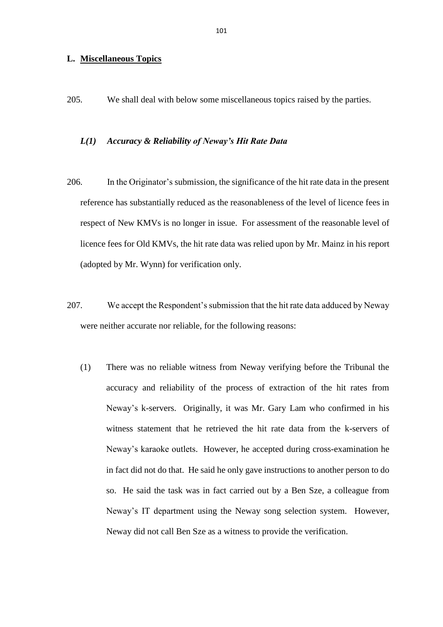#### **L. Miscellaneous Topics**

205. We shall deal with below some miscellaneous topics raised by the parties.

#### *L(1) Accuracy & Reliability of Neway's Hit Rate Data*

- 206. In the Originator's submission, the significance of the hit rate data in the present reference has substantially reduced as the reasonableness of the level of licence fees in respect of New KMVs is no longer in issue. For assessment of the reasonable level of licence fees for Old KMVs, the hit rate data was relied upon by Mr. Mainz in his report (adopted by Mr. Wynn) for verification only.
- 207. We accept the Respondent's submission that the hit rate data adduced by Neway were neither accurate nor reliable, for the following reasons:
	- (1) There was no reliable witness from Neway verifying before the Tribunal the accuracy and reliability of the process of extraction of the hit rates from Neway's k-servers. Originally, it was Mr. Gary Lam who confirmed in his witness statement that he retrieved the hit rate data from the k-servers of Neway's karaoke outlets. However, he accepted during cross-examination he in fact did not do that. He said he only gave instructions to another person to do so. He said the task was in fact carried out by a Ben Sze, a colleague from Neway's IT department using the Neway song selection system. However, Neway did not call Ben Sze as a witness to provide the verification.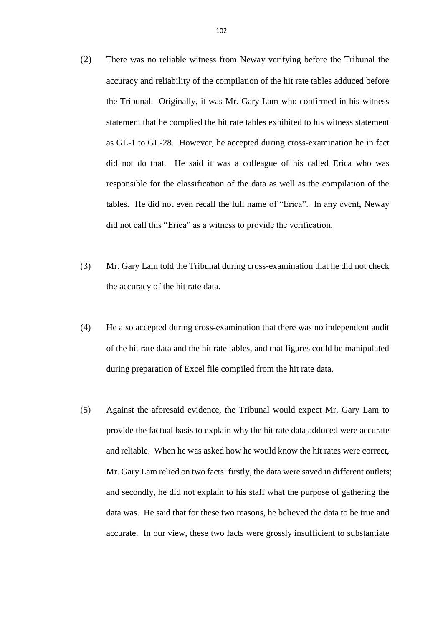- (2) There was no reliable witness from Neway verifying before the Tribunal the accuracy and reliability of the compilation of the hit rate tables adduced before the Tribunal. Originally, it was Mr. Gary Lam who confirmed in his witness statement that he complied the hit rate tables exhibited to his witness statement as GL-1 to GL-28. However, he accepted during cross-examination he in fact did not do that. He said it was a colleague of his called Erica who was responsible for the classification of the data as well as the compilation of the tables. He did not even recall the full name of "Erica". In any event, Neway did not call this "Erica" as a witness to provide the verification.
- (3) Mr. Gary Lam told the Tribunal during cross-examination that he did not check the accuracy of the hit rate data.
- (4) He also accepted during cross-examination that there was no independent audit of the hit rate data and the hit rate tables, and that figures could be manipulated during preparation of Excel file compiled from the hit rate data.
- (5) Against the aforesaid evidence, the Tribunal would expect Mr. Gary Lam to provide the factual basis to explain why the hit rate data adduced were accurate and reliable. When he was asked how he would know the hit rates were correct, Mr. Gary Lam relied on two facts: firstly, the data were saved in different outlets; and secondly, he did not explain to his staff what the purpose of gathering the data was. He said that for these two reasons, he believed the data to be true and accurate. In our view, these two facts were grossly insufficient to substantiate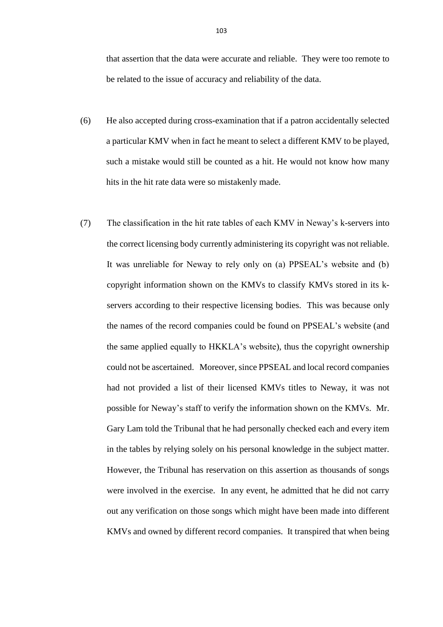that assertion that the data were accurate and reliable. They were too remote to be related to the issue of accuracy and reliability of the data.

- (6) He also accepted during cross-examination that if a patron accidentally selected a particular KMV when in fact he meant to select a different KMV to be played, such a mistake would still be counted as a hit. He would not know how many hits in the hit rate data were so mistakenly made.
- (7) The classification in the hit rate tables of each KMV in Neway's k-servers into the correct licensing body currently administering its copyright was not reliable. It was unreliable for Neway to rely only on (a) PPSEAL's website and (b) copyright information shown on the KMVs to classify KMVs stored in its kservers according to their respective licensing bodies. This was because only the names of the record companies could be found on PPSEAL's website (and the same applied equally to HKKLA's website), thus the copyright ownership could not be ascertained. Moreover, since PPSEAL and local record companies had not provided a list of their licensed KMVs titles to Neway, it was not possible for Neway's staff to verify the information shown on the KMVs. Mr. Gary Lam told the Tribunal that he had personally checked each and every item in the tables by relying solely on his personal knowledge in the subject matter. However, the Tribunal has reservation on this assertion as thousands of songs were involved in the exercise. In any event, he admitted that he did not carry out any verification on those songs which might have been made into different KMVs and owned by different record companies. It transpired that when being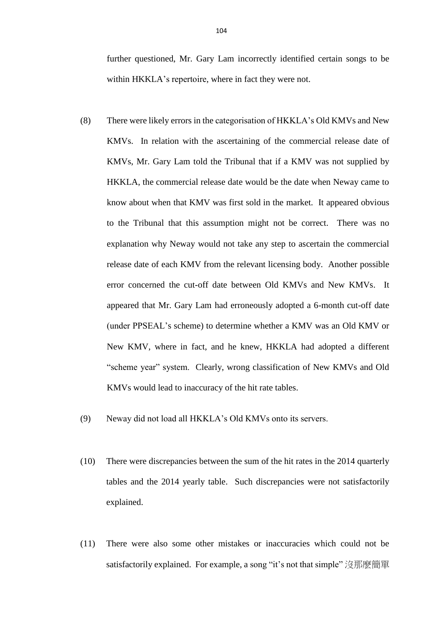further questioned, Mr. Gary Lam incorrectly identified certain songs to be within HKKLA's repertoire, where in fact they were not.

- (8) There were likely errors in the categorisation of HKKLA's Old KMVs and New KMVs. In relation with the ascertaining of the commercial release date of KMVs, Mr. Gary Lam told the Tribunal that if a KMV was not supplied by HKKLA, the commercial release date would be the date when Neway came to know about when that KMV was first sold in the market. It appeared obvious to the Tribunal that this assumption might not be correct. There was no explanation why Neway would not take any step to ascertain the commercial release date of each KMV from the relevant licensing body. Another possible error concerned the cut-off date between Old KMVs and New KMVs. It appeared that Mr. Gary Lam had erroneously adopted a 6-month cut-off date (under PPSEAL's scheme) to determine whether a KMV was an Old KMV or New KMV, where in fact, and he knew, HKKLA had adopted a different "scheme year" system. Clearly, wrong classification of New KMVs and Old KMVs would lead to inaccuracy of the hit rate tables.
- (9) Neway did not load all HKKLA's Old KMVs onto its servers.
- (10) There were discrepancies between the sum of the hit rates in the 2014 quarterly tables and the 2014 yearly table. Such discrepancies were not satisfactorily explained.
- (11) There were also some other mistakes or inaccuracies which could not be satisfactorily explained. For example, a song "it's not that simple" 沒那麽簡單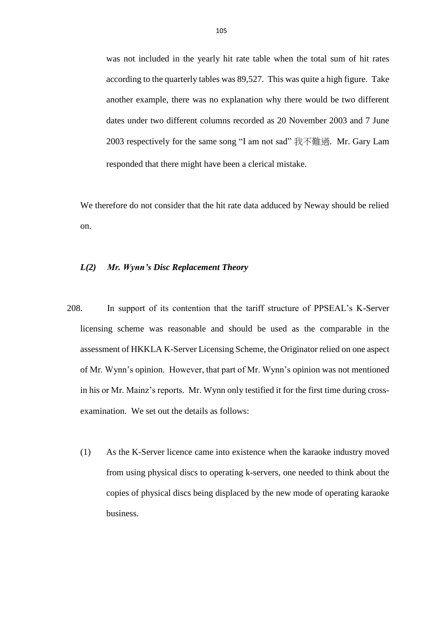was not included in the yearly hit rate table when the total sum of hit rates according to the quarterly tables was 89,527. This was quite a high figure. Take another example, there was no explanation why there would be two different dates under two different columns recorded as 20 November 2003 and 7 June 2003 respectively for the same song "I am not sad" 我不難過. Mr. Gary Lam responded that there might have been a clerical mistake.

We therefore do not consider that the hit rate data adduced by Neway should be relied on.

#### *L(2) Mr. Wynn's Disc Replacement Theory*

- 208. In support of its contention that the tariff structure of PPSEAL's K-Server licensing scheme was reasonable and should be used as the comparable in the assessment of HKKLA K-Server Licensing Scheme, the Originator relied on one aspect of Mr. Wynn's opinion. However, that part of Mr. Wynn's opinion was not mentioned in his or Mr. Mainz's reports. Mr. Wynn only testified it for the first time during crossexamination. We set out the details as follows:
	- (1) As the K-Server licence came into existence when the karaoke industry moved from using physical discs to operating k-servers, one needed to think about the copies of physical discs being displaced by the new mode of operating karaoke business.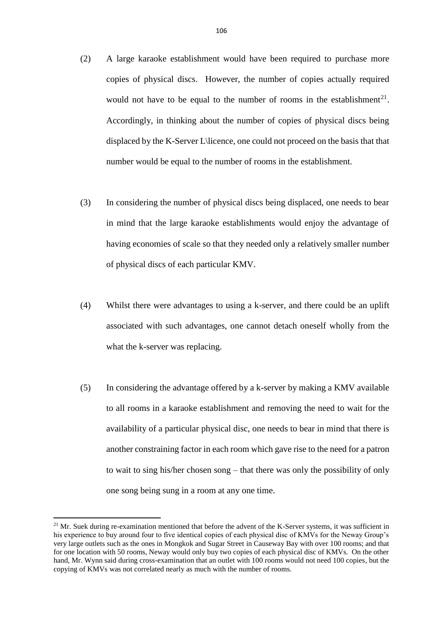- (2) A large karaoke establishment would have been required to purchase more copies of physical discs. However, the number of copies actually required would not have to be equal to the number of rooms in the establishment<sup>21</sup>. Accordingly, in thinking about the number of copies of physical discs being displaced by the K-Server L\licence, one could not proceed on the basis that that number would be equal to the number of rooms in the establishment.
- (3) In considering the number of physical discs being displaced, one needs to bear in mind that the large karaoke establishments would enjoy the advantage of having economies of scale so that they needed only a relatively smaller number of physical discs of each particular KMV.
- (4) Whilst there were advantages to using a k-server, and there could be an uplift associated with such advantages, one cannot detach oneself wholly from the what the k-server was replacing.
- (5) In considering the advantage offered by a k-server by making a KMV available to all rooms in a karaoke establishment and removing the need to wait for the availability of a particular physical disc, one needs to bear in mind that there is another constraining factor in each room which gave rise to the need for a patron to wait to sing his/her chosen song – that there was only the possibility of only one song being sung in a room at any one time.

1

<sup>&</sup>lt;sup>21</sup> Mr. Suek during re-examination mentioned that before the advent of the K-Server systems, it was sufficient in his experience to buy around four to five identical copies of each physical disc of KMVs for the Neway Group's very large outlets such as the ones in Mongkok and Sugar Street in Causeway Bay with over 100 rooms; and that for one location with 50 rooms, Neway would only buy two copies of each physical disc of KMVs. On the other hand, Mr. Wynn said during cross-examination that an outlet with 100 rooms would not need 100 copies, but the copying of KMVs was not correlated nearly as much with the number of rooms.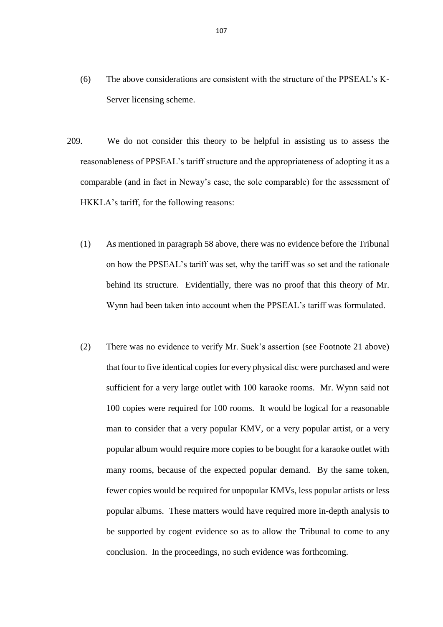- (6) The above considerations are consistent with the structure of the PPSEAL's K-Server licensing scheme.
- 209. We do not consider this theory to be helpful in assisting us to assess the reasonableness of PPSEAL's tariff structure and the appropriateness of adopting it as a comparable (and in fact in Neway's case, the sole comparable) for the assessment of HKKLA's tariff, for the following reasons:
	- (1) As mentioned in paragraph 58 above, there was no evidence before the Tribunal on how the PPSEAL's tariff was set, why the tariff was so set and the rationale behind its structure. Evidentially, there was no proof that this theory of Mr. Wynn had been taken into account when the PPSEAL's tariff was formulated.
	- (2) There was no evidence to verify Mr. Suek's assertion (see Footnote 21 above) that four to five identical copies for every physical disc were purchased and were sufficient for a very large outlet with 100 karaoke rooms. Mr. Wynn said not 100 copies were required for 100 rooms. It would be logical for a reasonable man to consider that a very popular KMV, or a very popular artist, or a very popular album would require more copies to be bought for a karaoke outlet with many rooms, because of the expected popular demand. By the same token, fewer copies would be required for unpopular KMVs, less popular artists or less popular albums. These matters would have required more in-depth analysis to be supported by cogent evidence so as to allow the Tribunal to come to any conclusion. In the proceedings, no such evidence was forthcoming.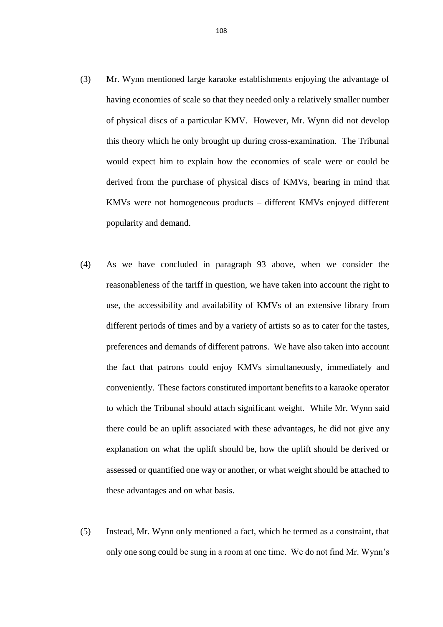- (3) Mr. Wynn mentioned large karaoke establishments enjoying the advantage of having economies of scale so that they needed only a relatively smaller number of physical discs of a particular KMV. However, Mr. Wynn did not develop this theory which he only brought up during cross-examination. The Tribunal would expect him to explain how the economies of scale were or could be derived from the purchase of physical discs of KMVs, bearing in mind that KMVs were not homogeneous products – different KMVs enjoyed different popularity and demand.
- (4) As we have concluded in paragraph 93 above, when we consider the reasonableness of the tariff in question, we have taken into account the right to use, the accessibility and availability of KMVs of an extensive library from different periods of times and by a variety of artists so as to cater for the tastes, preferences and demands of different patrons. We have also taken into account the fact that patrons could enjoy KMVs simultaneously, immediately and conveniently. These factors constituted important benefits to a karaoke operator to which the Tribunal should attach significant weight. While Mr. Wynn said there could be an uplift associated with these advantages, he did not give any explanation on what the uplift should be, how the uplift should be derived or assessed or quantified one way or another, or what weight should be attached to these advantages and on what basis.
- (5) Instead, Mr. Wynn only mentioned a fact, which he termed as a constraint, that only one song could be sung in a room at one time. We do not find Mr. Wynn's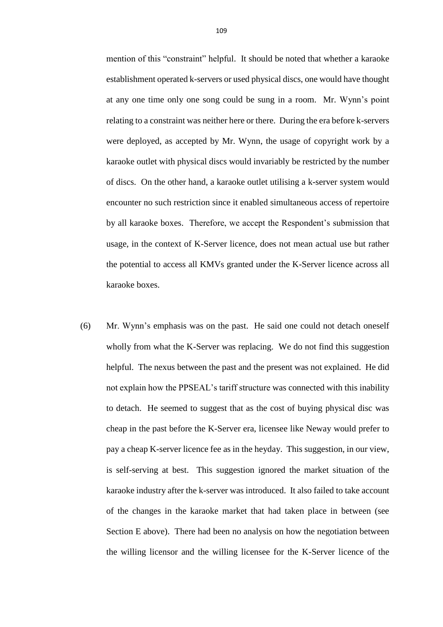mention of this "constraint" helpful. It should be noted that whether a karaoke establishment operated k-servers or used physical discs, one would have thought at any one time only one song could be sung in a room. Mr. Wynn's point relating to a constraint was neither here or there. During the era before k-servers were deployed, as accepted by Mr. Wynn, the usage of copyright work by a karaoke outlet with physical discs would invariably be restricted by the number of discs. On the other hand, a karaoke outlet utilising a k-server system would encounter no such restriction since it enabled simultaneous access of repertoire by all karaoke boxes. Therefore, we accept the Respondent's submission that usage, in the context of K-Server licence, does not mean actual use but rather the potential to access all KMVs granted under the K-Server licence across all karaoke boxes.

(6) Mr. Wynn's emphasis was on the past. He said one could not detach oneself wholly from what the K-Server was replacing. We do not find this suggestion helpful. The nexus between the past and the present was not explained. He did not explain how the PPSEAL's tariff structure was connected with this inability to detach. He seemed to suggest that as the cost of buying physical disc was cheap in the past before the K-Server era, licensee like Neway would prefer to pay a cheap K-server licence fee as in the heyday. This suggestion, in our view, is self-serving at best. This suggestion ignored the market situation of the karaoke industry after the k-server was introduced. It also failed to take account of the changes in the karaoke market that had taken place in between (see Section E above). There had been no analysis on how the negotiation between the willing licensor and the willing licensee for the K-Server licence of the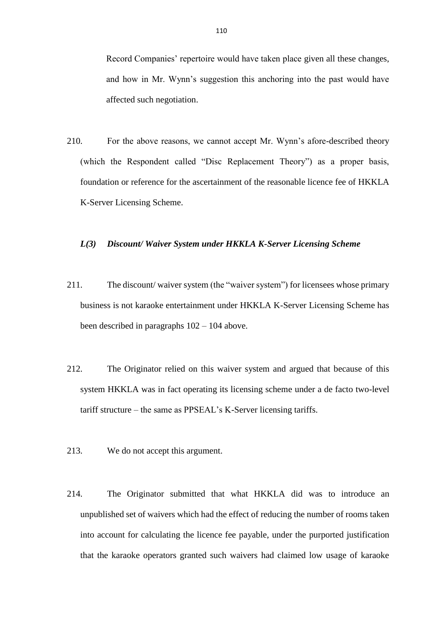Record Companies' repertoire would have taken place given all these changes, and how in Mr. Wynn's suggestion this anchoring into the past would have affected such negotiation.

210. For the above reasons, we cannot accept Mr. Wynn's afore-described theory (which the Respondent called "Disc Replacement Theory") as a proper basis, foundation or reference for the ascertainment of the reasonable licence fee of HKKLA K-Server Licensing Scheme.

### *L(3) Discount/ Waiver System under HKKLA K-Server Licensing Scheme*

- 211. The discount/ waiver system (the "waiver system") for licensees whose primary business is not karaoke entertainment under HKKLA K-Server Licensing Scheme has been described in paragraphs 102 – 104 above.
- 212. The Originator relied on this waiver system and argued that because of this system HKKLA was in fact operating its licensing scheme under a de facto two-level tariff structure – the same as PPSEAL's K-Server licensing tariffs.
- 213. We do not accept this argument.
- 214. The Originator submitted that what HKKLA did was to introduce an unpublished set of waivers which had the effect of reducing the number of rooms taken into account for calculating the licence fee payable, under the purported justification that the karaoke operators granted such waivers had claimed low usage of karaoke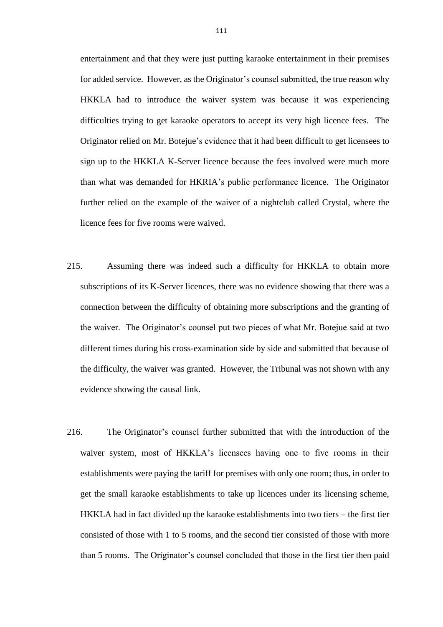entertainment and that they were just putting karaoke entertainment in their premises for added service. However, as the Originator's counsel submitted, the true reason why HKKLA had to introduce the waiver system was because it was experiencing difficulties trying to get karaoke operators to accept its very high licence fees. The Originator relied on Mr. Botejue's evidence that it had been difficult to get licensees to sign up to the HKKLA K-Server licence because the fees involved were much more than what was demanded for HKRIA's public performance licence. The Originator further relied on the example of the waiver of a nightclub called Crystal, where the licence fees for five rooms were waived.

- 215. Assuming there was indeed such a difficulty for HKKLA to obtain more subscriptions of its K-Server licences, there was no evidence showing that there was a connection between the difficulty of obtaining more subscriptions and the granting of the waiver. The Originator's counsel put two pieces of what Mr. Botejue said at two different times during his cross-examination side by side and submitted that because of the difficulty, the waiver was granted. However, the Tribunal was not shown with any evidence showing the causal link.
- 216. The Originator's counsel further submitted that with the introduction of the waiver system, most of HKKLA's licensees having one to five rooms in their establishments were paying the tariff for premises with only one room; thus, in order to get the small karaoke establishments to take up licences under its licensing scheme, HKKLA had in fact divided up the karaoke establishments into two tiers – the first tier consisted of those with 1 to 5 rooms, and the second tier consisted of those with more than 5 rooms. The Originator's counsel concluded that those in the first tier then paid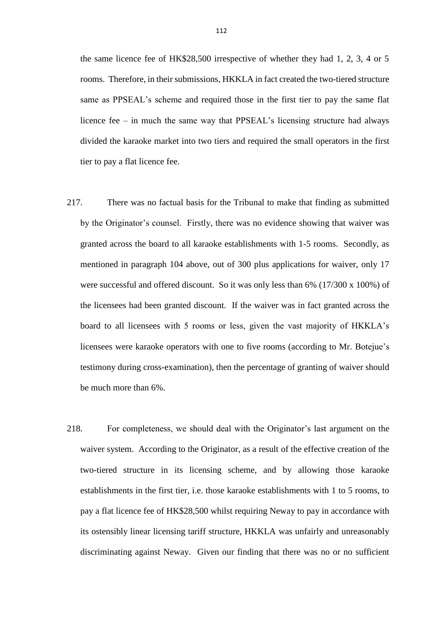the same licence fee of HK\$28,500 irrespective of whether they had 1, 2, 3, 4 or 5 rooms. Therefore, in their submissions, HKKLA in fact created the two-tiered structure same as PPSEAL's scheme and required those in the first tier to pay the same flat licence fee – in much the same way that PPSEAL's licensing structure had always divided the karaoke market into two tiers and required the small operators in the first tier to pay a flat licence fee.

- 217. There was no factual basis for the Tribunal to make that finding as submitted by the Originator's counsel. Firstly, there was no evidence showing that waiver was granted across the board to all karaoke establishments with 1-5 rooms. Secondly, as mentioned in paragraph 104 above, out of 300 plus applications for waiver, only 17 were successful and offered discount. So it was only less than 6% (17/300 x 100%) of the licensees had been granted discount. If the waiver was in fact granted across the board to all licensees with 5 rooms or less, given the vast majority of HKKLA's licensees were karaoke operators with one to five rooms (according to Mr. Botejue's testimony during cross-examination), then the percentage of granting of waiver should be much more than 6%.
- 218. For completeness, we should deal with the Originator's last argument on the waiver system. According to the Originator, as a result of the effective creation of the two-tiered structure in its licensing scheme, and by allowing those karaoke establishments in the first tier, i.e. those karaoke establishments with 1 to 5 rooms, to pay a flat licence fee of HK\$28,500 whilst requiring Neway to pay in accordance with its ostensibly linear licensing tariff structure, HKKLA was unfairly and unreasonably discriminating against Neway. Given our finding that there was no or no sufficient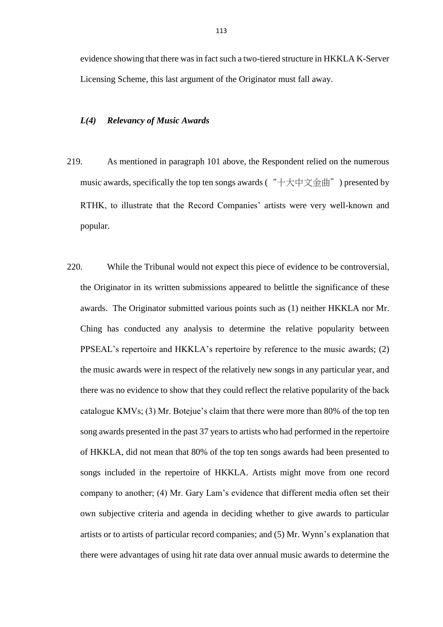evidence showing that there was in fact such a two-tiered structure in HKKLA K-Server Licensing Scheme, this last argument of the Originator must fall away.

# *L(4) Relevancy of Music Awards*

- 219. As mentioned in paragraph 101 above, the Respondent relied on the numerous music awards, specifically the top ten songs awards ("十大中文金曲") presented by RTHK, to illustrate that the Record Companies' artists were very well-known and popular.
- 220. While the Tribunal would not expect this piece of evidence to be controversial, the Originator in its written submissions appeared to belittle the significance of these awards. The Originator submitted various points such as (1) neither HKKLA nor Mr. Ching has conducted any analysis to determine the relative popularity between PPSEAL's repertoire and HKKLA's repertoire by reference to the music awards; (2) the music awards were in respect of the relatively new songs in any particular year, and there was no evidence to show that they could reflect the relative popularity of the back catalogue KMVs; (3) Mr. Botejue's claim that there were more than 80% of the top ten song awards presented in the past 37 years to artists who had performed in the repertoire of HKKLA, did not mean that 80% of the top ten songs awards had been presented to songs included in the repertoire of HKKLA. Artists might move from one record company to another; (4) Mr. Gary Lam's evidence that different media often set their own subjective criteria and agenda in deciding whether to give awards to particular artists or to artists of particular record companies; and (5) Mr. Wynn's explanation that there were advantages of using hit rate data over annual music awards to determine the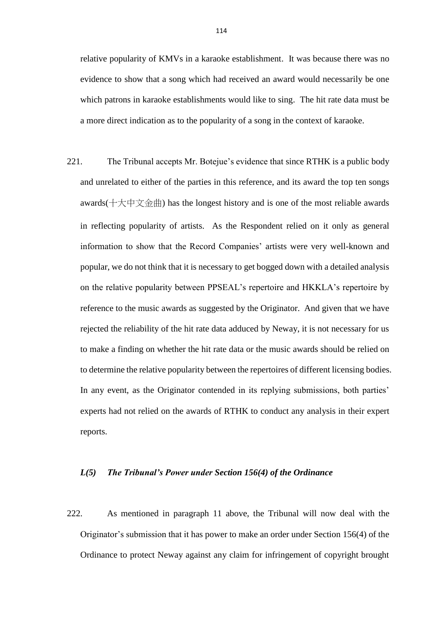relative popularity of KMVs in a karaoke establishment. It was because there was no evidence to show that a song which had received an award would necessarily be one which patrons in karaoke establishments would like to sing. The hit rate data must be a more direct indication as to the popularity of a song in the context of karaoke.

221. The Tribunal accepts Mr. Botejue's evidence that since RTHK is a public body and unrelated to either of the parties in this reference, and its award the top ten songs awards(十大中文金曲) has the longest history and is one of the most reliable awards in reflecting popularity of artists. As the Respondent relied on it only as general information to show that the Record Companies' artists were very well-known and popular, we do not think that it is necessary to get bogged down with a detailed analysis on the relative popularity between PPSEAL's repertoire and HKKLA's repertoire by reference to the music awards as suggested by the Originator. And given that we have rejected the reliability of the hit rate data adduced by Neway, it is not necessary for us to make a finding on whether the hit rate data or the music awards should be relied on to determine the relative popularity between the repertoires of different licensing bodies. In any event, as the Originator contended in its replying submissions, both parties' experts had not relied on the awards of RTHK to conduct any analysis in their expert reports.

### *L(5) The Tribunal's Power under Section 156(4) of the Ordinance*

222. As mentioned in paragraph 11 above, the Tribunal will now deal with the Originator's submission that it has power to make an order under Section 156(4) of the Ordinance to protect Neway against any claim for infringement of copyright brought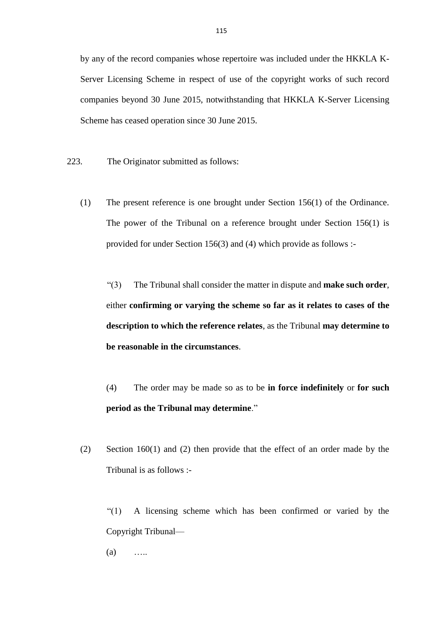by any of the record companies whose repertoire was included under the HKKLA K-Server Licensing Scheme in respect of use of the copyright works of such record companies beyond 30 June 2015, notwithstanding that HKKLA K-Server Licensing Scheme has ceased operation since 30 June 2015.

223. The Originator submitted as follows:

(1) The present reference is one brought under Section 156(1) of the Ordinance. The power of the Tribunal on a reference brought under Section 156(1) is provided for under Section 156(3) and (4) which provide as follows :-

"(3) The Tribunal shall consider the matter in dispute and **make such order**, either **confirming or varying the scheme so far as it relates to cases of the description to which the reference relates**, as the Tribunal **may determine to be reasonable in the circumstances**.

(4) The order may be made so as to be **in force indefinitely** or **for such period as the Tribunal may determine**."

(2) Section 160(1) and (2) then provide that the effect of an order made by the Tribunal is as follows :-

"(1) A licensing scheme which has been confirmed or varied by the Copyright Tribunal—

 $(a)$  …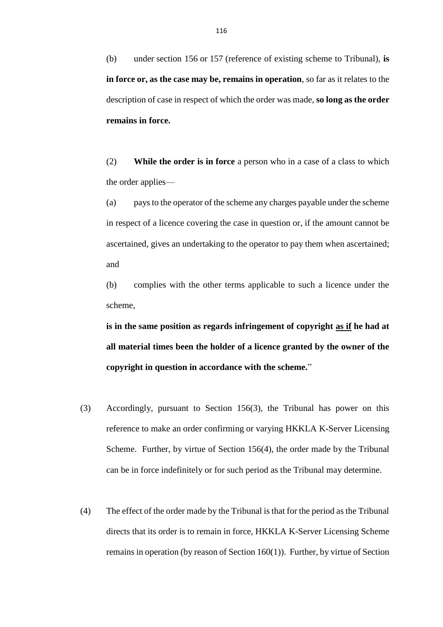(b) under section 156 or 157 (reference of existing scheme to Tribunal), **is in force or, as the case may be, remains in operation**, so far as it relates to the description of case in respect of which the order was made, **so long as the order remains in force.**

(2) **While the order is in force** a person who in a case of a class to which the order applies—

(a) pays to the operator of the scheme any charges payable under the scheme in respect of a licence covering the case in question or, if the amount cannot be ascertained, gives an undertaking to the operator to pay them when ascertained; and

(b) complies with the other terms applicable to such a licence under the scheme,

**is in the same position as regards infringement of copyright as if he had at all material times been the holder of a licence granted by the owner of the copyright in question in accordance with the scheme.**"

- (3) Accordingly, pursuant to Section 156(3), the Tribunal has power on this reference to make an order confirming or varying HKKLA K-Server Licensing Scheme. Further, by virtue of Section 156(4), the order made by the Tribunal can be in force indefinitely or for such period as the Tribunal may determine.
- (4) The effect of the order made by the Tribunal is that for the period as the Tribunal directs that its order is to remain in force, HKKLA K-Server Licensing Scheme remains in operation (by reason of Section 160(1)). Further, by virtue of Section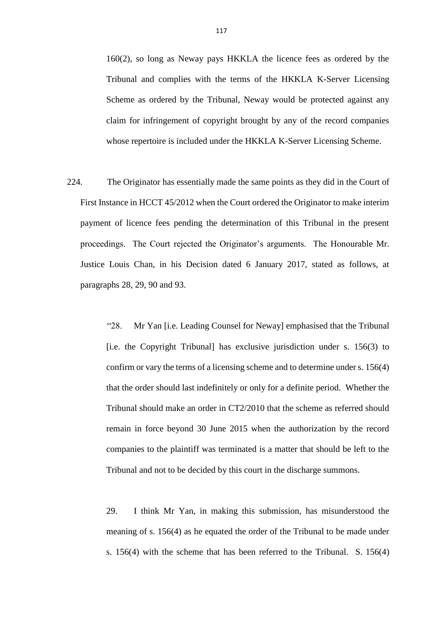160(2), so long as Neway pays HKKLA the licence fees as ordered by the Tribunal and complies with the terms of the HKKLA K-Server Licensing Scheme as ordered by the Tribunal, Neway would be protected against any claim for infringement of copyright brought by any of the record companies whose repertoire is included under the HKKLA K-Server Licensing Scheme.

224. The Originator has essentially made the same points as they did in the Court of First Instance in HCCT 45/2012 when the Court ordered the Originator to make interim payment of licence fees pending the determination of this Tribunal in the present proceedings. The Court rejected the Originator's arguments. The Honourable Mr. Justice Louis Chan, in his Decision dated 6 January 2017, stated as follows, at paragraphs 28, 29, 90 and 93.

> "28. Mr Yan [i.e. Leading Counsel for Neway] emphasised that the Tribunal [i.e. the Copyright Tribunal] has exclusive jurisdiction under s. 156(3) to confirm or vary the terms of a licensing scheme and to determine under s. 156(4) that the order should last indefinitely or only for a definite period. Whether the Tribunal should make an order in CT2/2010 that the scheme as referred should remain in force beyond 30 June 2015 when the authorization by the record companies to the plaintiff was terminated is a matter that should be left to the Tribunal and not to be decided by this court in the discharge summons.

> 29. I think Mr Yan, in making this submission, has misunderstood the meaning of s. 156(4) as he equated the order of the Tribunal to be made under s. 156(4) with the scheme that has been referred to the Tribunal. S. 156(4)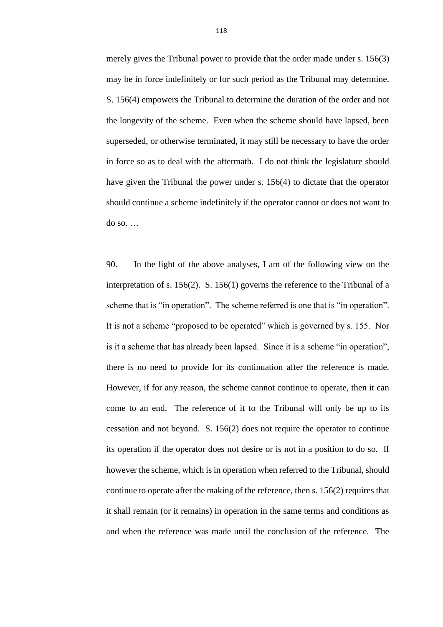merely gives the Tribunal power to provide that the order made under s. 156(3) may be in force indefinitely or for such period as the Tribunal may determine. S. 156(4) empowers the Tribunal to determine the duration of the order and not the longevity of the scheme. Even when the scheme should have lapsed, been superseded, or otherwise terminated, it may still be necessary to have the order in force so as to deal with the aftermath. I do not think the legislature should have given the Tribunal the power under s. 156(4) to dictate that the operator should continue a scheme indefinitely if the operator cannot or does not want to do so. …

90. In the light of the above analyses, I am of the following view on the interpretation of s. 156(2). S. 156(1) governs the reference to the Tribunal of a scheme that is "in operation". The scheme referred is one that is "in operation". It is not a scheme "proposed to be operated" which is governed by s. 155. Nor is it a scheme that has already been lapsed. Since it is a scheme "in operation", there is no need to provide for its continuation after the reference is made. However, if for any reason, the scheme cannot continue to operate, then it can come to an end. The reference of it to the Tribunal will only be up to its cessation and not beyond. S. 156(2) does not require the operator to continue its operation if the operator does not desire or is not in a position to do so. If however the scheme, which is in operation when referred to the Tribunal, should continue to operate after the making of the reference, then s. 156(2) requires that it shall remain (or it remains) in operation in the same terms and conditions as and when the reference was made until the conclusion of the reference. The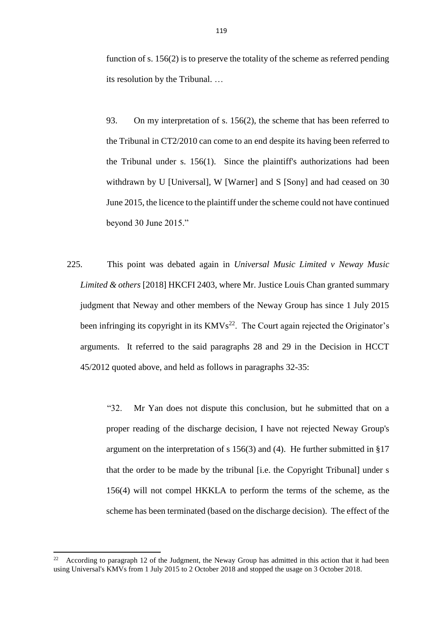function of s. 156(2) is to preserve the totality of the scheme as referred pending its resolution by the Tribunal. …

93. On my interpretation of s. 156(2), the scheme that has been referred to the Tribunal in CT2/2010 can come to an end despite its having been referred to the Tribunal under s. 156(1). Since the plaintiff's authorizations had been withdrawn by U [Universal], W [Warner] and S [Sony] and had ceased on 30 June 2015, the licence to the plaintiff under the scheme could not have continued beyond 30 June 2015."

225. This point was debated again in *Universal Music Limited v Neway Music Limited & others* [2018] HKCFI 2403, where Mr. Justice Louis Chan granted summary judgment that Neway and other members of the Neway Group has since 1 July 2015 been infringing its copyright in its  $KMVs<sup>22</sup>$ . The Court again rejected the Originator's arguments. It referred to the said paragraphs 28 and 29 in the Decision in HCCT 45/2012 quoted above, and held as follows in paragraphs 32-35:

> "32. Mr Yan does not dispute this conclusion, but he submitted that on a proper reading of the discharge decision, I have not rejected Neway Group's argument on the interpretation of s 156(3) and (4). He further submitted in §17 that the order to be made by the tribunal [i.e. the Copyright Tribunal] under s 156(4) will not compel HKKLA to perform the terms of the scheme, as the scheme has been terminated (based on the discharge decision). The effect of the

**.** 

<sup>&</sup>lt;sup>22</sup> According to paragraph 12 of the Judgment, the Neway Group has admitted in this action that it had been using Universal's KMVs from 1 July 2015 to 2 October 2018 and stopped the usage on 3 October 2018.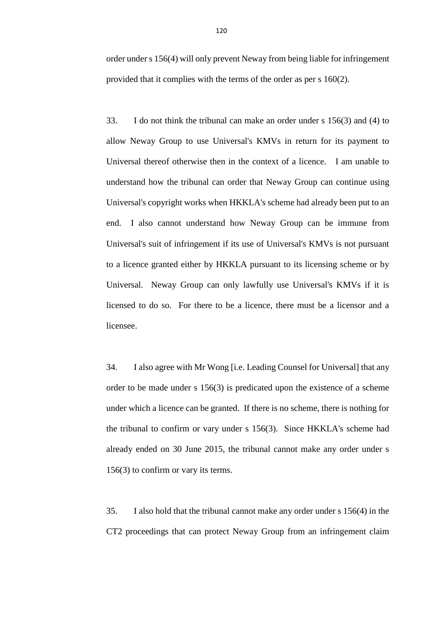order under s 156(4) will only prevent Neway from being liable for infringement provided that it complies with the terms of the order as per s 160(2).

33. I do not think the tribunal can make an order under s 156(3) and (4) to allow Neway Group to use Universal's KMVs in return for its payment to Universal thereof otherwise then in the context of a licence. I am unable to understand how the tribunal can order that Neway Group can continue using Universal's copyright works when HKKLA's scheme had already been put to an end. I also cannot understand how Neway Group can be immune from Universal's suit of infringement if its use of Universal's KMVs is not pursuant to a licence granted either by HKKLA pursuant to its licensing scheme or by Universal. Neway Group can only lawfully use Universal's KMVs if it is licensed to do so. For there to be a licence, there must be a licensor and a licensee.

34. I also agree with Mr Wong [i.e. Leading Counsel for Universal] that any order to be made under s 156(3) is predicated upon the existence of a scheme under which a licence can be granted. If there is no scheme, there is nothing for the tribunal to confirm or vary under s 156(3). Since HKKLA's scheme had already ended on 30 June 2015, the tribunal cannot make any order under s 156(3) to confirm or vary its terms.

35. I also hold that the tribunal cannot make any order under s 156(4) in the CT2 proceedings that can protect Neway Group from an infringement claim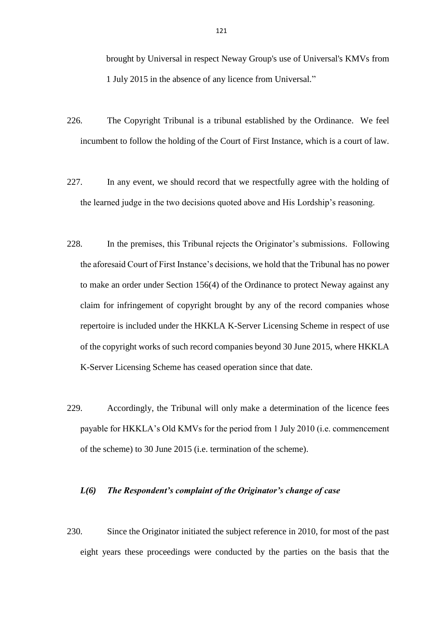brought by Universal in respect Neway Group's use of Universal's KMVs from 1 July 2015 in the absence of any licence from Universal."

- 226. The Copyright Tribunal is a tribunal established by the Ordinance. We feel incumbent to follow the holding of the Court of First Instance, which is a court of law.
- 227. In any event, we should record that we respectfully agree with the holding of the learned judge in the two decisions quoted above and His Lordship's reasoning.
- 228. In the premises, this Tribunal rejects the Originator's submissions. Following the aforesaid Court of First Instance's decisions, we hold that the Tribunal has no power to make an order under Section 156(4) of the Ordinance to protect Neway against any claim for infringement of copyright brought by any of the record companies whose repertoire is included under the HKKLA K-Server Licensing Scheme in respect of use of the copyright works of such record companies beyond 30 June 2015, where HKKLA K-Server Licensing Scheme has ceased operation since that date.
- 229. Accordingly, the Tribunal will only make a determination of the licence fees payable for HKKLA's Old KMVs for the period from 1 July 2010 (i.e. commencement of the scheme) to 30 June 2015 (i.e. termination of the scheme).

# *L(6) The Respondent's complaint of the Originator's change of case*

230. Since the Originator initiated the subject reference in 2010, for most of the past eight years these proceedings were conducted by the parties on the basis that the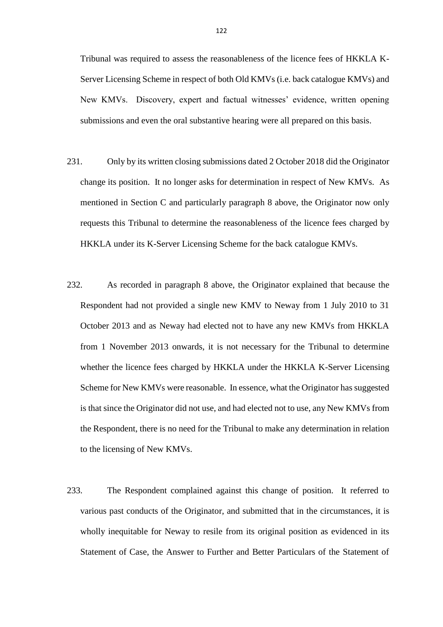Tribunal was required to assess the reasonableness of the licence fees of HKKLA K-Server Licensing Scheme in respect of both Old KMVs (i.e. back catalogue KMVs) and New KMVs. Discovery, expert and factual witnesses' evidence, written opening submissions and even the oral substantive hearing were all prepared on this basis.

- 231. Only by its written closing submissions dated 2 October 2018 did the Originator change its position. It no longer asks for determination in respect of New KMVs. As mentioned in Section C and particularly paragraph 8 above, the Originator now only requests this Tribunal to determine the reasonableness of the licence fees charged by HKKLA under its K-Server Licensing Scheme for the back catalogue KMVs.
- 232. As recorded in paragraph 8 above, the Originator explained that because the Respondent had not provided a single new KMV to Neway from 1 July 2010 to 31 October 2013 and as Neway had elected not to have any new KMVs from HKKLA from 1 November 2013 onwards, it is not necessary for the Tribunal to determine whether the licence fees charged by HKKLA under the HKKLA K-Server Licensing Scheme for New KMVs were reasonable. In essence, what the Originator has suggested is that since the Originator did not use, and had elected not to use, any New KMVs from the Respondent, there is no need for the Tribunal to make any determination in relation to the licensing of New KMVs.
- 233. The Respondent complained against this change of position. It referred to various past conducts of the Originator, and submitted that in the circumstances, it is wholly inequitable for Neway to resile from its original position as evidenced in its Statement of Case, the Answer to Further and Better Particulars of the Statement of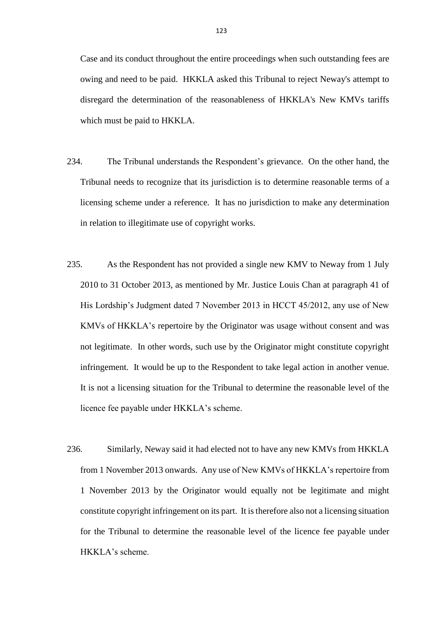Case and its conduct throughout the entire proceedings when such outstanding fees are owing and need to be paid. HKKLA asked this Tribunal to reject Neway's attempt to disregard the determination of the reasonableness of HKKLA's New KMVs tariffs which must be paid to HKKLA.

- 234. The Tribunal understands the Respondent's grievance. On the other hand, the Tribunal needs to recognize that its jurisdiction is to determine reasonable terms of a licensing scheme under a reference. It has no jurisdiction to make any determination in relation to illegitimate use of copyright works.
- 235. As the Respondent has not provided a single new KMV to Neway from 1 July 2010 to 31 October 2013, as mentioned by Mr. Justice Louis Chan at paragraph 41 of His Lordship's Judgment dated 7 November 2013 in HCCT 45/2012, any use of New KMVs of HKKLA's repertoire by the Originator was usage without consent and was not legitimate. In other words, such use by the Originator might constitute copyright infringement. It would be up to the Respondent to take legal action in another venue. It is not a licensing situation for the Tribunal to determine the reasonable level of the licence fee payable under HKKLA's scheme.
- 236. Similarly, Neway said it had elected not to have any new KMVs from HKKLA from 1 November 2013 onwards. Any use of New KMVs of HKKLA's repertoire from 1 November 2013 by the Originator would equally not be legitimate and might constitute copyright infringement on its part. It is therefore also not a licensing situation for the Tribunal to determine the reasonable level of the licence fee payable under HKKLA's scheme.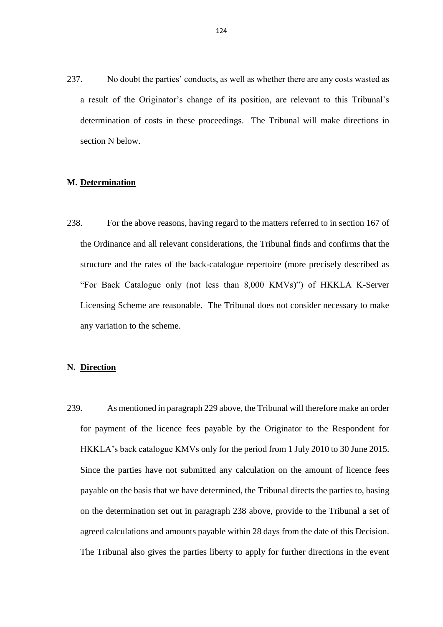237. No doubt the parties' conducts, as well as whether there are any costs wasted as a result of the Originator's change of its position, are relevant to this Tribunal's determination of costs in these proceedings. The Tribunal will make directions in section N below.

## **M. Determination**

238. For the above reasons, having regard to the matters referred to in section 167 of the Ordinance and all relevant considerations, the Tribunal finds and confirms that the structure and the rates of the back-catalogue repertoire (more precisely described as "For Back Catalogue only (not less than 8,000 KMVs)") of HKKLA K-Server Licensing Scheme are reasonable. The Tribunal does not consider necessary to make any variation to the scheme.

### **N. Direction**

239. As mentioned in paragraph 229 above, the Tribunal will therefore make an order for payment of the licence fees payable by the Originator to the Respondent for HKKLA's back catalogue KMVs only for the period from 1 July 2010 to 30 June 2015. Since the parties have not submitted any calculation on the amount of licence fees payable on the basis that we have determined, the Tribunal directs the parties to, basing on the determination set out in paragraph 238 above, provide to the Tribunal a set of agreed calculations and amounts payable within 28 days from the date of this Decision. The Tribunal also gives the parties liberty to apply for further directions in the event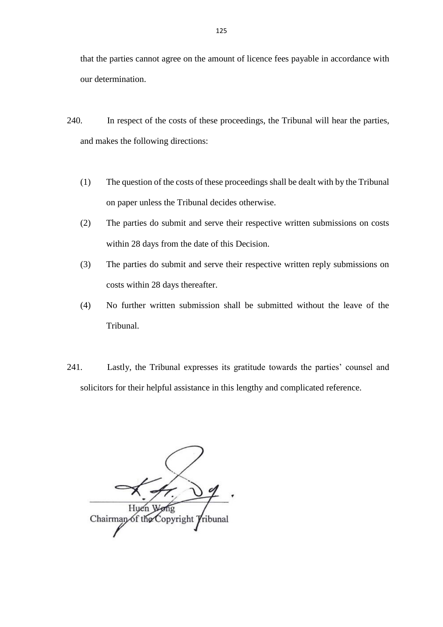that the parties cannot agree on the amount of licence fees payable in accordance with our determination.

- 240. In respect of the costs of these proceedings, the Tribunal will hear the parties, and makes the following directions:
	- (1) The question of the costs of these proceedings shall be dealt with by the Tribunal on paper unless the Tribunal decides otherwise.
	- (2) The parties do submit and serve their respective written submissions on costs within 28 days from the date of this Decision.
	- (3) The parties do submit and serve their respective written reply submissions on costs within 28 days thereafter.
	- (4) No further written submission shall be submitted without the leave of the Tribunal.
- 241. Lastly, the Tribunal expresses its gratitude towards the parties' counsel and solicitors for their helpful assistance in this lengthy and complicated reference.

Hue Chairman of the Copyright Tribunal